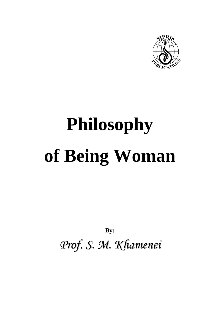

**By:**

*Prof. S. M. Khamenei*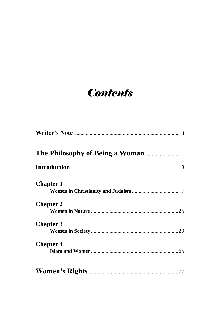## **Contents**

| <b>Chapter 1</b> |  |
|------------------|--|
| <b>Chapter 2</b> |  |
| <b>Chapter 3</b> |  |
| <b>Chapter 4</b> |  |
|                  |  |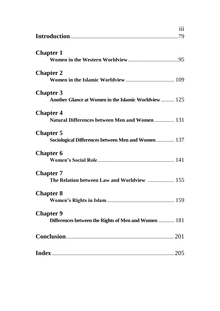|                                                                           | iii |
|---------------------------------------------------------------------------|-----|
| <b>Chapter 1</b>                                                          |     |
| <b>Chapter 2</b>                                                          |     |
| <b>Chapter 3</b><br>Another Glance at Women in the Islamic Worldview  125 |     |
| <b>Chapter 4</b><br>Natural Differences between Men and Women  131        |     |
| <b>Chapter 5</b><br>Sociological Differences between Men and Women 137    |     |
| <b>Chapter 6</b>                                                          |     |
| <b>Chapter 7</b><br>The Relation between Law and Worldview  155           |     |
| <b>Chapter 8</b>                                                          |     |
| <b>Chapter 9</b><br>Differences between the Rights of Men and Women  181  |     |
|                                                                           |     |
|                                                                           |     |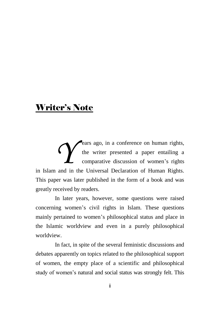## Writer's Note

ears ago, in a conference on human rights, the writer presented a paper entailing a comparative discussion of women"s rights **Example 19 Exercise 20 Exercise 19 Exercise 19 Exercise 19 Exercise 19 Exercise 19 Exercise 19 Exercise 19 Exercise 19 Exercise 19 Exercise 19 Exercise 19 Exercise 19 Exercise 19 Exercise 19 Exercise 19 Exercise 19 Exerci** This paper was later published in the form of a book and was greatly received by readers.

In later years, however, some questions were raised concerning women"s civil rights in Islam. These questions mainly pertained to women"s philosophical status and place in the Islamic worldview and even in a purely philosophical worldview.

In fact, in spite of the several feministic discussions and debates apparently on topics related to the philosophical support of women, the empty place of a scientific and philosophical study of women"s natural and social status was strongly felt. This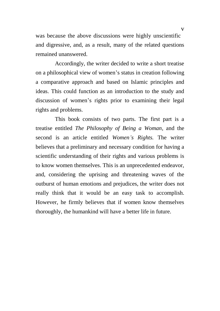was because the above discussions were highly unscientific and digressive, and, as a result, many of the related questions remained unanswered.

Accordingly, the writer decided to write a short treatise on a philosophical view of women"s status in creation following a comparative approach and based on Islamic principles and ideas. This could function as an introduction to the study and discussion of women"s rights prior to examining their legal rights and problems.

This book consists of two parts. The first part is a treatise entitled *The Philosophy of Being a Woman*, and the second is an article entitled *Women"s Rights.* The writer believes that a preliminary and necessary condition for having a scientific understanding of their rights and various problems is to know women themselves. This is an unprecedented endeavor, and, considering the uprising and threatening waves of the outburst of human emotions and prejudices, the writer does not really think that it would be an easy task to accomplish. However, he firmly believes that if women know themselves thoroughly, the humankind will have a better life in future.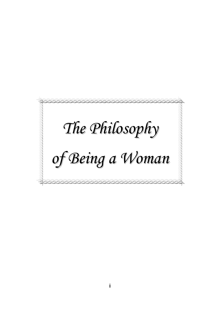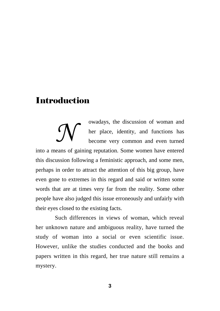## **Introduction**

owadays, the discussion of woman and her place, identity, and functions has become very common and even turned into a means of gaining reputation. Some women have entered this discussion following a feministic approach, and some men, perhaps in order to attract the attention of this big group, have even gone to extremes in this regard and said or written some words that are at times very far from the reality. Some other people have also judged this issue erroneously and unfairly with their eyes closed to the existing facts. *N*

Such differences in views of woman, which reveal her unknown nature and ambiguous reality, have turned the study of woman into a social or even scientific issue. However, unlike the studies conducted and the books and papers written in this regard, her true nature still remains a mystery.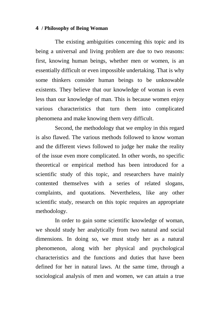The existing ambiguities concerning this topic and its being a universal and living problem are due to two reasons: first, knowing human beings, whether men or women, is an essentially difficult or even impossible undertaking. That is why some thinkers consider human beings to be unknowable existents. They believe that our knowledge of woman is even less than our knowledge of man. This is because women enjoy various characteristics that turn them into complicated phenomena and make knowing them very difficult.

Second, the methodology that we employ in this regard is also flawed. The various methods followed to know woman and the different views followed to judge her make the reality of the issue even more complicated. In other words, no specific theoretical or empirical method has been introduced for a scientific study of this topic, and researchers have mainly contented themselves with a series of related slogans, complaints, and quotations. Nevertheless, like any other scientific study, research on this topic requires an appropriate methodology.

In order to gain some scientific knowledge of woman, we should study her analytically from two natural and social dimensions. In doing so, we must study her as a natural phenomenon, along with her physical and psychological characteristics and the functions and duties that have been defined for her in natural laws. At the same time, through a sociological analysis of men and women, we can attain a true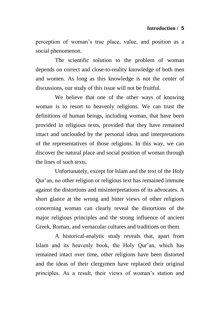perception of woman"s true place, value, and position as a social phenomenon.

The scientific solution to the problem of woman depends on correct and close-to-reality knowledge of both men and women. As long as this knowledge is not the center of discussions, our study of this issue will not be fruitful.

We believe that one of the other ways of knowing woman is to resort to heavenly religions. We can trust the definitions of human beings, including woman, that have been provided in religious texts, provided that they have remained intact and unclouded by the personal ideas and interpretations of the representatives of those religions. In this way, we can discover the natural place and social position of woman through the lines of such texts.

Unfortunately, except for Islam and the text of the Holy Qur"an, no other religion or religious text has remained immune against the distortions and misinterpretations of its advocates. A short glance at the wrong and bitter views of other religions concerning woman can clearly reveal the distortions of the major religious principles and the strong influence of ancient Greek, Roman, and vernacular cultures and traditions on them.

A historical-analytic study reveals that, apart from Islam and its heavenly book, the Holy Qur'an, which has remained intact over time, other religions have been distorted and the ideas of their clergymen have replaced their original principles. As a result, their views of woman"s station and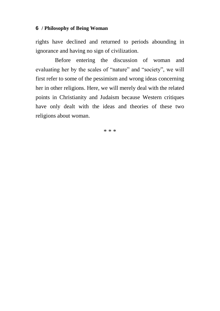rights have declined and returned to periods abounding in ignorance and having no sign of civilization.

Before entering the discussion of woman and evaluating her by the scales of "nature" and "society", we will first refer to some of the pessimism and wrong ideas concerning her in other religions. Here, we will merely deal with the related points in Christianity and Judaism because Western critiques have only dealt with the ideas and theories of these two religions about woman.

\* \* \*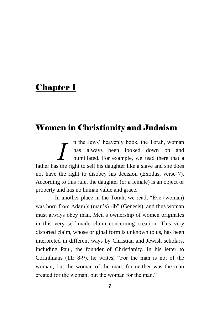## **Chapter 1**

## Women in Christianity and Judaism

n the Jews" heavenly book, the Torah, woman has always been looked down on and humiliated. For example, we read there that a **Father has the Form is always been** looked down on and humiliated. For example, we read there that a father has the right to sell his daughter like a slave and she does not have the right to disobey his decision (Exodus, verse 7). According to this rule, the daughter (or a female) is an object or property and has no human value and grace.

In another place in the Torah, we read, "Eve (woman) was born from Adam's (man's) rib" (Genesis), and thus woman must always obey man. Men"s ownership of women originates in this very self-made claim concerning creation. This very distorted claim, whose original form is unknown to us, has been interpreted in different ways by Christian and Jewish scholars, including Paul, the founder of Christianity. In his letter to Corinthians (11: 8-9), he writes, "For the man is not of the woman; but the woman of the man: for neither was the man created for the woman; but the woman for the man."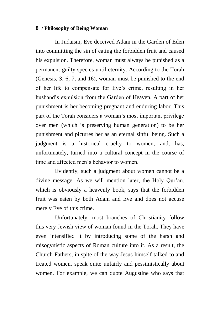In Judaism, Eve deceived Adam in the Garden of Eden into committing the sin of eating the forbidden fruit and caused his expulsion. Therefore, woman must always be punished as a permanent guilty species until eternity. According to the Torah (Genesis, 3: 6, 7, and 16), woman must be punished to the end of her life to compensate for Eve"s crime, resulting in her husband"s expulsion from the Garden of Heaven. A part of her punishment is her becoming pregnant and enduring labor. This part of the Torah considers a woman"s most important privilege over men (which is preserving human generation) to be her punishment and pictures her as an eternal sinful being. Such a judgment is a historical cruelty to women, and, has, unfortunately, turned into a cultural concept in the course of time and affected men"s behavior to women.

Evidently, such a judgment about women cannot be a divine message. As we will mention later, the Holy Qur'an, which is obviously a heavenly book, says that the forbidden fruit was eaten by both Adam and Eve and does not accuse merely Eve of this crime.

Unfortunately, most branches of Christianity follow this very Jewish view of woman found in the Torah. They have even intensified it by introducing some of the harsh and misogynistic aspects of Roman culture into it. As a result, the Church Fathers, in spite of the way Jesus himself talked to and treated women, speak quite unfairly and pessimistically about women. For example, we can quote Augustine who says that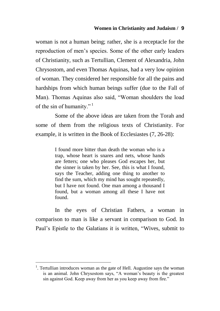woman is not a human being; rather, she is a receptacle for the reproduction of men"s species. Some of the other early leaders of Christianity, such as Tertullian, Clement of Alexandria, John Chrysostom, and even Thomas Aquinas, had a very low opinion of woman. They considered her responsible for all the pains and hardships from which human beings suffer (due to the Fall of Man). Thomas Aquinas also said, "Woman shoulders the load of the sin of humanity."<sup>1</sup>

Some of the above ideas are taken from the Torah and some of them from the religious texts of Christianity. For example, it is written in the Book of Ecclesiastes (7, 26-28):

> I found more bitter than death the woman who is a trap, whose heart is snares and nets, whose hands are fetters; one who pleases God escapes her, but the sinner is taken by her. See, this is what I found, says the Teacher, adding one thing to another to find the sum, which my mind has sought repeatedly, but I have not found. One man among a thousand I found, but a woman among all these I have not found.

In the eyes of Christian Fathers, a woman in comparison to man is like a servant in comparison to God. In Paul"s Epistle to the Galatians it is written, "Wives, submit to

 $\overline{a}$ 

<sup>&</sup>lt;sup>1</sup>. Tertullian introduces woman as the gate of Hell. Augustine says the woman is an animal. John Chrysostom says, "A woman"s beauty is the greatest sin against God. Keep away from her as you keep away from fire."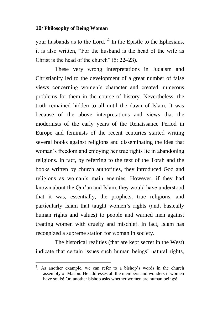your husbands as to the Lord."<sup>2</sup> In the Epistle to the Ephesians, it is also written, "For the husband is the head of the wife as Christ is the head of the church" (5: 22–23).

These very wrong interpretations in Judaism and Christianity led to the development of a great number of false views concerning women"s character and created numerous problems for them in the course of history. Nevertheless, the truth remained hidden to all until the dawn of Islam. It was because of the above interpretations and views that the modernists of the early years of the Renaissance Period in Europe and feminists of the recent centuries started writing several books against religions and disseminating the idea that woman"s freedom and enjoying her true rights lie in abandoning religions. In fact, by referring to the text of the Torah and the books written by church authorities, they introduced God and religions as woman"s main enemies. However, if they had known about the Qur"an and Islam, they would have understood that it was, essentially, the prophets, true religions, and particularly Islam that taught women"s rights (and, basically human rights and values) to people and warned men against treating women with cruelty and mischief. In fact, Islam has recognized a supreme station for woman in society.

The historical realities (that are kept secret in the West) indicate that certain issues such human beings' natural rights,

 $\overline{a}$ 

<sup>&</sup>lt;sup>2</sup>. As another example, we can refer to a bishop's words in the church assembly of Macon. He addresses all the members and wonders if women have souls! Or, another bishop asks whether women are human beings!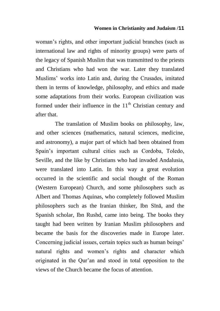#### **Women in Christianity and Judaism /11**

woman"s rights, and other important judicial branches (such as international law and rights of minority groups) were parts of the legacy of Spanish Muslim that was transmitted to the priests and Christians who had won the war. Later they translated Muslims" works into Latin and, during the Crusades, imitated them in terms of knowledge, philosophy, and ethics and made some adaptations from their works. European civilization was formed under their influence in the  $11<sup>th</sup>$  Christian century and after that.

The translation of Muslim books on philosophy, law, and other sciences (mathematics, natural sciences, medicine, and astronomy), a major part of which had been obtained from Spain"s important cultural cities such as Cordoba, Toledo, Seville, and the like by Christians who had invaded Andalusia, were translated into Latin. In this way a great evolution occurred in the scientific and social thought of the Roman (Western European) Church, and some philosophers such as Albert and Thomas Aquinas, who completely followed Muslim philosophers such as the Iranian thinker, Ibn Sīnā, and the Spanish scholar, Ibn Rushd, came into being. The books they taught had been written by Iranian Muslim philosophers and became the basis for the discoveries made in Europe later. Concerning judicial issues, certain topics such as human beings' natural rights and women"s rights and character which originated in the Qur"an and stood in total opposition to the views of the Church became the focus of attention.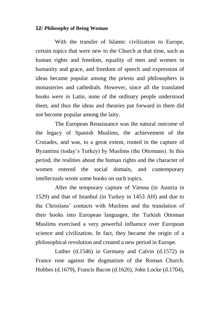With the transfer of Islamic civilization to Europe, certain topics that were new to the Church at that time, such as human rights and freedom, equality of men and women in humanity and grace, and freedom of speech and expression of ideas became popular among the priests and philosophers in monasteries and cathedrals. However, since all the translated books were in Latin, none of the ordinary people understood them, and thus the ideas and theories put forward in them did not become popular among the laity.

The European Renaissance was the natural outcome of the legacy of Spanish Muslims, the achievement of the Crusades, and was, to a great extent, rooted in the capture of Byzantine (today"s Turkey) by Muslims (the Ottomans). In this period, the realities about the human rights and the character of women entered the social domain, and contemporary intellectuals wrote some books on such topics.

After the temporary capture of Vienna (in Austria in 1529) and that of Istanbul (in Turkey in 1453 AH) and due to the Christians" contacts with Muslims and the translation of their books into European languages, the Turkish Ottoman Muslims exercised a very powerful influence over European science and civilization. In fact, they became the origin of a philosophical revolution and created a new period in Europe.

Luther (d.1546) in Germany and Calvin (d.1572) in France rose against the dogmatism of the Roman Church. Hobbes (d.1679), Francis Bacon (d.1626), John Locke (d.1704),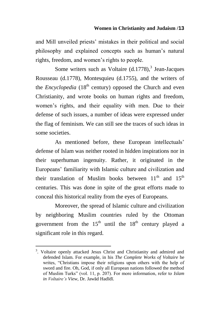and Mill unveiled priests" mistakes in their political and social philosophy and explained concepts such as human"s natural rights, freedom, and women"s rights to people.

Some writers such as Voltaire  $(d.1778)^3$ , Jean-Jacques Rousseau (d.1778), Montesquieu (d.1755), and the writers of the *Encyclopedia* (18<sup>th</sup> century) opposed the Church and even Christianity, and wrote books on human rights and freedom, women"s rights, and their equality with men. Due to their defense of such issues, a number of ideas were expressed under the flag of feminism. We can still see the traces of such ideas in some societies.

As mentioned before, these European intellectuals' defense of Islam was neither rooted in hidden inspirations nor in their superhuman ingenuity. Rather, it originated in the Europeans" familiarity with Islamic culture and civilization and their translation of Muslim books between  $11<sup>th</sup>$  and  $15<sup>th</sup>$ centuries. This was done in spite of the great efforts made to conceal this historical reality from the eyes of Europeans.

Moreover, the spread of Islamic culture and civilization by neighboring Muslim countries ruled by the Ottoman government from the  $15<sup>th</sup>$  until the  $18<sup>th</sup>$  century played a significant role in this regard.

 $\overline{a}$ 

<sup>&</sup>lt;sup>3</sup>. Voltaire openly attacked Jesus Christ and Christianity and admired and defended Islam. For example, in his *The Complete Works of Voltaire* he writes, "Christians impose their religions upon others with the help of sword and fire. Oh, God, if only all European nations followed the method of Muslim Turks" (vol. 11, p. 207). For more information, refer to *Islam in Voltaire"s View*, Dr. Jawād Hadīdī.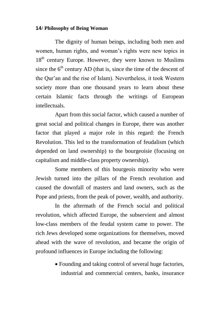The dignity of human beings, including both men and women, human rights, and woman"s rights were new topics in  $18<sup>th</sup>$  century Europe. However, they were known to Muslims since the  $6<sup>th</sup>$  century AD (that is, since the time of the descent of the Qur"an and the rise of Islam). Nevertheless, it took Western society more than one thousand years to learn about these certain Islamic facts through the writings of European intellectuals.

Apart from this social factor, which caused a number of great social and political changes in Europe, there was another factor that played a major role in this regard: the French Revolution. This led to the transformation of feudalism (which depended on land ownership) to the bourgeoisie (focusing on capitalism and middle-class property ownership).

Some members of this bourgeois minority who were Jewish turned into the pillars of the French revolution and caused the downfall of masters and land owners, such as the Pope and priests, from the peak of power, wealth, and authority.

In the aftermath of the French social and political revolution, which affected Europe, the subservient and almost low-class members of the feudal system came to power. The rich Jews developed some organizations for themselves, moved ahead with the wave of revolution, and became the origin of profound influences in Europe including the following:

> Founding and taking control of several huge factories, industrial and commercial centers, banks, insurance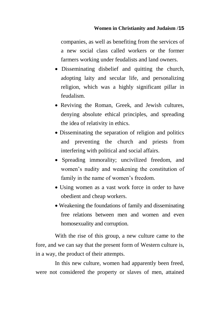companies, as well as benefiting from the services of a new social class called workers or the former farmers working under feudalists and land owners.

- Disseminating disbelief and quitting the church, adopting laity and secular life, and personalizing religion, which was a highly significant pillar in feudalism.
- Reviving the Roman, Greek, and Jewish cultures, denying absolute ethical principles, and spreading the idea of relativity in ethics.
- Disseminating the separation of religion and politics and preventing the church and priests from interfering with political and social affairs.
- Spreading immorality; uncivilized freedom, and women"s nudity and weakening the constitution of family in the name of women's freedom.
- Using women as a vast work force in order to have obedient and cheap workers.
- Weakening the foundations of family and disseminating free relations between men and women and even homosexuality and corruption.

With the rise of this group, a new culture came to the fore, and we can say that the present form of Western culture is, in a way, the product of their attempts.

In this new culture, women had apparently been freed, were not considered the property or slaves of men, attained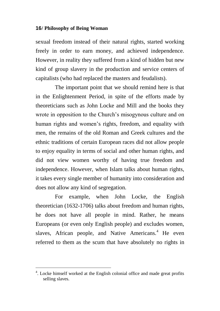sexual freedom instead of their natural rights, started working freely in order to earn money, and achieved independence. However, in reality they suffered from a kind of hidden but new kind of group slavery in the production and service centers of capitalists (who had replaced the masters and feudalists).

The important point that we should remind here is that in the Enlightenment Period, in spite of the efforts made by theoreticians such as John Locke and Mill and the books they wrote in opposition to the Church"s misogynous culture and on human rights and women's rights, freedom, and equality with men, the remains of the old Roman and Greek cultures and the ethnic traditions of certain European races did not allow people to enjoy equality in terms of social and other human rights, and did not view women worthy of having true freedom and independence. However, when Islam talks about human rights, it takes every single member of humanity into consideration and does not allow any kind of segregation.

For example, when John Locke, the English theoretician (1632-1706) talks about freedom and human rights, he does not have all people in mind. Rather, he means Europeans (or even only English people) and excludes women, slaves, African people, and Native Americans. $4$  He even referred to them as the scum that have absolutely no rights in

 $\overline{a}$ 

<sup>&</sup>lt;sup>4</sup>. Locke himself worked at the English colonial office and made great profits selling slaves.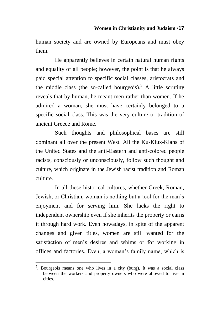human society and are owned by Europeans and must obey them.

He apparently believes in certain natural human rights and equality of all people; however, the point is that he always paid special attention to specific social classes, aristocrats and the middle class (the so-called bourgeois).<sup>5</sup> A little scrutiny reveals that by human, he meant men rather than women. If he admired a woman, she must have certainly belonged to a specific social class. This was the very culture or tradition of ancient Greece and Rome.

Such thoughts and philosophical bases are still dominant all over the present West. All the Ku-Klux-Klans of the United States and the anti-Eastern and anti-colored people racists, consciously or unconsciously, follow such thought and culture, which originate in the Jewish racist tradition and Roman culture.

In all these historical cultures, whether Greek, Roman, Jewish, or Christian, woman is nothing but a tool for the man"s enjoyment and for serving him. She lacks the right to independent ownership even if she inherits the property or earns it through hard work. Even nowadays, in spite of the apparent changes and given titles, women are still wanted for the satisfaction of men's desires and whims or for working in offices and factories. Even, a woman"s family name, which is

 $\overline{a}$ 

<sup>&</sup>lt;sup>5</sup>. Bourgeois means one who lives in a city (burg). It was a social class between the workers and property owners who were allowed to live in cities.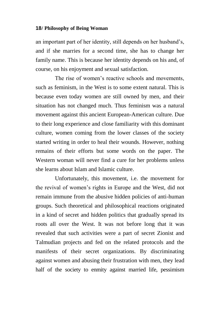an important part of her identity, still depends on her husband"s, and if she marries for a second time, she has to change her family name. This is because her identity depends on his and, of course, on his enjoyment and sexual satisfaction.

The rise of women"s reactive schools and movements, such as feminism, in the West is to some extent natural. This is because even today women are still owned by men, and their situation has not changed much. Thus feminism was a natural movement against this ancient European-American culture. Due to their long experience and close familiarity with this dominant culture, women coming from the lower classes of the society started writing in order to heal their wounds. However, nothing remains of their efforts but some words on the paper. The Western woman will never find a cure for her problems unless she learns about Islam and Islamic culture.

Unfortunately, this movement, i.e. the movement for the revival of women"s rights in Europe and the West, did not remain immune from the abusive hidden policies of anti-human groups. Such theoretical and philosophical reactions originated in a kind of secret and hidden politics that gradually spread its roots all over the West. It was not before long that it was revealed that such activities were a part of secret Zionist and Talmudian projects and fed on the related protocols and the manifests of their secret organizations. By discriminating against women and abusing their frustration with men, they lead half of the society to enmity against married life, pessimism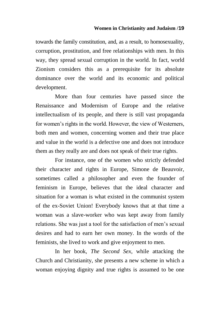#### **Women in Christianity and Judaism /19**

towards the family constitution, and, as a result, to homosexuality, corruption, prostitution, and free relationships with men. In this way, they spread sexual corruption in the world. In fact, world Zionism considers this as a prerequisite for its absolute dominance over the world and its economic and political development.

More than four centuries have passed since the Renaissance and Modernism of Europe and the relative intellectualism of its people, and there is still vast propaganda for women's rights in the world. However, the view of Westerners, both men and women, concerning women and their true place and value in the world is a defective one and does not introduce them as they really are and does not speak of their true rights.

For instance, one of the women who strictly defended their character and rights in Europe, Simone de Beauvoir, sometimes called a philosopher and even the founder of feminism in Europe, believes that the ideal character and situation for a woman is what existed in the communist system of the ex-Soviet Union! Everybody knows that at that time a woman was a slave-worker who was kept away from family relations. She was just a tool for the satisfaction of men"s sexual desires and had to earn her own money. In the words of the feminists, she lived to work and give enjoyment to men.

In her book, *The Second Sex*, while attacking the Church and Christianity, she presents a new scheme in which a woman enjoying dignity and true rights is assumed to be one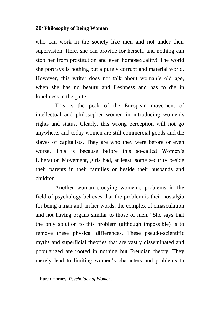who can work in the society like men and not under their supervision. Here, she can provide for herself, and nothing can stop her from prostitution and even homosexuality! The world she portrays is nothing but a purely corrupt and material world. However, this writer does not talk about woman's old age, when she has no beauty and freshness and has to die in loneliness in the gutter.

This is the peak of the European movement of intellectual and philosopher women in introducing women"s rights and status. Clearly, this wrong perception will not go anywhere, and today women are still commercial goods and the slaves of capitalists. They are who they were before or even worse. This is because before this so-called Women's Liberation Movement, girls had, at least, some security beside their parents in their families or beside their husbands and children.

Another woman studying women"s problems in the field of psychology believes that the problem is their nostalgia for being a man and, in her words, the complex of emasculation and not having organs similar to those of men.<sup>6</sup> She says that the only solution to this problem (although impossible) is to remove these physical differences. These pseudo-scientific myths and superficial theories that are vastly disseminated and popularized are rooted in nothing but Freudian theory. They merely lead to limiting women"s characters and problems to

 6 . Karen Horney, *Psychology of Women*.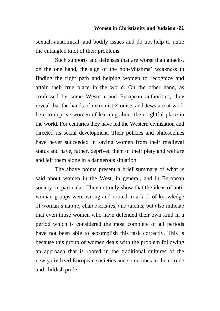sexual, anatomical, and bodily issues and do not help to untie the entangled knot of their problems.

Such supports and defenses that are worse than attacks, on the one hand, the sign of the non-Muslims" weakness in finding the right path and helping women to recognize and attain their true place in the world. On the other hand, as confessed by some Western and European authorities, they reveal that the hands of extremist Zionists and Jews are at work here to deprive women of learning about their rightful place in the world. For centuries they have led the Western civilization and directed its social development. Their policies and philosophies have never succeeded in saving women from their medieval status and have, rather, deprived them of their piety and welfare and left them alone in a dangerous situation.

The above points present a brief summary of what is said about women in the West, in general, and in European society, in particular. They not only show that the ideas of antiwoman groups were wrong and rooted in a lack of knowledge of woman"s nature, characteristics, and talents, but also indicate that even those women who have defended their own kind in a period which is considered the most complete of all periods have not been able to accomplish this task correctly. This is because this group of women deals with the problem following an approach that is rooted in the traditional cultures of the newly civilized European societies and sometimes in their crude and childish pride.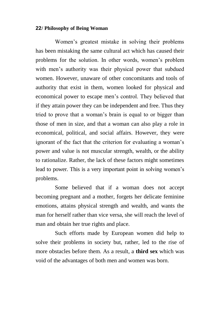Women"s greatest mistake in solving their problems has been mistaking the same cultural act which has caused their problems for the solution. In other words, women"s problem with men's authority was their physical power that subdued women. However, unaware of other concomitants and tools of authority that exist in them, women looked for physical and economical power to escape men"s control. They believed that if they attain power they can be independent and free. Thus they tried to prove that a woman"s brain is equal to or bigger than those of men in size, and that a woman can also play a role in economical, political, and social affairs. However, they were ignorant of the fact that the criterion for evaluating a woman's power and value is not muscular strength, wealth, or the ability to rationalize. Rather, the lack of these factors might sometimes lead to power. This is a very important point in solving women"s problems.

Some believed that if a woman does not accept becoming pregnant and a mother, forgets her delicate feminine emotions, attains physical strength and wealth, and wants the man for herself rather than vice versa, she will reach the level of man and obtain her true rights and place.

Such efforts made by European women did help to solve their problems in society but, rather, led to the rise of more obstacles before them. As a result, a **third sex** which was void of the advantages of both men and women was born.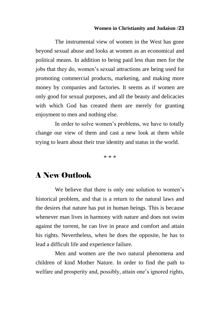#### **Women in Christianity and Judaism /23**

The instrumental view of women in the West has gone beyond sexual abuse and looks at women as an economical and political means. In addition to being paid less than men for the jobs that they do, women"s sexual attractions are being used for promoting commercial products, marketing, and making more money by companies and factories. It seems as if women are only good for sexual purposes, and all the beauty and delicacies with which God has created them are merely for granting enjoyment to men and nothing else.

In order to solve women"s problems, we have to totally change our view of them and cast a new look at them while trying to learn about their true identity and status in the world.

\* \* \*

### A New Outlook

We believe that there is only one solution to women's historical problem, and that is a return to the natural laws and the desires that nature has put in human beings. This is because whenever man lives in harmony with nature and does not swim against the torrent, he can live in peace and comfort and attain his rights. Nevertheless, when he does the opposite, he has to lead a difficult life and experience failure.

Men and women are the two natural phenomena and children of kind Mother Nature. In order to find the path to welfare and prosperity and, possibly, attain one's ignored rights,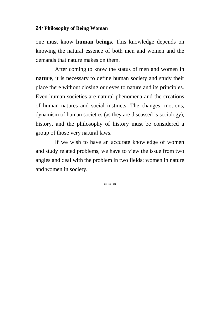one must know **human beings**. This knowledge depends on knowing the natural essence of both men and women and the demands that nature makes on them.

After coming to know the status of men and women in **nature**, it is necessary to define human society and study their place there without closing our eyes to nature and its principles. Even human societies are natural phenomena and the creations of human natures and social instincts. The changes, motions, dynamism of human societies (as they are discussed is sociology), history, and the philosophy of history must be considered a group of those very natural laws.

If we wish to have an accurate knowledge of women and study related problems, we have to view the issue from two angles and deal with the problem in two fields: women in nature and women in society.

\* \* \*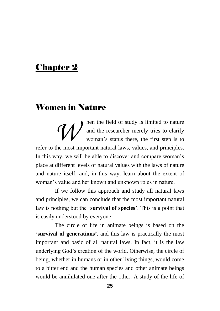## Chapter 2

## Women in Nature

hen the field of study is limited to nature and the researcher merely tries to clarify woman's status there, the first step is to refer to the most important natural laws, values, and principles. In this way, we will be able to discover and compare woman's place at different levels of natural values with the laws of nature and nature itself, and, in this way, learn about the extent of woman"s value and her known and unknown roles in nature. *W*

If we follow this approach and study all natural laws and principles, we can conclude that the most important natural law is nothing but the "**survival of species**". This is a point that is easily understood by everyone.

The circle of life in animate beings is based on the **'survival of generations'**, and this law is practically the most important and basic of all natural laws. In fact, it is the law underlying God"s creation of the world. Otherwise, the circle of being, whether in humans or in other living things, would come to a bitter end and the human species and other animate beings would be annihilated one after the other. A study of the life of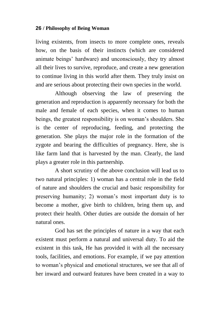living existents, from insects to more complete ones, reveals how, on the basis of their instincts (which are considered animate beings" hardware) and unconsciously, they try almost all their lives to survive, reproduce, and create a new generation to continue living in this world after them. They truly insist on and are serious about protecting their own species in the world.

Although observing the law of preserving the generation and reproduction is apparently necessary for both the male and female of each species, when it comes to human beings, the greatest responsibility is on woman"s shoulders. She is the center of reproducing, feeding, and protecting the generation. She plays the major role in the formation of the zygote and bearing the difficulties of pregnancy. Here, she is like farm land that is harvested by the man. Clearly, the land plays a greater role in this partnership.

A short scrutiny of the above conclusion will lead us to two natural principles: 1) woman has a central role in the field of nature and shoulders the crucial and basic responsibility for preserving humanity; 2) woman"s most important duty is to become a mother, give birth to children, bring them up, and protect their health. Other duties are outside the domain of her natural ones.

God has set the principles of nature in a way that each existent must perform a natural and universal duty. To aid the existent in this task, He has provided it with all the necessary tools, facilities, and emotions. For example, if we pay attention to woman"s physical and emotional structures, we see that all of her inward and outward features have been created in a way to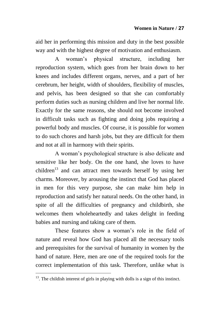aid her in performing this mission and duty in the best possible way and with the highest degree of motivation and enthusiasm.

A woman"s physical structure, including her reproduction system, which goes from her brain down to her knees and includes different organs, nerves, and a part of her cerebrum, her height, width of shoulders, flexibility of muscles, and pelvis, has been designed so that she can comfortably perform duties such as nursing children and live her normal life. Exactly for the same reasons, she should not become involved in difficult tasks such as fighting and doing jobs requiring a powerful body and muscles. Of course, it is possible for women to do such chores and harsh jobs, but they are difficult for them and not at all in harmony with their spirits.

A woman"s psychological structure is also delicate and sensitive like her body. On the one hand, she loves to have children<sup>13</sup> and can attract men towards herself by using her charms. Moreover, by arousing the instinct that God has placed in men for this very purpose, she can make him help in reproduction and satisfy her natural needs. On the other hand, in spite of all the difficulties of pregnancy and childbirth, she welcomes them wholeheartedly and takes delight in feeding babies and nursing and taking care of them.

These features show a woman's role in the field of nature and reveal how God has placed all the necessary tools and prerequisites for the survival of humanity in women by the hand of nature. Here, men are one of the required tools for the correct implementation of this task. Therefore, unlike what is

 $\overline{a}$ 

 $13$ . The childish interest of girls in playing with dolls is a sign of this instinct.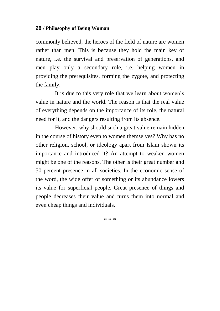commonly believed, the heroes of the field of nature are women rather than men. This is because they hold the main key of nature, i.e. the survival and preservation of generations, and men play only a secondary role, i.e. helping women in providing the prerequisites, forming the zygote, and protecting the family.

It is due to this very role that we learn about women"s value in nature and the world. The reason is that the real value of everything depends on the importance of its role, the natural need for it, and the dangers resulting from its absence.

However, why should such a great value remain hidden in the course of history even to women themselves? Why has no other religion, school, or ideology apart from Islam shown its importance and introduced it? An attempt to weaken women might be one of the reasons. The other is their great number and 50 percent presence in all societies. In the economic sense of the word, the wide offer of something or its abundance lowers its value for superficial people. Great presence of things and people decreases their value and turns them into normal and even cheap things and individuals.

\* \* \*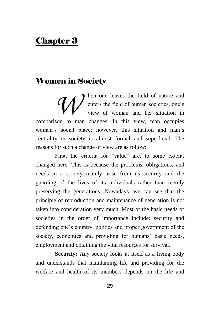## Chapter 3

## Women in Society

hen one leaves the field of nature and enters the field of human societies, one's view of woman and her situation in comparison to man changes. In this view, man occupies woman's social place; however, this situation and man's centrality in society is almost formal and superficial. The reasons for such a change of view are as follow: *W*

First, the criteria for "value" are, to some extent, changed here. This is because the problems, obligations, and needs in a society mainly arise from its security and the guarding of the lives of its individuals rather than merely preserving the generations. Nowadays, we can see that the principle of reproduction and maintenance of generation is not taken into consideration very much. Most of the basic needs of societies in the order of importance include: security and defending one's country, politics and proper government of the society, economics and providing for humans' basic needs, employment and obtaining the vital resources for survival.

Security: Any society looks at itself as a living body and understands that maintaining life and providing for the welfare and health of its members depends on the life and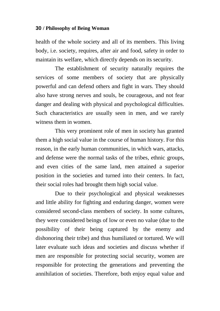health of the whole society and all of its members. This living body, i.e. society, requires, after air and food, safety in order to maintain its welfare, which directly depends on its security.

The establishment of security naturally requires the services of some members of society that are physically powerful and can defend others and fight in wars. They should also have strong nerves and souls, be courageous, and not fear danger and dealing with physical and psychological difficulties. Such characteristics are usually seen in men, and we rarely witness them in women

This very prominent role of men in society has granted them a high social value in the course of human history. For this reason, in the early human communities, in which wars, attacks, and defense were the normal tasks of the tribes, ethnic groups, and even cities of the same land, men attained a superior position in the societies and turned into their centers. In fact, their social roles had brought them high social value.

Due to their psychological and physical weaknesses and little ability for fighting and enduring danger, women were considered second-class members of society. In some cultures, they were considered beings of low or even no value (due to the possibility of their being captured by the enemy and dishonoring their tribe) and thus humiliated or tortured. We will later evaluate such ideas and societies and discuss whether if men are responsible for protecting social security, women are responsible for protecting the generations and preventing the annihilation of societies. Therefore, both enjoy equal value and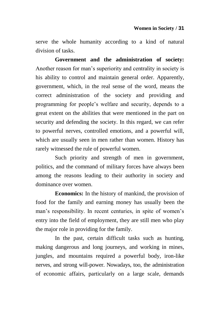serve the whole humanity according to a kind of natural division of tasks.

**Government and the administration of society:** Another reason for man"s superiority and centrality in society is his ability to control and maintain general order. Apparently, government, which, in the real sense of the word, means the correct administration of the society and providing and programming for people"s welfare and security, depends to a great extent on the abilities that were mentioned in the part on security and defending the society. In this regard, we can refer to powerful nerves, controlled emotions, and a powerful will, which are usually seen in men rather than women. History has rarely witnessed the rule of powerful women.

Such priority and strength of men in government, politics, and the command of military forces have always been among the reasons leading to their authority in society and dominance over women.

**Economics:** In the history of mankind, the provision of food for the family and earning money has usually been the man's responsibility. In recent centuries, in spite of women's entry into the field of employment, they are still men who play the major role in providing for the family.

In the past, certain difficult tasks such as hunting, making dangerous and long journeys, and working in mines, jungles, and mountains required a powerful body, iron-like nerves, and strong will-power. Nowadays, too, the administration of economic affairs, particularly on a large scale, demands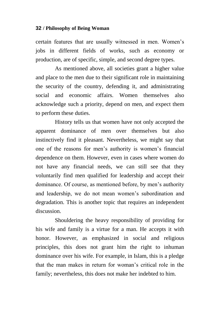certain features that are usually witnessed in men. Women"s jobs in different fields of works, such as economy or production, are of specific, simple, and second degree types.

As mentioned above, all societies grant a higher value and place to the men due to their significant role in maintaining the security of the country, defending it, and administrating social and economic affairs. Women themselves also acknowledge such a priority, depend on men, and expect them to perform these duties.

History tells us that women have not only accepted the apparent dominance of men over themselves but also instinctively find it pleasant. Nevertheless, we might say that one of the reasons for men"s authority is women"s financial dependence on them. However, even in cases where women do not have any financial needs, we can still see that they voluntarily find men qualified for leadership and accept their dominance. Of course, as mentioned before, by men"s authority and leadership, we do not mean women"s subordination and degradation. This is another topic that requires an independent discussion.

Shouldering the heavy responsibility of providing for his wife and family is a virtue for a man. He accepts it with honor. However, as emphasized in social and religious principles, this does not grant him the right to inhuman dominance over his wife. For example, in Islam, this is a pledge that the man makes in return for woman"s critical role in the family; nevertheless, this does not make her indebted to him.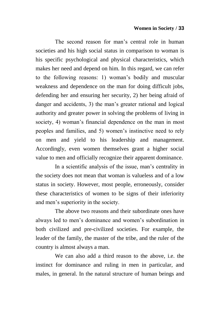The second reason for man's central role in human societies and his high social status in comparison to woman is his specific psychological and physical characteristics, which makes her need and depend on him. In this regard, we can refer to the following reasons: 1) woman"s bodily and muscular weakness and dependence on the man for doing difficult jobs, defending her and ensuring her security, 2) her being afraid of danger and accidents, 3) the man's greater rational and logical authority and greater power in solving the problems of living in society, 4) woman's financial dependence on the man in most peoples and families, and 5) women"s instinctive need to rely on men and yield to his leadership and management. Accordingly, even women themselves grant a higher social value to men and officially recognize their apparent dominance.

In a scientific analysis of the issue, man"s centrality in the society does not mean that woman is valueless and of a low status in society. However, most people, erroneously, consider these characteristics of women to be signs of their inferiority and men"s superiority in the society.

The above two reasons and their subordinate ones have always led to men's dominance and women's subordination in both civilized and pre-civilized societies. For example, the leader of the family, the master of the tribe, and the ruler of the country is almost always a man.

We can also add a third reason to the above, i.e. the instinct for dominance and ruling in men in particular, and males, in general. In the natural structure of human beings and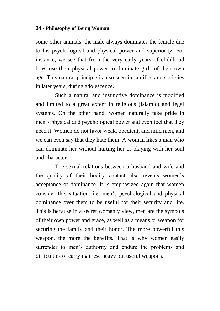some other animals, the male always dominates the female due to his psychological and physical power and superiority. For instance, we see that from the very early years of childhood boys use their physical power to dominate girls of their own age. This natural principle is also seen in families and societies in later years, during adolescence.

Such a natural and instinctive dominance is modified and limited to a great extent in religious (Islamic) and legal systems. On the other hand, women naturally take pride in men"s physical and psychological power and even feel that they need it. Women do not favor weak, obedient, and mild men, and we can even say that they hate them. A woman likes a man who can dominate her without hurting her or playing with her soul and character.

The sexual relations between a husband and wife and the quality of their bodily contact also reveals women"s acceptance of dominance. It is emphasized again that women consider this situation, i.e. men"s psychological and physical dominance over them to be useful for their security and life. This is because in a secret womanly view, men are the symbols of their own power and grace, as well as a means or weapon for securing the family and their honor. The more powerful this weapon, the more the benefits. That is why women easily surrender to men's authority and endure the problems and difficulties of carrying these heavy but useful weapons.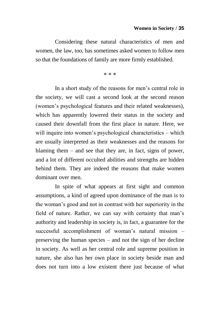Considering these natural characteristics of men and women, the law, too, has sometimes asked women to follow men so that the foundations of family are more firmly established.

\* \* \*

In a short study of the reasons for men"s central role in the society, we will cast a second look at the second reason (women"s psychological features and their related weaknesses), which has apparently lowered their status in the society and caused their downfall from the first place in nature. Here, we will inquire into women's psychological characteristics – which are usually interpreted as their weaknesses and the reasons for blaming them – and see that they are, in fact, signs of power, and a lot of different occulted abilities and strengths are hidden behind them. They are indeed the reasons that make women dominant over men.

In spite of what appears at first sight and common assumptions, a kind of agreed upon dominance of the man is to the woman"s good and not in contrast with her superiority in the field of nature. Rather, we can say with certainty that man's authority and leadership in society is, in fact, a guarantee for the successful accomplishment of woman"s natural mission – preserving the human species – and not the sign of her decline in society. As well as her central role and supreme position in nature, she also has her own place in society beside man and does not turn into a low existent there just because of what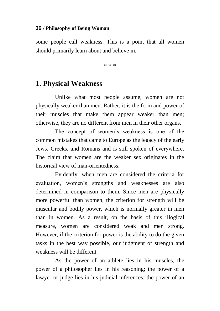some people call weakness. This is a point that all women should primarily learn about and believe in.

\* \* \*

## **1. Physical Weakness**

Unlike what most people assume, women are not physically weaker than men. Rather, it is the form and power of their muscles that make them appear weaker than men; otherwise, they are no different from men in their other organs.

The concept of women"s weakness is one of the common mistakes that came to Europe as the legacy of the early Jews, Greeks, and Romans and is still spoken of everywhere. The claim that women are the weaker sex originates in the historical view of man-orientedness.

Evidently, when men are considered the criteria for evaluation, women"s strengths and weaknesses are also determined in comparison to them. Since men are physically more powerful than women, the criterion for strength will be muscular and bodily power, which is normally greater in men than in women. As a result, on the basis of this illogical measure, women are considered weak and men strong. However, if the criterion for power is the ability to do the given tasks in the best way possible, our judgment of strength and weakness will be different.

As the power of an athlete lies in his muscles, the power of a philosopher lies in his reasoning; the power of a lawyer or judge lies in his judicial inferences; the power of an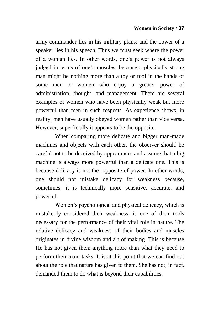army commander lies in his military plans; and the power of a speaker lies in his speech. Thus we must seek where the power of a woman lies. In other words, one"s power is not always judged in terms of one's muscles, because a physically strong man might be nothing more than a toy or tool in the hands of some men or women who enjoy a greater power of administration, thought, and management. There are several examples of women who have been physically weak but more powerful than men in such respects. As experience shows, in reality, men have usually obeyed women rather than vice versa. However, superficially it appears to be the opposite.

When comparing more delicate and bigger man-made machines and objects with each other, the observer should be careful not to be deceived by appearances and assume that a big machine is always more powerful than a delicate one. This is because delicacy is not the opposite of power. In other words, one should not mistake delicacy for weakness because, sometimes, it is technically more sensitive, accurate, and powerful.

Women"s psychological and physical delicacy, which is mistakenly considered their weakness, is one of their tools necessary for the performance of their vital role in nature. The relative delicacy and weakness of their bodies and muscles originates in divine wisdom and art of making. This is because He has not given them anything more than what they need to perform their main tasks. It is at this point that we can find out about the role that nature has given to them. She has not, in fact, demanded them to do what is beyond their capabilities.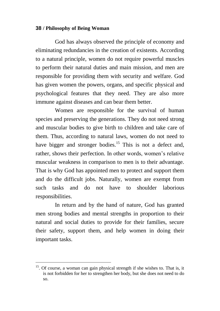God has always observed the principle of economy and eliminating redundancies in the creation of existents. According to a natural principle, women do not require powerful muscles to perform their natural duties and main mission, and men are responsible for providing them with security and welfare. God has given women the powers, organs, and specific physical and psychological features that they need. They are also more immune against diseases and can bear them better.

Women are responsible for the survival of human species and preserving the generations. They do not need strong and muscular bodies to give birth to children and take care of them. Thus, according to natural laws, women do not need to have bigger and stronger bodies.<sup>15</sup> This is not a defect and, rather, shows their perfection. In other words, women"s relative muscular weakness in comparison to men is to their advantage. That is why God has appointed men to protect and support them and do the difficult jobs. Naturally, women are exempt from such tasks and do not have to shoulder laborious responsibilities.

In return and by the hand of nature, God has granted men strong bodies and mental strengths in proportion to their natural and social duties to provide for their families, secure their safety, support them, and help women in doing their important tasks.

 $\overline{a}$ 

 $15$ . Of course, a woman can gain physical strength if she wishes to. That is, it is not forbidden for her to strengthen her body, but she does not need to do so.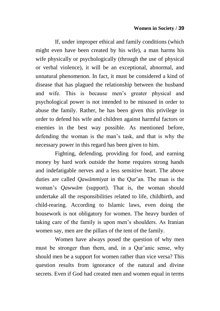If, under improper ethical and family conditions (which might even have been created by his wife), a man harms his wife physically or psychologically (through the use of physical or verbal violence), it will be an exceptional, abnormal, and unnatural phenomenon. In fact, it must be considered a kind of disease that has plagued the relationship between the husband and wife. This is because men"s greater physical and psychological power is not intended to be misused in order to abuse the family. Rather, he has been given this privilege in order to defend his wife and children against harmful factors or enemies in the best way possible. As mentioned before, defending the woman is the man"s task, and that is why the necessary power in this regard has been given to him.

Fighting, defending, providing for food, and earning money by hard work outside the home requires strong hands and indefatigable nerves and a less sensitive heart. The above duties are called *Oawāmmiyat* in the Our'an. The man is the woman"s *Qawwām* (support). That is, the woman should undertake all the responsibilities related to life, childbirth, and child-rearing. According to Islamic laws, even doing the housework is not obligatory for women. The heavy burden of taking care of the family is upon men"s shoulders. As Iranian women say, men are the pillars of the tent of the family.

Women have always posed the question of why men must be stronger than them, and, in a Our'anic sense, why should men be a support for women rather than vice versa? This question results from ignorance of the natural and divine secrets. Even if God had created men and women equal in terms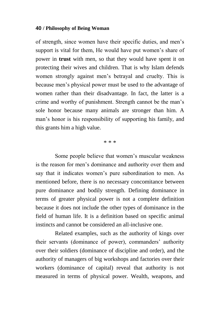of strength, since women have their specific duties, and men"s support is vital for them. He would have put women's share of power in **trust** with men, so that they would have spent it on protecting their wives and children. That is why Islam defends women strongly against men"s betrayal and cruelty. This is because men"s physical power must be used to the advantage of women rather than their disadvantage. In fact, the latter is a crime and worthy of punishment. Strength cannot be the man"s sole honor because many animals are stronger than him. A man"s honor is his responsibility of supporting his family, and this grants him a high value.

\* \* \*

Some people believe that women"s muscular weakness is the reason for men"s dominance and authority over them and say that it indicates women's pure subordination to men. As mentioned before, there is no necessary concomitance between pure dominance and bodily strength. Defining dominance in terms of greater physical power is not a complete definition because it does not include the other types of dominance in the field of human life. It is a definition based on specific animal instincts and cannot be considered an all-inclusive one.

Related examples, such as the authority of kings over their servants (dominance of power), commanders' authority over their soldiers (dominance of discipline and order), and the authority of managers of big workshops and factories over their workers (dominance of capital) reveal that authority is not measured in terms of physical power. Wealth, weapons, and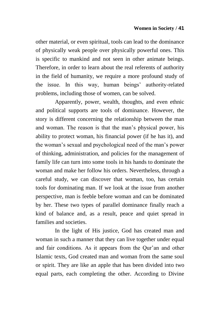other material, or even spiritual, tools can lead to the dominance of physically weak people over physically powerful ones. This is specific to mankind and not seen in other animate beings. Therefore, in order to learn about the real referents of authority in the field of humanity, we require a more profound study of the issue. In this way, human beings' authority-related problems, including those of women, can be solved.

Apparently, power, wealth, thoughts, and even ethnic and political supports are tools of dominance. However, the story is different concerning the relationship between the man and woman. The reason is that the man"s physical power, his ability to protect woman, his financial power (if he has it), and the woman"s sexual and psychological need of the man"s power of thinking, administration, and policies for the management of family life can turn into some tools in his hands to dominate the woman and make her follow his orders. Nevertheless, through a careful study, we can discover that woman, too, has certain tools for dominating man. If we look at the issue from another perspective, man is feeble before woman and can be dominated by her. These two types of parallel dominance finally reach a kind of balance and, as a result, peace and quiet spread in families and societies.

In the light of His justice, God has created man and woman in such a manner that they can live together under equal and fair conditions. As it appears from the Qur"an and other Islamic texts, God created man and woman from the same soul or spirit. They are like an apple that has been divided into two equal parts, each completing the other. According to Divine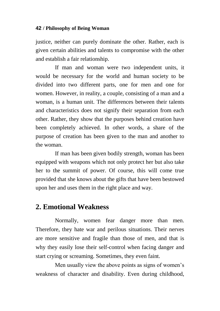justice, neither can purely dominate the other. Rather, each is given certain abilities and talents to compromise with the other and establish a fair relationship.

If man and woman were two independent units, it would be necessary for the world and human society to be divided into two different parts, one for men and one for women. However, in reality, a couple, consisting of a man and a woman, is a human unit. The differences between their talents and characteristics does not signify their separation from each other. Rather, they show that the purposes behind creation have been completely achieved. In other words, a share of the purpose of creation has been given to the man and another to the woman.

If man has been given bodily strength, woman has been equipped with weapons which not only protect her but also take her to the summit of power. Of course, this will come true provided that she knows about the gifts that have been bestowed upon her and uses them in the right place and way.

# **2. Emotional Weakness**

Normally, women fear danger more than men. Therefore, they hate war and perilous situations. Their nerves are more sensitive and fragile than those of men, and that is why they easily lose their self-control when facing danger and start crying or screaming. Sometimes, they even faint.

Men usually view the above points as signs of women's weakness of character and disability. Even during childhood,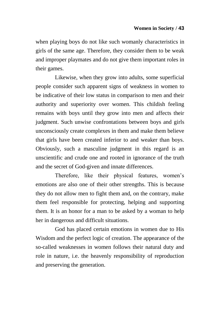when playing boys do not like such womanly characteristics in girls of the same age. Therefore, they consider them to be weak and improper playmates and do not give them important roles in their games.

Likewise, when they grow into adults, some superficial people consider such apparent signs of weakness in women to be indicative of their low status in comparison to men and their authority and superiority over women. This childish feeling remains with boys until they grow into men and affects their judgment. Such unwise confrontations between boys and girls unconsciously create complexes in them and make them believe that girls have been created inferior to and weaker than boys. Obviously, such a masculine judgment in this regard is an unscientific and crude one and rooted in ignorance of the truth and the secret of God-given and innate differences.

Therefore, like their physical features, women"s emotions are also one of their other strengths. This is because they do not allow men to fight them and, on the contrary, make them feel responsible for protecting, helping and supporting them. It is an honor for a man to be asked by a woman to help her in dangerous and difficult situations.

God has placed certain emotions in women due to His Wisdom and the perfect logic of creation. The appearance of the so-called weaknesses in women follows their natural duty and role in nature, i.e. the heavenly responsibility of reproduction and preserving the generation.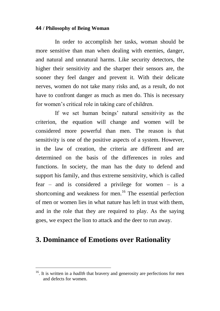In order to accomplish her tasks, woman should be more sensitive than man when dealing with enemies, danger, and natural and unnatural harms. Like security detectors, the higher their sensitivity and the sharper their sensors are, the sooner they feel danger and prevent it. With their delicate nerves, women do not take many risks and, as a result, do not have to confront danger as much as men do. This is necessary for women"s critical role in taking care of children.

If we set human beings' natural sensitivity as the criterion, the equation will change and women will be considered more powerful than men. The reason is that sensitivity is one of the positive aspects of a system. However, in the law of creation, the criteria are different and are determined on the basis of the differences in roles and functions. In society, the man has the duty to defend and support his family, and thus extreme sensitivity, which is called fear – and is considered a privilege for women – is a shortcoming and weakness for men.<sup>16</sup> The essential perfection of men or women lies in what nature has left in trust with them, and in the role that they are required to play. As the saying goes, we expect the lion to attack and the deer to run away.

# **3. Dominance of Emotions over Rationality**

 $\overline{a}$ 

<sup>&</sup>lt;sup>16</sup>. It is written in a *hadīth* that bravery and generosity are perfections for men and defects for women.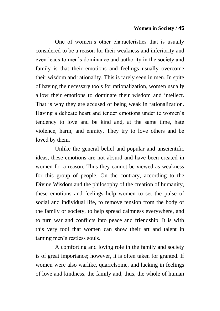### **Women in Society / 45**

One of women"s other characteristics that is usually considered to be a reason for their weakness and inferiority and even leads to men"s dominance and authority in the society and family is that their emotions and feelings usually overcome their wisdom and rationality. This is rarely seen in men. In spite of having the necessary tools for rationalization, women usually allow their emotions to dominate their wisdom and intellect. That is why they are accused of being weak in rationalization. Having a delicate heart and tender emotions underlie women"s tendency to love and be kind and, at the same time, hate violence, harm, and enmity. They try to love others and be loved by them.

Unlike the general belief and popular and unscientific ideas, these emotions are not absurd and have been created in women for a reason. Thus they cannot be viewed as weakness for this group of people. On the contrary, according to the Divine Wisdom and the philosophy of the creation of humanity, these emotions and feelings help women to set the pulse of social and individual life, to remove tension from the body of the family or society, to help spread calmness everywhere, and to turn war and conflicts into peace and friendship. It is with this very tool that women can show their art and talent in taming men"s restless souls.

A comforting and loving role in the family and society is of great importance; however, it is often taken for granted. If women were also warlike, quarrelsome, and lacking in feelings of love and kindness, the family and, thus, the whole of human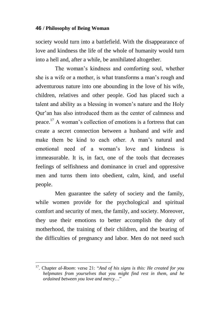society would turn into a battlefield. With the disappearance of love and kindness the life of the whole of humanity would turn into a hell and, after a while, be annihilated altogether.

The woman"s kindness and comforting soul, whether she is a wife or a mother, is what transforms a man"s rough and adventurous nature into one abounding in the love of his wife, children, relatives and other people. God has placed such a talent and ability as a blessing in women"s nature and the Holy Qur"an has also introduced them as the center of calmness and peace.<sup>17</sup> A woman"s collection of emotions is a fortress that can create a secret connection between a husband and wife and make them be kind to each other. A man's natural and emotional need of a woman"s love and kindness is immeasurable. It is, in fact, one of the tools that decreases feelings of selfishness and dominance in cruel and oppressive men and turns them into obedient, calm, kind, and useful people.

Men guarantee the safety of society and the family, while women provide for the psychological and spiritual comfort and security of men, the family, and society. Moreover, they use their emotions to better accomplish the duty of motherhood, the training of their children, and the bearing of the difficulties of pregnancy and labor. Men do not need such

 $\overline{a}$ 

<sup>17</sup>. Chapter *al-Room*: verse 21: "*And of his signs is this: He created for you helpmates from yourselves that you might find rest in them, and he ordained between you love and mercy*…"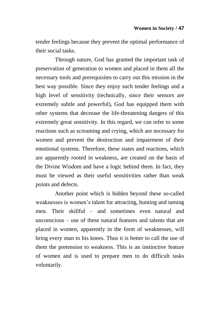tender feelings because they prevent the optimal performance of their social tasks.

Through nature, God has granted the important task of preservation of generation to women and placed in them all the necessary tools and prerequisites to carry out this mission in the best way possible. Since they enjoy such tender feelings and a high level of sensitivity (technically, since their sensors are extremely subtle and powerful), God has equipped them with other systems that decrease the life-threatening dangers of this extremely great sensitivity. In this regard, we can refer to some reactions such as screaming and crying, which are necessary for women and prevent the destruction and impairment of their emotional systems. Therefore, these states and reactions, which are apparently rooted in weakness, are created on the basis of the Divine Wisdom and have a logic behind them. In fact, they must be viewed as their useful sensitivities rather than weak points and defects.

Another point which is hidden beyond these so-called weaknesses is women"s talent for attracting, hunting and taming men. Their skillful – and sometimes even natural and unconscious – use of these natural features and talents that are placed in women, apparently in the form of weaknesses, will bring every man to his knees. Thus it is better to call the use of them the pretension to weakness. This is an instinctive feature of women and is used to prepare men to do difficult tasks voluntarily.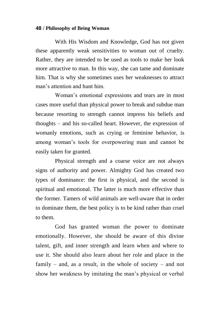With His Wisdom and Knowledge, God has not given these apparently weak sensitivities to woman out of cruelty. Rather, they are intended to be used as tools to make her look more attractive to man. In this way, she can tame and dominate him. That is why she sometimes uses her weaknesses to attract man"s attention and hunt him.

Woman"s emotional expressions and tears are in most cases more useful than physical power to break and subdue man because resorting to strength cannot impress his beliefs and thoughts – and his so-called heart. However, the expression of womanly emotions, such as crying or feminine behavior, is among woman"s tools for overpowering man and cannot be easily taken for granted.

Physical strength and a coarse voice are not always signs of authority and power. Almighty God has created two types of dominance: the first is physical, and the second is spiritual and emotional. The latter is much more effective than the former. Tamers of wild animals are well-aware that in order to dominate them, the best policy is to be kind rather than cruel to them.

God has granted woman the power to dominate emotionally. However, she should be aware of this divine talent, gift, and inner strength and learn when and where to use it. She should also learn about her role and place in the family – and, as a result, in the whole of society – and not show her weakness by imitating the man"s physical or verbal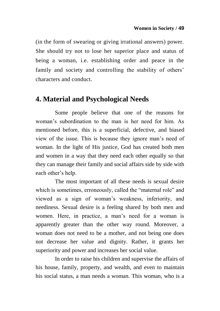(in the form of swearing or giving irrational answers) power. She should try not to lose her superior place and status of being a woman, i.e. establishing order and peace in the family and society and controlling the stability of others' characters and conduct.

# **4. Material and Psychological Needs**

Some people believe that one of the reasons for woman"s subordination to the man is her need for him. As mentioned before, this is a superficial, defective, and biased view of the issue. This is because they ignore man"s need of woman. In the light of His justice, God has created both men and women in a way that they need each other equally so that they can manage their family and social affairs side by side with each other's help.

The most important of all these needs is sexual desire which is sometimes, erroneously, called the "maternal role" and viewed as a sign of woman"s weakness, inferiority, and neediness. Sexual desire is a feeling shared by both men and women. Here, in practice, a man"s need for a woman is apparently greater than the other way round. Moreover, a woman does not need to be a mother, and not being one does not decrease her value and dignity. Rather, it grants her superiority and power and increases her social value.

In order to raise his children and supervise the affairs of his house, family, property, and wealth, and even to maintain his social status, a man needs a woman. This woman, who is a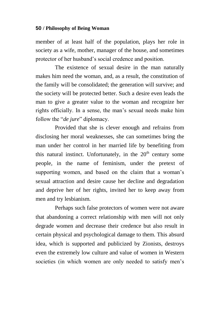member of at least half of the population, plays her role in society as a wife, mother, manager of the house, and sometimes protector of her husband"s social credence and position.

The existence of sexual desire in the man naturally makes him need the woman, and, as a result, the constitution of the family will be consolidated; the generation will survive; and the society will be protected better. Such a desire even leads the man to give a greater value to the woman and recognize her rights officially. In a sense, the man"s sexual needs make him follow the "*de jure*" diplomacy.

Provided that she is clever enough and refrains from disclosing her moral weaknesses, she can sometimes bring the man under her control in her married life by benefiting from this natural instinct. Unfortunately, in the  $20<sup>th</sup>$  century some people, in the name of feminism, under the pretext of supporting women, and based on the claim that a woman's sexual attraction and desire cause her decline and degradation and deprive her of her rights, invited her to keep away from men and try lesbianism.

Perhaps such false protectors of women were not aware that abandoning a correct relationship with men will not only degrade women and decrease their credence but also result in certain physical and psychological damage to them. This absurd idea, which is supported and publicized by Zionists, destroys even the extremely low culture and value of women in Western societies (in which women are only needed to satisfy men's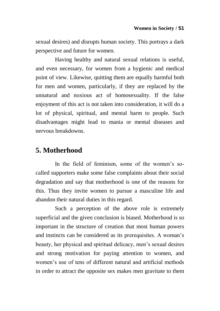sexual desires) and disrupts human society. This portrays a dark perspective and future for women.

Having healthy and natural sexual relations is useful, and even necessary, for women from a hygienic and medical point of view. Likewise, quitting them are equally harmful both for men and women, particularly, if they are replaced by the unnatural and noxious act of homosexuality. If the false enjoyment of this act is not taken into consideration, it will do a lot of physical, spiritual, and mental harm to people. Such disadvantages might lead to mania or mental diseases and nervous breakdowns.

# **5. Motherhood**

In the field of feminism, some of the women's socalled supporters make some false complaints about their social degradation and say that motherhood is one of the reasons for this. Thus they invite women to pursue a masculine life and abandon their natural duties in this regard.

Such a perception of the above role is extremely superficial and the given conclusion is biased. Motherhood is so important in the structure of creation that most human powers and instincts can be considered as its prerequisites. A woman"s beauty, her physical and spiritual delicacy, men"s sexual desires and strong motivation for paying attention to women, and women's use of tens of different natural and artificial methods in order to attract the opposite sex makes men gravitate to them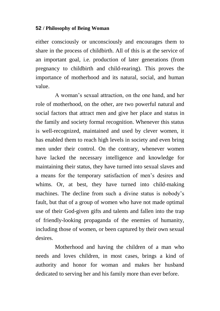either consciously or unconsciously and encourages them to share in the process of childbirth. All of this is at the service of an important goal, i.e. production of later generations (from pregnancy to childbirth and child-rearing). This proves the importance of motherhood and its natural, social, and human value.

A woman"s sexual attraction, on the one hand, and her role of motherhood, on the other, are two powerful natural and social factors that attract men and give her place and status in the family and society formal recognition. Whenever this status is well-recognized, maintained and used by clever women, it has enabled them to reach high levels in society and even bring men under their control. On the contrary, whenever women have lacked the necessary intelligence and knowledge for maintaining their status, they have turned into sexual slaves and a means for the temporary satisfaction of men"s desires and whims. Or, at best, they have turned into child-making machines. The decline from such a divine status is nobody"s fault, but that of a group of women who have not made optimal use of their God-given gifts and talents and fallen into the trap of friendly-looking propaganda of the enemies of humanity, including those of women, or been captured by their own sexual desires.

Motherhood and having the children of a man who needs and loves children, in most cases, brings a kind of authority and honor for woman and makes her husband dedicated to serving her and his family more than ever before.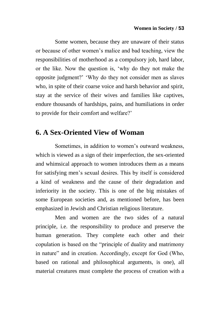Some women, because they are unaware of their status or because of other women"s malice and bad teaching, view the responsibilities of motherhood as a compulsory job, hard labor, or the like. Now the question is, "why do they not make the opposite judgment?" "Why do they not consider men as slaves who, in spite of their coarse voice and harsh behavior and spirit, stay at the service of their wives and families like captives, endure thousands of hardships, pains, and humiliations in order to provide for their comfort and welfare?"

# **6. A Sex-Oriented View of Woman**

Sometimes, in addition to women"s outward weakness, which is viewed as a sign of their imperfection, the sex-oriented and whimsical approach to women introduces them as a means for satisfying men"s sexual desires. This by itself is considered a kind of weakness and the cause of their degradation and inferiority in the society. This is one of the big mistakes of some European societies and, as mentioned before, has been emphasized in Jewish and Christian religious literature.

Men and women are the two sides of a natural principle, i.e. the responsibility to produce and preserve the human generation. They complete each other and their copulation is based on the "principle of duality and matrimony in nature" and in creation. Accordingly, except for God (Who, based on rational and philosophical arguments, is one), all material creatures must complete the process of creation with a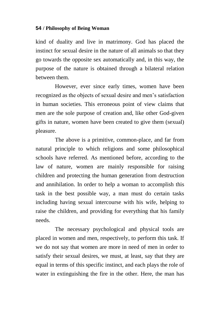kind of duality and live in matrimony. God has placed the instinct for sexual desire in the nature of all animals so that they go towards the opposite sex automatically and, in this way, the purpose of the nature is obtained through a bilateral relation between them.

However, ever since early times, women have been recognized as the objects of sexual desire and men"s satisfaction in human societies. This erroneous point of view claims that men are the sole purpose of creation and, like other God-given gifts in nature, women have been created to give them (sexual) pleasure.

The above is a primitive, common-place, and far from natural principle to which religions and some philosophical schools have referred. As mentioned before, according to the law of nature, women are mainly responsible for raising children and protecting the human generation from destruction and annihilation. In order to help a woman to accomplish this task in the best possible way, a man must do certain tasks including having sexual intercourse with his wife, helping to raise the children, and providing for everything that his family needs.

The necessary psychological and physical tools are placed in women and men, respectively, to perform this task. If we do not say that women are more in need of men in order to satisfy their sexual desires, we must, at least, say that they are equal in terms of this specific instinct, and each plays the role of water in extinguishing the fire in the other. Here, the man has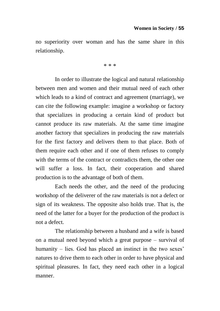no superiority over woman and has the same share in this relationship.

\* \* \*

In order to illustrate the logical and natural relationship between men and women and their mutual need of each other which leads to a kind of contract and agreement (marriage), we can cite the following example: imagine a workshop or factory that specializes in producing a certain kind of product but cannot produce its raw materials. At the same time imagine another factory that specializes in producing the raw materials for the first factory and delivers them to that place. Both of them require each other and if one of them refuses to comply with the terms of the contract or contradicts them, the other one will suffer a loss. In fact, their cooperation and shared production is to the advantage of both of them.

Each needs the other, and the need of the producing workshop of the deliverer of the raw materials is not a defect or sign of its weakness. The opposite also holds true. That is, the need of the latter for a buyer for the production of the product is not a defect.

The relationship between a husband and a wife is based on a mutual need beyond which a great purpose – survival of humanity – lies. God has placed an instinct in the two sexes' natures to drive them to each other in order to have physical and spiritual pleasures. In fact, they need each other in a logical manner.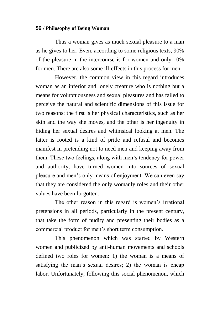Thus a woman gives as much sexual pleasure to a man as he gives to her. Even, according to some religious texts, 90% of the pleasure in the intercourse is for women and only 10% for men. There are also some ill-effects in this process for men.

However, the common view in this regard introduces woman as an inferior and lonely creature who is nothing but a means for voluptuousness and sexual pleasures and has failed to perceive the natural and scientific dimensions of this issue for two reasons: the first is her physical characteristics, such as her skin and the way she moves, and the other is her ingenuity in hiding her sexual desires and whimsical looking at men. The latter is rooted is a kind of pride and refusal and becomes manifest in pretending not to need men and keeping away from them. These two feelings, along with men"s tendency for power and authority, have turned women into sources of sexual pleasure and men"s only means of enjoyment. We can even say that they are considered the only womanly roles and their other values have been forgotten.

The other reason in this regard is women's irrational pretensions in all periods, particularly in the present century, that take the form of nudity and presenting their bodies as a commercial product for men"s short term consumption.

This phenomenon which was started by Western women and publicized by anti-human movements and schools defined two roles for women: 1) the woman is a means of satisfying the man's sexual desires; 2) the woman is cheap labor. Unfortunately, following this social phenomenon, which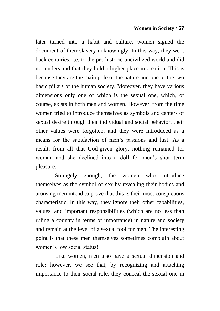later turned into a habit and culture, women signed the document of their slavery unknowingly. In this way, they went back centuries, i.e. to the pre-historic uncivilized world and did not understand that they hold a higher place in creation. This is because they are the main pole of the nature and one of the two basic pillars of the human society. Moreover, they have various dimensions only one of which is the sexual one, which, of course, exists in both men and women. However, from the time women tried to introduce themselves as symbols and centers of sexual desire through their individual and social behavior, their other values were forgotten, and they were introduced as a means for the satisfaction of men"s passions and lust. As a result, from all that God-given glory, nothing remained for woman and she declined into a doll for men's short-term pleasure.

Strangely enough, the women who introduce themselves as the symbol of sex by revealing their bodies and arousing men intend to prove that this is their most conspicuous characteristic. In this way, they ignore their other capabilities, values, and important responsibilities (which are no less than ruling a country in terms of importance) in nature and society and remain at the level of a sexual tool for men. The interesting point is that these men themselves sometimes complain about women"s low social status!

Like women, men also have a sexual dimension and role; however, we see that, by recognizing and attaching importance to their social role, they conceal the sexual one in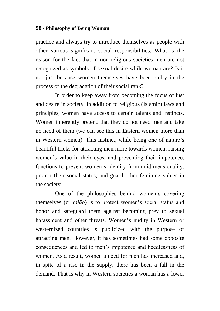practice and always try to introduce themselves as people with other various significant social responsibilities. What is the reason for the fact that in non-religious societies men are not recognized as symbols of sexual desire while woman are? Is it not just because women themselves have been guilty in the process of the degradation of their social rank?

In order to keep away from becoming the focus of lust and desire in society, in addition to religious (Islamic) laws and principles, women have access to certain talents and instincts. Women inherently pretend that they do not need men and take no heed of them (we can see this in Eastern women more than in Western women). This instinct, while being one of nature's beautiful tricks for attracting men more towards women, raising women's value in their eyes, and preventing their impotence, functions to prevent women's identity from unidimensionality, protect their social status, and guard other feminine values in the society.

One of the philosophies behind women's covering themselves (or *hijāb*) is to protect women"s social status and honor and safeguard them against becoming prey to sexual harassment and other threats. Women"s nudity in Western or westernized countries is publicized with the purpose of attracting men. However, it has sometimes had some opposite consequences and led to men"s impotence and heedlessness of women. As a result, women's need for men has increased and, in spite of a rise in the supply, there has been a fall in the demand. That is why in Western societies a woman has a lower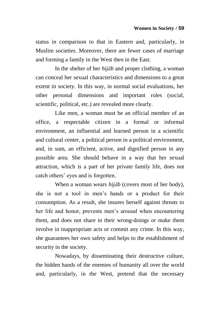status in comparison to that in Eastern and, particularly, in Muslim societies. Moreover, there are fewer cases of marriage and forming a family in the West then in the East.

In the shelter of her *hijāb* and proper clothing, a woman can conceal her sexual characteristics and dimensions to a great extent in society. In this way, in normal social evaluations, her other personal dimensions and important roles (social, scientific, political, etc.) are revealed more clearly.

Like men, a woman must be an official member of an office, a respectable citizen in a formal or informal environment, an influential and learned person in a scientific and cultural center, a political person in a political environment, and, in sum, an efficient, active, and dignified person in any possible area. She should behave in a way that her sexual attraction, which is a part of her private family life, does not catch others' eyes and is forgotten.

When a woman wears *hijāb* (covers most of her body), she is not a tool in men"s hands or a product for their consumption. As a result, she insures herself against threats to her life and honor, prevents men's arousal when encountering them, and does not share in their wrong-doings or make them involve in inappropriate acts or commit any crime. In this way, she guarantees her own safety and helps to the establishment of security in the society.

Nowadays, by disseminating their destructive culture, the hidden hands of the enemies of humanity all over the world and, particularly, in the West, pretend that the necessary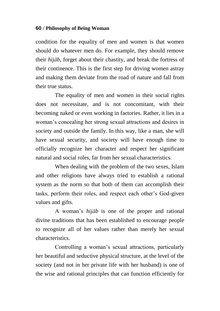condition for the equality of men and women is that women should do whatever men do. For example, they should remove their *hijāb*, forget about their chastity, and break the fortress of their continence. This is the first step for driving women astray and making them deviate from the road of nature and fall from their true status.

The equality of men and women in their social rights does not necessitate, and is not concomitant, with their becoming naked or even working in factories. Rather, it lies in a woman"s concealing her strong sexual attractions and desires in society and outside the family. In this way, like a man, she will have sexual security, and society will have enough time to officially recognize her character and respect her significant natural and social roles, far from her sexual characteristics.

When dealing with the problem of the two sexes, Islam and other religions have always tried to establish a rational system as the norm so that both of them can accomplish their tasks, perform their roles, and respect each other"s God-given values and gifts.

A woman"s *hijāb* is one of the proper and rational divine traditions that has been established to encourage people to recognize all of her values rather than merely her sexual characteristics.

Controlling a woman"s sexual attractions, particularly her beautiful and seductive physical structure, at the level of the society (and not in her private life with her husband) is one of the wise and rational principles that can function efficiently for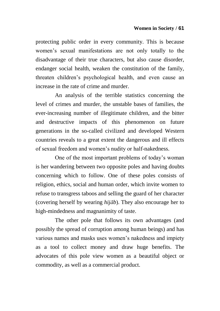protecting public order in every community. This is because women"s sexual manifestations are not only totally to the disadvantage of their true characters, but also cause disorder, endanger social health, weaken the constitution of the family, threaten children"s psychological health, and even cause an increase in the rate of crime and murder.

An analysis of the terrible statistics concerning the level of crimes and murder, the unstable bases of families, the ever-increasing number of illegitimate children, and the bitter and destructive impacts of this phenomenon on future generations in the so-called civilized and developed Western countries reveals to a great extent the dangerous and ill effects of sexual freedom and women"s nudity or half-nakedness.

One of the most important problems of today"s woman is her wandering between two opposite poles and having doubts concerning which to follow. One of these poles consists of religion, ethics, social and human order, which invite women to refuse to transgress taboos and selling the guard of her character (covering herself by wearing *hijāb*). They also encourage her to high-mindedness and magnanimity of taste.

The other pole that follows its own advantages (and possibly the spread of corruption among human beings) and has various names and masks uses women"s nakedness and impiety as a tool to collect money and draw huge benefits. The advocates of this pole view women as a beautiful object or commodity, as well as a commercial product.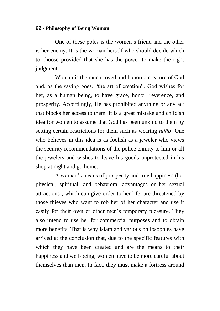One of these poles is the women"s friend and the other is her enemy. It is the woman herself who should decide which to choose provided that she has the power to make the right judgment.

Woman is the much-loved and honored creature of God and, as the saying goes, "the art of creation". God wishes for her, as a human being, to have grace, honor, reverence, and prosperity. Accordingly, He has prohibited anything or any act that blocks her access to them. It is a great mistake and childish idea for women to assume that God has been unkind to them by setting certain restrictions for them such as wearing *hijāb*! One who believes in this idea is as foolish as a jeweler who views the security recommendations of the police enmity to him or all the jewelers and wishes to leave his goods unprotected in his shop at night and go home.

A woman"s means of prosperity and true happiness (her physical, spiritual, and behavioral advantages or her sexual attractions), which can give order to her life, are threatened by those thieves who want to rob her of her character and use it easily for their own or other men"s temporary pleasure. They also intend to use her for commercial purposes and to obtain more benefits. That is why Islam and various philosophies have arrived at the conclusion that, due to the specific features with which they have been created and are the means to their happiness and well-being, women have to be more careful about themselves than men. In fact, they must make a fortress around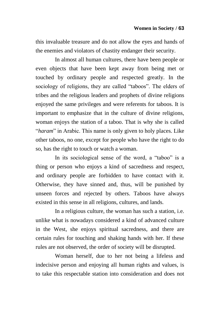this invaluable treasure and do not allow the eyes and hands of the enemies and violators of chastity endanger their security.

In almost all human cultures, there have been people or even objects that have been kept away from being met or touched by ordinary people and respected greatly. In the sociology of religions, they are called "taboos". The elders of tribes and the religious leaders and prophets of divine religions enjoyed the same privileges and were referents for taboos. It is important to emphasize that in the culture of divine religions, woman enjoys the station of a taboo. That is why she is called "*haram*" in Arabic. This name is only given to holy places. Like other taboos, no one, except for people who have the right to do so, has the right to touch or watch a woman.

In its sociological sense of the word, a "taboo" is a thing or person who enjoys a kind of sacredness and respect, and ordinary people are forbidden to have contact with it. Otherwise, they have sinned and, thus, will be punished by unseen forces and rejected by others. Taboos have always existed in this sense in all religions, cultures, and lands.

In a religious culture, the woman has such a station, i.e. unlike what is nowadays considered a kind of advanced culture in the West, she enjoys spiritual sacredness, and there are certain rules for touching and shaking hands with her. If these rules are not observed, the order of society will be disrupted.

Woman herself, due to her not being a lifeless and indecisive person and enjoying all human rights and values, is to take this respectable station into consideration and does not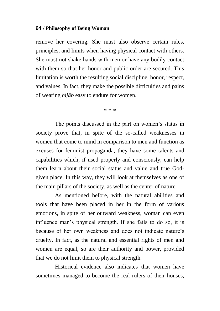remove her covering. She must also observe certain rules, principles, and limits when having physical contact with others. She must not shake hands with men or have any bodily contact with them so that her honor and public order are secured. This limitation is worth the resulting social discipline, honor, respect, and values. In fact, they make the possible difficulties and pains of wearing *hijāb* easy to endure for women.

\* \* \*

The points discussed in the part on women's status in society prove that, in spite of the so-called weaknesses in women that come to mind in comparison to men and function as excuses for feminist propaganda, they have some talents and capabilities which, if used properly and consciously, can help them learn about their social status and value and true Godgiven place. In this way, they will look at themselves as one of the main pillars of the society, as well as the center of nature.

As mentioned before, with the natural abilities and tools that have been placed in her in the form of various emotions, in spite of her outward weakness, woman can even influence man"s physical strength. If she fails to do so, it is because of her own weakness and does not indicate nature's cruelty. In fact, as the natural and essential rights of men and women are equal, so are their authority and power, provided that we do not limit them to physical strength.

Historical evidence also indicates that women have sometimes managed to become the real rulers of their houses,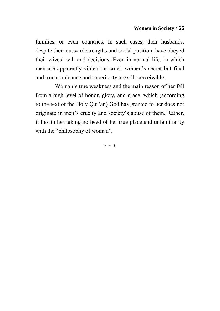families, or even countries. In such cases, their husbands, despite their outward strengths and social position, have obeyed their wives" will and decisions. Even in normal life, in which men are apparently violent or cruel, women"s secret but final and true dominance and superiority are still perceivable.

Woman"s true weakness and the main reason of her fall from a high level of honor, glory, and grace, which (according to the text of the Holy Qur"an) God has granted to her does not originate in men"s cruelty and society"s abuse of them. Rather, it lies in her taking no heed of her true place and unfamiliarity with the "philosophy of woman".

\* \* \*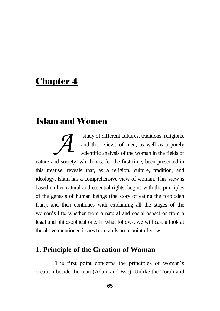# Chapter 4

# Islam and Women

study of different cultures, traditions, religions, and their views of men, as well as a purely scientific analysis of the woman in the fields of nature and society, which has, for the first time, been presented in this treatise, reveals that, as a religion, culture, tradition, and ideology, Islam has a comprehensive view of woman. This view is based on her natural and essential rights, begins with the principles of the genesis of human beings (the story of eating the forbidden fruit), and then continues with explaining all the stages of the woman"s life, whether from a natural and social aspect or from a legal and philosophical one. In what follows, we will cast a look at the above mentioned issues from an Islamic point of view: *A*

# **1. Principle of the Creation of Woman**

The first point concerns the principles of woman"s creation beside the man (Adam and Eve). Unlike the Torah and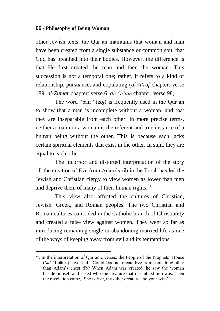other Jewish texts, the Qur"an maintains that woman and man have been created from a single substance or common soul that God has breathed into their bodies. However, the difference is that He first created the man and then the woman. This succession is not a temporal one; rather, it refers to a kind of relationship, pursuance, and copulating (*al-A"raf* chapter: verse 189; *al-Zumar* chapter: verse 6; *al-An"am* chapter: verse 98)

The word "pair" (*zoj*) is frequently used in the Our'an to show that a man is incomplete without a woman, and that they are inseparable from each other. In more precise terms, neither a man nor a woman is the referent and true instance of a human being without the other. This is because each lacks certain spiritual elements that exist in the other. In sum, they are equal to each other.

The incorrect and distorted interpretation of the story oft the creation of Eve from Adam"s rib in the Torah has led the Jewish and Christian clergy to view women as lower than men and deprive them of many of their human rights. $^{21}$ 

This view also affected the cultures of Christian, Jewish, Greek, and Roman peoples. The two Christian and Roman cultures coincided in the Catholic branch of Christianity and created a false view against women. They went so far as introducing remaining single or abandoning married life as one of the ways of keeping away from evil and its temptations.

 $\overline{a}$ 

 $2<sup>1</sup>$ . In the interpretation of Qur'anic verses, the People of the Prophets' House (*Shi"i* Imāms) have said, "Could God not create Eve from something other than Adam's chest rib? When Adam was created, he saw the woman beside himself and asked who the creature that resembled him was. Then the revelation came, 'She is Eve, my other creature and your wife'."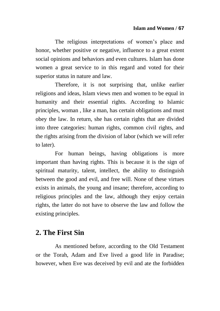The religious interpretations of women's place and honor, whether positive or negative, influence to a great extent social opinions and behaviors and even cultures. Islam has done women a great service to in this regard and voted for their superior status in nature and law.

Therefore, it is not surprising that, unlike earlier religions and ideas, Islam views men and women to be equal in humanity and their essential rights. According to Islamic principles, woman , like a man, has certain obligations and must obey the law. In return, she has certain rights that are divided into three categories: human rights, common civil rights, and the rights arising from the division of labor (which we will refer to later).

For human beings, having obligations is more important than having rights. This is because it is the sign of spiritual maturity, talent, intellect, the ability to distinguish between the good and evil, and free will. None of these virtues exists in animals, the young and insane; therefore, according to religious principles and the law, although they enjoy certain rights, the latter do not have to observe the law and follow the existing principles.

## **2. The First Sin**

As mentioned before, according to the Old Testament or the Torah, Adam and Eve lived a good life in Paradise; however, when Eve was deceived by evil and ate the forbidden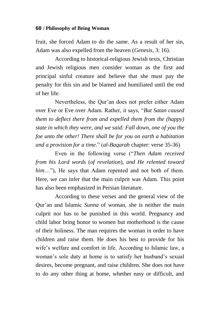fruit, she forced Adam to do the same. As a result of her sin, Adam was also expelled from the heaven (*Genesis*, 3: 16).

According to historical-religious Jewish texts, Christian and Jewish religious men consider woman as the first and principal sinful creature and believe that she must pay the penalty for this sin and be blamed and humiliated until the end of her life.

Nevertheless, the Qur"an does not prefer either Adam over Eve or Eve over Adam. Rather, it says, "*But Satan caused them to deflect there from and expelled them from the (happy) state in which they were, and we said: Fall down, one of you the foe unto the other! There shall be for you on earth a habitation and a provision for a time*." (*al-Baqarah* chapter: verse 35-36)

Even in the following verse ("*Then Adam received from his Lord words* (*of revelation*), *and He relented toward him*..."). He says that Adam repented and not both of them. Here, we can infer that the main culprit was Adam. This point has also been emphasized in Persian literature.

According to these verses and the general view of the Qur"an and Islamic *Sunna* of woman, she is neither the main culprit nor has to be punished in this world. Pregnancy and child labor bring honor to women but motherhood is the cause of their holiness. The man requires the woman in order to have children and raise them. He does his best to provide for his wife's welfare and comfort in life. According to Islamic law, a woman"s sole duty at home is to satisfy her husband"s sexual desires, become pregnant, and raise children. She does not have to do any other thing at home, whether easy or difficult, and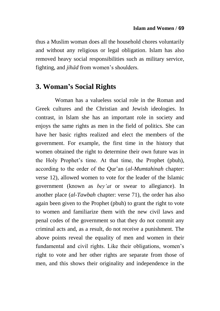thus a Muslim woman does all the household chores voluntarily and without any religious or legal obligation. Islam has also removed heavy social responsibilities such as military service, fighting, and *jihād* from women's shoulders.

### **3. Woman's Social Rights**

Woman has a valueless social role in the Roman and Greek cultures and the Christian and Jewish ideologies. In contrast, in Islam she has an important role in society and enjoys the same rights as men in the field of politics. She can have her basic rights realized and elect the members of the government. For example, the first time in the history that women obtained the right to determine their own future was in the Holy Prophet"s time. At that time, the Prophet (pbuh), according to the order of the Qur"an (*al-Mumtahinah* chapter: verse 12), allowed women to vote for the leader of the Islamic government (known as *bey"at* or swear to allegiance). In another place (*al-Tawbah* chapter: verse 71), the order has also again been given to the Prophet (pbuh) to grant the right to vote to women and familiarize them with the new civil laws and penal codes of the government so that they do not commit any criminal acts and, as a result, do not receive a punishment. The above points reveal the equality of men and women in their fundamental and civil rights. Like their obligations, women's right to vote and her other rights are separate from those of men, and this shows their originality and independence in the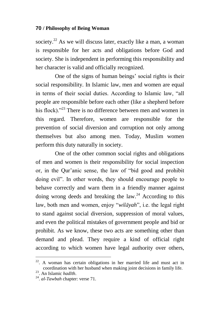society.<sup>22</sup> As we will discuss later, exactly like a man, a woman is responsible for her acts and obligations before God and society. She is independent in performing this responsibility and her character is valid and officially recognized.

One of the signs of human beings" social rights is their social responsibility. In Islamic law, men and women are equal in terms of their social duties. According to Islamic law, "all people are responsible before each other (like a shepherd before his flock).<sup>23</sup> There is no difference between men and women in this regard. Therefore, women are responsible for the prevention of social diversion and corruption not only among themselves but also among men. Today, Muslim women perform this duty naturally in society.

One of the other common social rights and obligations of men and women is their responsibility for social inspection or, in the Qur"anic sense, the law of "bid good and prohibit doing evil". In other words, they should encourage people to behave correctly and warn them in a friendly manner against doing wrong deeds and breaking the law.<sup>24</sup> According to this law, both men and women, enjoy "*wilāyah*", i.e. the legal right to stand against social diversion, suppression of moral values, and even the political mistakes of government people and bid or prohibit. As we know, these two acts are something other than demand and plead. They require a kind of official right according to which women have legal authority over others,

 $22$ . A woman has certain obligations in her married life and must act in coordination with her husband when making joint decisions in family life.

<sup>23</sup>. An Islamic *hadīth*.

<sup>24</sup> . *al-Tawbah* chapter: verse 71.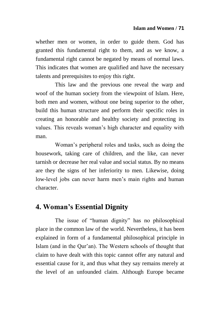whether men or women, in order to guide them. God has granted this fundamental right to them, and as we know, a fundamental right cannot be negated by means of normal laws. This indicates that women are qualified and have the necessary talents and prerequisites to enjoy this right.

This law and the previous one reveal the warp and woof of the human society from the viewpoint of Islam. Here, both men and women, without one being superior to the other, build this human structure and perform their specific roles in creating an honorable and healthy society and protecting its values. This reveals woman"s high character and equality with man.

Woman"s peripheral roles and tasks, such as doing the housework, taking care of children, and the like, can never tarnish or decrease her real value and social status. By no means are they the signs of her inferiority to men. Likewise, doing low-level jobs can never harm men's main rights and human character.

## **4. Woman's Essential Dignity**

The issue of "human dignity" has no philosophical place in the common law of the world. Nevertheless, it has been explained in form of a fundamental philosophical principle in Islam (and in the Qur"an). The Western schools of thought that claim to have dealt with this topic cannot offer any natural and essential cause for it, and thus what they say remains merely at the level of an unfounded claim. Although Europe became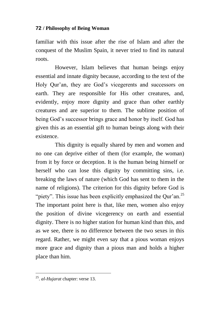familiar with this issue after the rise of Islam and after the conquest of the Muslim Spain, it never tried to find its natural roots.

However, Islam believes that human beings enjoy essential and innate dignity because, according to the text of the Holy Qur"an, they are God"s vicegerents and successors on earth. They are responsible for His other creatures, and, evidently, enjoy more dignity and grace than other earthly creatures and are superior to them. The sublime position of being God"s successor brings grace and honor by itself. God has given this as an essential gift to human beings along with their existence.

This dignity is equally shared by men and women and no one can deprive either of them (for example, the woman) from it by force or deception. It is the human being himself or herself who can lose this dignity by committing sins, i.e. breaking the laws of nature (which God has sent to them in the name of religions). The criterion for this dignity before God is "piety". This issue has been explicitly emphasized the Qur'an. $^{25}$ The important point here is that, like men, women also enjoy the position of divine vicegerency on earth and essential dignity. There is no higher station for human kind than this, and as we see, there is no difference between the two sexes in this regard. Rather, we might even say that a pious woman enjoys more grace and dignity than a pious man and holds a higher place than him.

<sup>25</sup> . *al-Hujarat* chapter: verse 13.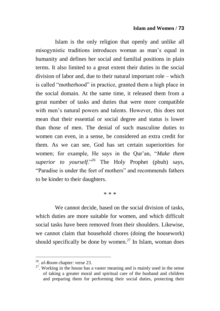#### **Islam and Women / 73**

Islam is the only religion that openly and unlike all misogynistic traditions introduces woman as man"s equal in humanity and defines her social and familial positions in plain terms. It also limited to a great extent their duties in the social division of labor and, due to their natural important role – which is called "motherhood" in practice, granted them a high place in the social domain. At the same time, it released them from a great number of tasks and duties that were more compatible with men's natural powers and talents. However, this does not mean that their essential or social degree and status is lower than those of men. The denial of such masculine duties to women can even, in a sense, be considered an extra credit for them. As we can see, God has set certain superiorities for women; for example, He says in the Qur"an, "*Make them superior to yourself*."<sup>26</sup> The Holy Prophet (pbuh) says, "Paradise is under the feet of mothers" and recommends fathers to be kinder to their daughters.

\* \* \*

We cannot decide, based on the social division of tasks. which duties are more suitable for women, and which difficult social tasks have been removed from their shoulders. Likewise, we cannot claim that household chores (doing the housework) should specifically be done by women.<sup>27</sup> In Islam, woman does

 26 . *al-Room* chapter: verse 23.

 $27$ . Working in the house has a vaster meaning and is mainly used in the sense of taking a greater moral and spiritual care of the husband and children and preparing them for performing their social duties, protecting their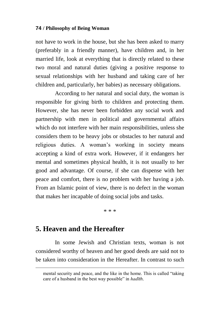not have to work in the house, but she has been asked to marry (preferably in a friendly manner), have children and, in her married life, look at everything that is directly related to these two moral and natural duties (giving a positive response to sexual relationships with her husband and taking care of her children and, particularly, her babies) as necessary obligations.

According to her natural and social duty, the woman is responsible for giving birth to children and protecting them. However, she has never been forbidden any social work and partnership with men in political and governmental affairs which do not interfere with her main responsibilities, unless she considers them to be heavy jobs or obstacles to her natural and religious duties. A woman"s working in society means accepting a kind of extra work. However, if it endangers her mental and sometimes physical health, it is not usually to her good and advantage. Of course, if she can dispense with her peace and comfort, there is no problem with her having a job. From an Islamic point of view, there is no defect in the woman that makes her incapable of doing social jobs and tasks.

\* \* \*

### **5. Heaven and the Hereafter**

 $\overline{a}$ 

In some Jewish and Christian texts, woman is not considered worthy of heaven and her good deeds are said not to be taken into consideration in the Hereafter. In contrast to such

mental security and peace, and the like in the home. This is called "taking care of a husband in the best way possible" in *hadīth*.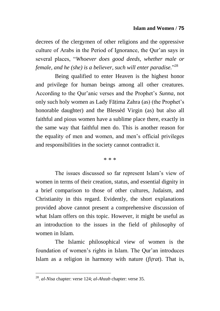decrees of the clergymen of other religions and the oppressive culture of Arabs in the Period of Ignorance, the Qur"an says in several places, "*Whoever does good deeds, whether male or female, and he (she) is a believer, such will enter paradise.*" 28

Being qualified to enter Heaven is the highest honor and privilege for human beings among all other creatures. According to the Qur"anic verses and the Prophet"s *Sunna*, not only such holy women as Lady Fātima Zahra (as) (the Prophet's honorable daughter) and the Blessèd Virgin (as) but also all faithful and pious women have a sublime place there, exactly in the same way that faithful men do. This is another reason for the equality of men and women, and men"s official privileges and responsibilities in the society cannot contradict it.

\* \* \*

The issues discussed so far represent Islam"s view of women in terms of their creation, status, and essential dignity in a brief comparison to those of other cultures, Judaism, and Christianity in this regard. Evidently, the short explanations provided above cannot present a comprehensive discussion of what Islam offers on this topic. However, it might be useful as an introduction to the issues in the field of philosophy of women in Islam.

The Islamic philosophical view of women is the foundation of women's rights in Islam. The Our'an introduces Islam as a religion in harmony with nature (*fiìrat*). That is,

<sup>28</sup> . *al-Nisa* chapter: verse 124; *al-Ahzab* chapter: verse 35.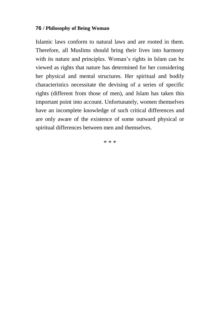Islamic laws conform to natural laws and are rooted in them. Therefore, all Muslims should bring their lives into harmony with its nature and principles. Woman's rights in Islam can be viewed as rights that nature has determined for her considering her physical and mental structures. Her spiritual and bodily characteristics necessitate the devising of a series of specific rights (different from those of men), and Islam has taken this important point into account. Unfortunately, women themselves have an incomplete knowledge of such critical differences and are only aware of the existence of some outward physical or spiritual differences between men and themselves.

\* \* \*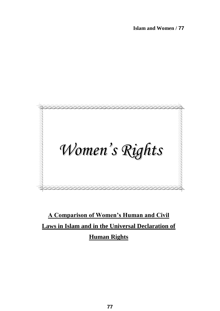

**A Comparison of Women's Human and Civil Laws in Islam and in the Universal Declaration of Human Rights**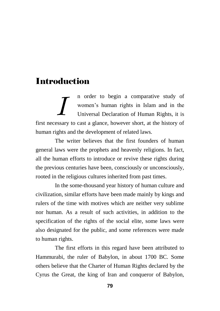# **Introduction**

n order to begin a comparative study of women"s human rights in Islam and in the Universal Declaration of Human Rights, it is first necessary to cast a glance, however short, at the history of human rights and the development of related laws. *I*

The writer believes that the first founders of human general laws were the prophets and heavenly religions. In fact, all the human efforts to introduce or revive these rights during the previous centuries have been, consciously or unconsciously, rooted in the religious cultures inherited from past times.

In the some-thousand year history of human culture and civilization, similar efforts have been made mainly by kings and rulers of the time with motives which are neither very sublime nor human. As a result of such activities, in addition to the specification of the rights of the social elite, some laws were also designated for the public, and some references were made to human rights.

The first efforts in this regard have been attributed to Hammurabi, the ruler of Babylon, in about 1700 BC. Some others believe that the Charter of Human Rights declared by the Cyrus the Great, the king of Iran and conqueror of Babylon,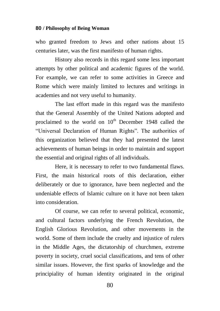who granted freedom to Jews and other nations about 15 centuries later, was the first manifesto of human rights.

History also records in this regard some less important attempts by other political and academic figures of the world. For example, we can refer to some activities in Greece and Rome which were mainly limited to lectures and writings in academies and not very useful to humanity.

The last effort made in this regard was the manifesto that the General Assembly of the United Nations adopted and proclaimed to the world on  $10<sup>th</sup>$  December 1948 called the "Universal Declaration of Human Rights". The authorities of this organization believed that they had presented the latest achievements of human beings in order to maintain and support the essential and original rights of all individuals.

Here, it is necessary to refer to two fundamental flaws. First, the main historical roots of this declaration, either deliberately or due to ignorance, have been neglected and the undeniable effects of Islamic culture on it have not been taken into consideration.

Of course, we can refer to several political, economic, and cultural factors underlying the French Revolution, the English Glorious Revolution, and other movements in the world. Some of them include the cruelty and injustice of rulers in the Middle Ages, the dictatorship of churchmen, extreme poverty in society, cruel social classifications, and tens of other similar issues. However, the first sparks of knowledge and the principiality of human identity originated in the original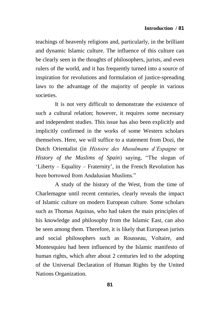teachings of heavenly religions and, particularly, in the brilliant and dynamic Islamic culture. The influence of this culture can be clearly seen in the thoughts of philosophers, jurists, and even rulers of the world, and it has frequently turned into a source of inspiration for revolutions and formulation of justice-spreading laws to the advantage of the majority of people in various societies.

It is not very difficult to demonstrate the existence of such a cultural relation; however, it requires some necessary and independent studies. This issue has also been explicitly and implicitly confirmed in the works of some Western scholars themselves. Here, we will suffice to a statement from Dozi, the Dutch Orientalist (in *Histoire des Musulmans d"Espagne* or *History of the Muslims of Spain*) saying, "The slogan of "Liberty – Equality – Fraternity", in the French Revolution has been borrowed from Andalusian Muslims."

A study of the history of the West, from the time of Charlemagne until recent centuries, clearly reveals the impact of Islamic culture on modern European culture. Some scholars such as Thomas Aquinas, who had taken the main principles of his knowledge and philosophy from the Islamic East, can also be seen among them. Therefore, it is likely that European jurists and social philosophers such as Rousseau, Voltaire, and Montesquieu had been influenced by the Islamic manifesto of human rights, which after about 2 centuries led to the adopting of the Universal Declaration of Human Rights by the United Nations Organization.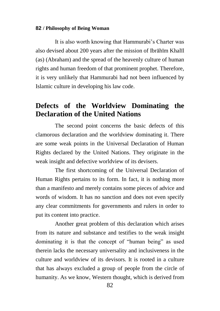It is also worth knowing that Hammurabi"s Charter was also devised about 200 years after the mission of Ibrāhīm Khalīl (as) (Abraham) and the spread of the heavenly culture of human rights and human freedom of that prominent prophet. Therefore, it is very unlikely that Hammurabi had not been influenced by Islamic culture in developing his law code.

### **Defects of the Worldview Dominating the Declaration of the United Nations**

The second point concerns the basic defects of this clamorous declaration and the worldview dominating it. There are some weak points in the Universal Declaration of Human Rights declared by the United Nations. They originate in the weak insight and defective worldview of its devisers.

The first shortcoming of the Universal Declaration of Human Rights pertains to its form. In fact, it is nothing more than a manifesto and merely contains some pieces of advice and words of wisdom. It has no sanction and does not even specify any clear commitments for governments and rulers in order to put its content into practice.

Another great problem of this declaration which arises from its nature and substance and testifies to the weak insight dominating it is that the concept of "human being" as used therein lacks the necessary universality and inclusiveness in the culture and worldview of its devisors. It is rooted in a culture that has always excluded a group of people from the circle of humanity. As we know, Western thought, which is derived from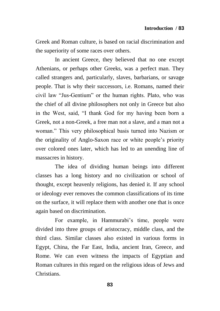Greek and Roman culture, is based on racial discrimination and the superiority of some races over others.

In ancient Greece, they believed that no one except Athenians, or perhaps other Greeks, was a perfect man. They called strangers and, particularly, slaves, barbarians, or savage people. That is why their successors, i.e. Romans, named their civil law "Jus-Gentium" or the human rights. Plato, who was the chief of all divine philosophers not only in Greece but also in the West, said, "I thank God for my having been born a Greek, not a non-Greek, a free man not a slave, and a man not a woman." This very philosophical basis turned into Nazism or the originality of Anglo-Saxon race or white people"s priority over colored ones later, which has led to an unending line of massacres in history.

The idea of dividing human beings into different classes has a long history and no civilization or school of thought, except heavenly religions, has denied it. If any school or ideology ever removes the common classifications of its time on the surface, it will replace them with another one that is once again based on discrimination.

For example, in Hammurabi's time, people were divided into three groups of aristocracy, middle class, and the third class. Similar classes also existed in various forms in Egypt, China, the Far East, India, ancient Iran, Greece, and Rome. We can even witness the impacts of Egyptian and Roman cultures in this regard on the religious ideas of Jews and Christians.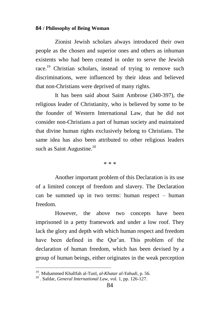Zionist Jewish scholars always introduced their own people as the chosen and superior ones and others as inhuman existents who had been created in order to serve the Jewish race.<sup>19</sup> Christian scholars, instead of trying to remove such discriminations, were influenced by their ideas and believed that non-Christians were deprived of many rights.

It has been said about Saint Ambrose (340-397), the religious leader of Christianity, who is believed by some to be the founder of Western International Law, that he did not consider non-Christians a part of human society and maintained that divine human rights exclusively belong to Christians. The same idea has also been attributed to other religious leaders such as Saint Augustine. $20$ 

\* \* \*

Another important problem of this Declaration is its use of a limited concept of freedom and slavery. The Declaration can be summed up in two terms: human respect – human freedom.

However, the above two concepts have been imprisoned in a petty framework and under a low roof. They lack the glory and depth with which human respect and freedom have been defined in the Qur'an. This problem of the declaration of human freedom, which has been devised by a group of human beings, either originates in the weak perception

<sup>19</sup>. Muåammed Khalīfah al-Tunī, *al-Khatar al-Yahudi*, p. 56.

<sup>&</sup>lt;sup>20</sup> . Safdar, *General International Law*, vol. 1, pp. 126-127.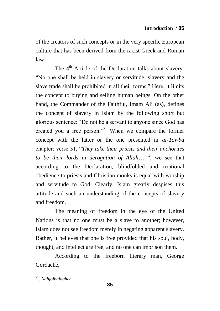of the creators of such concepts or in the very specific European culture that has been derived from the racist Greek and Roman law.

The  $4<sup>th</sup>$  Article of the Declaration talks about slavery: "No one shall be held in slavery or servitude; slavery and the slave trade shall be prohibited in all their forms." Here, it limits the concept to buying and selling human beings. On the other hand, the Commander of the Faithful, Imam Ali (as), defines the concept of slavery in Islam by the following short but glorious sentence: "Do not be a servant to anyone since God has created you a free person."<sup>21</sup> When we compare the former concept with the latter or the one presented in *al-Tawba* chapter: verse 31, "*They take their priests and their anchorites to be their lords in derogation of Allah*… ", we see that according to the Declaration, blindfolded and irrational obedience to priests and Christian monks is equal with worship and servitude to God. Clearly, Islam greatly despises this attitude and such an understanding of the concepts of slavery and freedom.

The meaning of freedom in the eye of the United Nations is that no one must be a slave to another; however, Islam does not see freedom merely in negating apparent slavery. Rather, it believes that one is free provided that his soul, body, thought, and intellect are free, and no one can imprison them.

According to the freeborn literary man, George Gordache,

<sup>21</sup> . *Nahjolbalagheh*.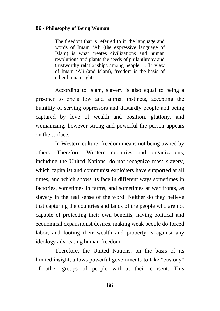The freedom that is referred to in the language and words of Imām "Ali (the expressive language of Islam) is what creates civilizations and human revolutions and plants the seeds of philanthropy and trustworthy relationships among people … In view of Imām "Ali (and Islam), freedom is the basis of other human rights.

According to Islam, slavery is also equal to being a prisoner to one"s low and animal instincts, accepting the humility of serving oppressors and dastardly people and being captured by love of wealth and position, gluttony, and womanizing, however strong and powerful the person appears on the surface.

In Western culture, freedom means not being owned by others. Therefore, Western countries and organizations, including the United Nations, do not recognize mass slavery, which capitalist and communist exploiters have supported at all times, and which shows its face in different ways sometimes in factories, sometimes in farms, and sometimes at war fronts, as slavery in the real sense of the word. Neither do they believe that capturing the countries and lands of the people who are not capable of protecting their own benefits, having political and economical expansionist desires, making weak people do forced labor, and looting their wealth and property is against any ideology advocating human freedom.

Therefore, the United Nations, on the basis of its limited insight, allows powerful governments to take "custody" of other groups of people without their consent. This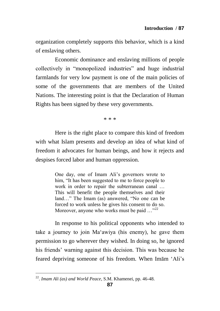organization completely supports this behavior, which is a kind of enslaving others.

Economic dominance and enslaving millions of people collectively in "monopolized industries" and huge industrial farmlands for very low payment is one of the main policies of some of the governments that are members of the United Nations. The interesting point is that the Declaration of Human Rights has been signed by these very governments.

\* \* \*

Here is the right place to compare this kind of freedom with what Islam presents and develop an idea of what kind of freedom it advocates for human beings, and how it rejects and despises forced labor and human oppression.

> One day, one of Imam Ali"s governors wrote to him, "It has been suggested to me to force people to work in order to repair the subterranean canal … This will benefit the people themselves and their land…" The Imam (as) answered, "No one can be forced to work unless he gives his consent to do so. Moreover, anyone who works must be paid  $\ldots$ <sup>22</sup>

In response to his political opponents who intended to take a journey to join Ma"awiya (his enemy), he gave them permission to go wherever they wished. In doing so, he ignored his friends" warning against this decision. This was because he feared depriving someone of his freedom. When Imām "Ali"s

 22 . *Imam Ali (as) and World Peace*, S.M. Khamenei, pp. 46-48.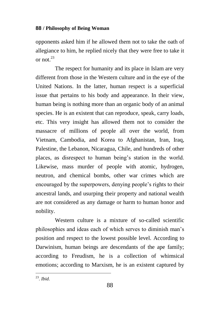opponents asked him if he allowed them not to take the oath of allegiance to him, he replied nicely that they were free to take it or not  $23$ 

The respect for humanity and its place in Islam are very different from those in the Western culture and in the eye of the United Nations. In the latter, human respect is a superficial issue that pertains to his body and appearance. In their view, human being is nothing more than an organic body of an animal species. He is an existent that can reproduce, speak, carry loads, etc. This very insight has allowed them not to consider the massacre of millions of people all over the world, from Vietnam, Cambodia, and Korea to Afghanistan, Iran, Iraq, Palestine, the Lebanon, Nicaragua, Chile, and hundreds of other places, as disrespect to human being"s station in the world. Likewise, mass murder of people with atomic, hydrogen, neutron, and chemical bombs, other war crimes which are encouraged by the superpowers, denying people"s rights to their ancestral lands, and usurping their property and national wealth are not considered as any damage or harm to human honor and nobility.

Western culture is a mixture of so-called scientific philosophies and ideas each of which serves to diminish man"s position and respect to the lowest possible level. According to Darwinism, human beings are descendants of the ape family; according to Freudism, he is a collection of whimsical emotions; according to Marxism, he is an existent captured by

23 . *Ibid*.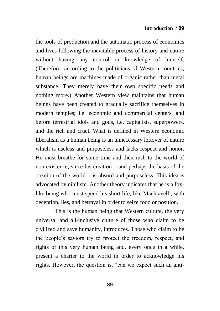the tools of production and the automatic process of economics and lives following the inevitable process of history and nature without having any control or knowledge of himself. (Therefore, according to the politicians of Western countries, human beings are machines made of organic rather than metal substance. They merely have their own specific needs and nothing more.) Another Western view maintains that human beings have been created to gradually sacrifice themselves in modern temples; i.e. economic and commercial centers, and before terrestrial idols and gods, i.e. capitalists, superpowers, and the rich and cruel. What is defined in Western economic liberalism as a human being is an unnecessary leftover of nature which is useless and purposeless and lacks respect and honor. He must breathe for some time and then rush to the world of non-existence, since his creation – and perhaps the basis of the creation of the world – is absurd and purposeless. This idea is advocated by nihilism. Another theory indicates that he is a foxlike being who must spend his short life, like Machiavelli, with deception, lies, and betrayal in order to seize food or position.

This is the human being that Western culture, the very universal and all-inclusive culture of those who claim to be civilized and save humanity, introduces. Those who claim to be the people"s saviors try to protect the freedom, respect, and rights of this very human being and, every once in a while, present a charter to the world in order to acknowledge his rights. However, the question is, "can we expect such an anti-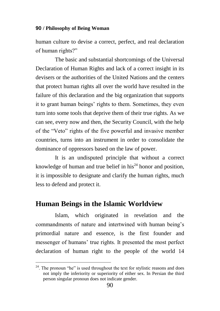human culture to devise a correct, perfect, and real declaration of human rights?"

The basic and substantial shortcomings of the Universal Declaration of Human Rights and lack of a correct insight in its devisers or the authorities of the United Nations and the centers that protect human rights all over the world have resulted in the failure of this declaration and the big organization that supports it to grant human beings' rights to them. Sometimes, they even turn into some tools that deprive them of their true rights. As we can see, every now and then, the Security Council, with the help of the "Veto" rights of the five powerful and invasive member countries, turns into an instrument in order to consolidate the dominance of oppressors based on the law of power.

It is an undisputed principle that without a correct knowledge of human and true belief in his<sup> $24$ </sup> honor and position. it is impossible to designate and clarify the human rights, much less to defend and protect it.

### **Human Beings in the Islamic Worldview**

 $\overline{a}$ 

Islam, which originated in revelation and the commandments of nature and intertwined with human being"s primordial nature and essence, is the first founder and messenger of humans" true rights. It presented the most perfect declaration of human right to the people of the world 14

 $24$ . The pronoun "he" is used throughout the text for stylistic reasons and does not imply the inferiority or superiority of either sex. In Persian the third person singular pronoun does not indicate gender.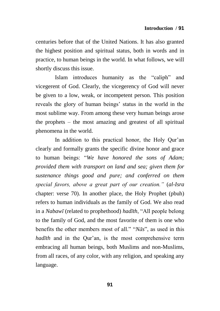centuries before that of the United Nations. It has also granted the highest position and spiritual status, both in words and in practice, to human beings in the world. In what follows, we will shortly discuss this issue.

Islam introduces humanity as the "caliph" and vicegerent of God. Clearly, the vicegerency of God will never be given to a low, weak, or incompetent person. This position reveals the glory of human beings" status in the world in the most sublime way. From among these very human beings arose the prophets – the most amazing and greatest of all spiritual phenomena in the world.

In addition to this practical honor, the Holy Our'an clearly and formally grants the specific divine honor and grace to human beings: "*We have honored the sons of Adam; provided them with transport on land and sea; given them for sustenance things good and pure; and conferred on them special favors, above a great part of our creation."* (*al-Isra* chapter: verse 70). In another place, the Holy Prophet (pbuh) refers to human individuals as the family of God. We also read in a *Nabawī* (related to prophethood) *hadīth*, "All people belong to the family of God, and the most favorite of them is one who benefits the other members most of all." "*Nās*", as used in this *hadīth* and in the Qur'an, is the most comprehensive term embracing all human beings, both Muslims and non-Muslims, from all races, of any color, with any religion, and speaking any language.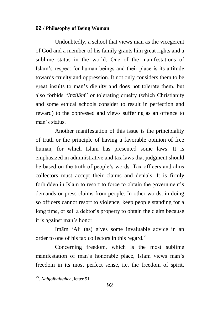Undoubtedly, a school that views man as the vicegerent of God and a member of his family grants him great rights and a sublime status in the world. One of the manifestations of Islam"s respect for human beings and their place is its attitude towards cruelty and oppression. It not only considers them to be great insults to man"s dignity and does not tolerate them, but also forbids "*Inzilām*" or tolerating cruelty (which Christianity and some ethical schools consider to result in perfection and reward) to the oppressed and views suffering as an offence to man's status.

Another manifestation of this issue is the principiality of truth or the principle of having a favorable opinion of free human, for which Islam has presented some laws. It is emphasized in administrative and tax laws that judgment should be based on the truth of people"s words. Tax officers and alms collectors must accept their claims and denials. It is firmly forbidden in Islam to resort to force to obtain the government's demands or press claims from people. In other words, in doing so officers cannot resort to violence, keep people standing for a long time, or sell a debtor's property to obtain the claim because it is against man"s honor.

Imām "Ali (as) gives some invaluable advice in an order to one of his tax collectors in this regard.<sup>25</sup>

Concerning freedom, which is the most sublime manifestation of man's honorable place, Islam views man's freedom in its most perfect sense, i.e. the freedom of spirit,

<sup>25</sup> . *Nahjolbalagheh*, letter 51.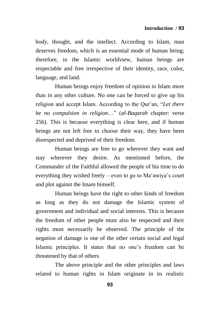body, thought, and the intellect. According to Islam, man deserves freedom, which is an essential mode of human being; therefore, in the Islamic worldview, human beings are respectable and free irrespective of their identity, race, color, language, and land.

Human beings enjoy freedom of opinion in Islam more than in any other culture. No one can be forced to give up his religion and accept Islam. According to the Our'an, "*Let there be no compulsion in religion*…" (*al-Baqarah* chapter: verse 256). This is because everything is clear here, and if human beings are not left free to choose their way, they have been disrespected and deprived of their freedom.

Human beings are free to go wherever they want and stay wherever they desire. As mentioned before, the Commander of the Faithful allowed the people of his time to do everything they wished freely – even to go to Ma"awiya"s court and plot against the Imam himself.

Human beings have the right to other kinds of freedom as long as they do not damage the Islamic system of government and individual and social interests. This is because the freedom of other people must also be respected and their rights must necessarily be observed. The principle of the negation of damage is one of the other certain social and legal Islamic principles. It states that no one"s freedom can be threatened by that of others.

The above principle and the other principles and laws related to human rights in Islam originate in its realistic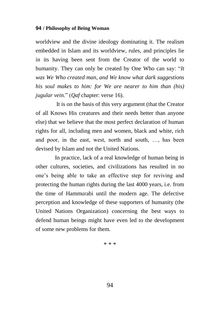worldview and the divine ideology dominating it. The realism embedded in Islam and its worldview, rules, and principles lie in its having been sent from the Creator of the world to humanity. They can only be created by One Who can say: "*It was We Who created man, and We know what dark suggestions his soul makes to him: for We are nearer to him than (his) jugular vein.*" (*Qaf* chapter: verse 16).

It is on the basis of this very argument (that the Creator of all Knows His creatures and their needs better than anyone else) that we believe that the most perfect declaration of human rights for all, including men and women, black and white, rich and poor, in the east, west, north and south, …, has been devised by Islam and not the United Nations.

In practice, lack of a real knowledge of human being in other cultures, societies, and civilizations has resulted in no one"s being able to take an effective step for reviving and protecting the human rights during the last 4000 years, i.e. from the time of Hammurabi until the modern age. The defective perception and knowledge of these supporters of humanity (the United Nations Organization) concerning the best ways to defend human beings might have even led to the development of some new problems for them.

\* \* \*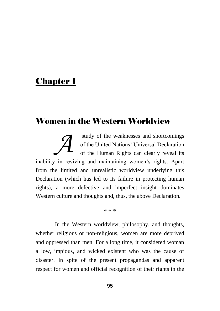# **Chapter 1**

## Women in the Western Worldview

study of the weaknesses and shortcomings of the United Nations" Universal Declaration of the Human Rights can clearly reveal its inability in reviving and maintaining women"s rights. Apart from the limited and unrealistic worldview underlying this Declaration (which has led to its failure in protecting human rights), a more defective and imperfect insight dominates Western culture and thoughts and, thus, the above Declaration. *A*

\* \* \*

In the Western worldview, philosophy, and thoughts, whether religious or non-religious, women are more deprived and oppressed than men. For a long time, it considered woman a low, impious, and wicked existent who was the cause of disaster. In spite of the present propagandas and apparent respect for women and official recognition of their rights in the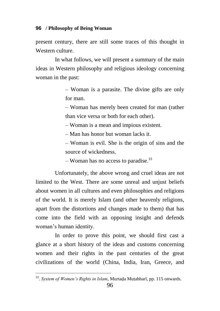present century, there are still some traces of this thought in Western culture.

In what follows, we will present a summary of the main ideas in Western philosophy and religious ideology concerning woman in the past:

> – Woman is a parasite. The divine gifts are only for man.

> – Woman has merely been created for man (rather than vice versa or both for each other).

– Woman is a mean and impious existent.

– Man has honor but woman lacks it.

– Woman is evil. She is the origin of sins and the source of wickedness.

 $-$  Woman has no access to paradise.<sup>33</sup>

Unfortunately, the above wrong and cruel ideas are not limited to the West. There are some unreal and unjust beliefs about women in all cultures and even philosophies and religions of the world. It is merely Islam (and other heavenly religions, apart from the distortions and changes made to them) that has come into the field with an opposing insight and defends woman"s human identity.

In order to prove this point, we should first cast a glance at a short history of the ideas and customs concerning women and their rights in the past centuries of the great civilizations of the world (China, India, Iran, Greece, and

<sup>&</sup>lt;sup>33</sup>. System of Women's Rights in Islam, Murtaḍa Muṭahharī, pp. 115 onwards.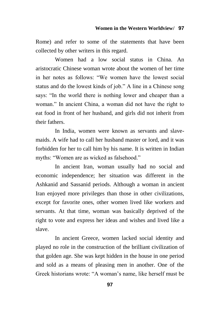Rome) and refer to some of the statements that have been collected by other writers in this regard.

Women had a low social status in China. An aristocratic Chinese woman wrote about the women of her time in her notes as follows: "We women have the lowest social status and do the lowest kinds of job." A line in a Chinese song says: "In the world there is nothing lower and cheaper than a woman." In ancient China, a woman did not have the right to eat food in front of her husband, and girls did not inherit from their fathers.

In India, women were known as servants and slavemaids. A wife had to call her husband master or lord, and it was forbidden for her to call him by his name. It is written in Indian myths: "Women are as wicked as falsehood."

In ancient Iran, woman usually had no social and economic independence; her situation was different in the Ashkanid and Sassanid periods. Although a woman in ancient Iran enjoyed more privileges than those in other civilizations, except for favorite ones, other women lived like workers and servants. At that time, woman was basically deprived of the right to vote and express her ideas and wishes and lived like a slave.

In ancient Greece, women lacked social identity and played no role in the construction of the brilliant civilization of that golden age. She was kept hidden in the house in one period and sold as a means of pleasing men in another. One of the Greek historians wrote: "A woman"s name, like herself must be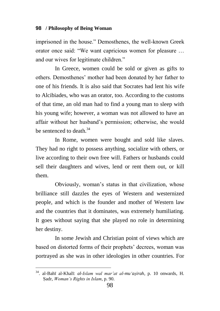imprisoned in the house." Demosthenes, the well-known Greek orator once said: "We want capricious women for pleasure … and our wives for legitimate children."

In Greece, women could be sold or given as gifts to others. Demosthenes" mother had been donated by her father to one of his friends. It is also said that Socrates had lent his wife to Alcibiades, who was an orator, too. According to the customs of that time, an old man had to find a young man to sleep with his young wife; however, a woman was not allowed to have an affair without her husband"s permission; otherwise, she would be sentenced to death  $34$ 

In Rome, women were bought and sold like slaves. They had no right to possess anything, socialize with others, or live according to their own free will. Fathers or husbands could sell their daughters and wives, lend or rent them out, or kill them.

Obviously, woman"s status in that civilization, whose brilliance still dazzles the eyes of Western and westernized people, and which is the founder and mother of Western law and the countries that it dominates, was extremely humiliating. It goes without saying that she played no role in determining her destiny.

In some Jewish and Christian point of views which are based on distorted forms of their prophets' decrees, woman was portrayed as she was in other ideologies in other countries. For

<sup>34</sup>. al-Bahī al-Khalī: *al-Islam wal mar"at al-mu"aæirah*, p. 10 onwards, H. Æadr, *Woman"s Rights in Islam*, p. 90.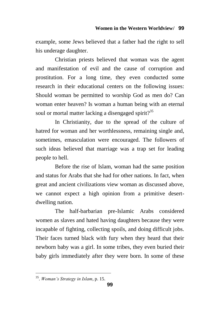example, some Jews believed that a father had the right to sell his underage daughter.

Christian priests believed that woman was the agent and manifestation of evil and the cause of corruption and prostitution. For a long time, they even conducted some research in their educational centers on the following issues: Should woman be permitted to worship God as men do? Can woman enter heaven? Is woman a human being with an eternal soul or mortal matter lacking a disengaged spirit?<sup>35</sup>

In Christianity, due to the spread of the culture of hatred for woman and her worthlessness, remaining single and, sometimes, emasculation were encouraged. The followers of such ideas believed that marriage was a trap set for leading people to hell.

Before the rise of Islam, woman had the same position and status for Arabs that she had for other nations. In fact, when great and ancient civilizations view woman as discussed above, we cannot expect a high opinion from a primitive desertdwelling nation.

The half-barbarian pre-Islamic Arabs considered women as slaves and hated having daughters because they were incapable of fighting, collecting spoils, and doing difficult jobs. Their faces turned black with fury when they heard that their newborn baby was a girl. In some tribes, they even buried their baby girls immediately after they were born. In some of these

<sup>35</sup> . *Woman"s Strategy in Islam*, p. 15.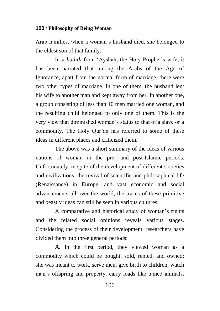Arab families, when a woman"s husband died, she belonged to the eldest son of that family.

In a *hadīth* from 'Ayshah, the Holy Prophet's wife, it has been narrated that among the Arabs of the Age of Ignorance, apart from the normal form of marriage, there were two other types of marriage. In one of them, the husband lent his wife to another man and kept away from her. In another one, a group consisting of less than 10 men married one woman, and the resulting child belonged to only one of them. This is the very view that diminished woman"s status to that of a slave or a commodity. The Holy Qur"an has referred to some of these ideas in different places and criticized them.

The above was a short summary of the ideas of various nations of woman in the pre- and post-Islamic periods. Unfortunately, in spite of the development of different societies and civilizations, the revival of scientific and philosophical life (Renaissance) in Europe, and vast economic and social advancements all over the world, the traces of these primitive and beastly ideas can still be seen in various cultures.

A comparative and historical study of woman"s rights and the related social opinions reveals various stages. Considering the process of their development, researchers have divided them into three general periods:

**A.** In the first period, they viewed woman as a commodity which could be bought, sold, rented, and owned; she was meant to work, serve men, give birth to children, watch man"s offspring and property, carry loads like tamed animals,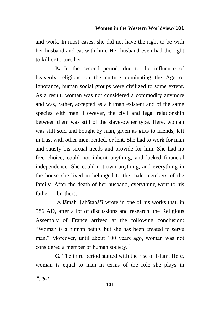and work. In most cases, she did not have the right to be with her husband and eat with him. Her husband even had the right to kill or torture her.

**B.** In the second period, due to the influence of heavenly religions on the culture dominating the Age of Ignorance, human social groups were civilized to some extent. As a result, woman was not considered a commodity anymore and was, rather, accepted as a human existent and of the same species with men. However, the civil and legal relationship between them was still of the slave-owner type. Here, woman was still sold and bought by man, given as gifts to friends, left in trust with other men, rented, or lent. She had to work for man and satisfy his sexual needs and provide for him. She had no free choice, could not inherit anything, and lacked financial independence. She could not own anything, and everything in the house she lived in belonged to the male members of the family. After the death of her husband, everything went to his father or brothers.

'Allāmah Tabātabā'ī wrote in one of his works that, in 586 AD, after a lot of discussions and research, the Religious Assembly of France arrived at the following conclusion: "Woman is a human being, but she has been created to serve man." Moreover, until about 100 years ago, woman was not considered a member of human society.<sup>36</sup>

**C.** The third period started with the rise of Islam. Here, woman is equal to man in terms of the role she plays in

<sup>36</sup> . *Ibid*.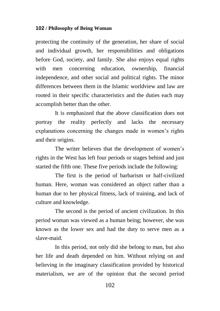protecting the continuity of the generation, her share of social and individual growth, her responsibilities and obligations before God, society, and family. She also enjoys equal rights with men concerning education, ownership, financial independence, and other social and political rights. The minor differences between them in the Islamic worldview and law are rooted in their specific characteristics and the duties each may accomplish better than the other.

It is emphasized that the above classification does not portray the reality perfectly and lacks the necessary explanations concerning the changes made in women"s rights and their origins.

The writer believes that the development of women"s rights in the West has left four periods or stages behind and just started the fifth one. These five periods include the following:

The first is the period of barbarism or half-civilized human. Here, woman was considered an object rather than a human due to her physical fitness, lack of training, and lack of culture and knowledge.

The second is the period of ancient civilization. In this period woman was viewed as a human being; however, she was known as the lower sex and had the duty to serve men as a slave-maid.

In this period, not only did she belong to man, but also her life and death depended on him. Without relying on and believing in the imaginary classification provided by historical materialism, we are of the opinion that the second period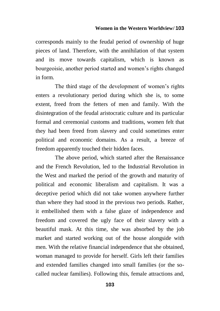#### **Women in the Western Worldview/ 103**

corresponds mainly to the feudal period of ownership of huge pieces of land. Therefore, with the annihilation of that system and its move towards capitalism, which is known as bourgeoisie, another period started and women"s rights changed in form.

The third stage of the development of women"s rights enters a revolutionary period during which she is, to some extent, freed from the fetters of men and family. With the disintegration of the feudal aristocratic culture and its particular formal and ceremonial customs and traditions, women felt that they had been freed from slavery and could sometimes enter political and economic domains. As a result, a breeze of freedom apparently touched their hidden faces.

The above period, which started after the Renaissance and the French Revolution, led to the Industrial Revolution in the West and marked the period of the growth and maturity of political and economic liberalism and capitalism. It was a deceptive period which did not take women anywhere further than where they had stood in the previous two periods. Rather, it embellished them with a false glaze of independence and freedom and covered the ugly face of their slavery with a beautiful mask. At this time, she was absorbed by the job market and started working out of the house alongside with men. With the relative financial independence that she obtained, woman managed to provide for herself. Girls left their families and extended families changed into small families (or the socalled nuclear families). Following this, female attractions and,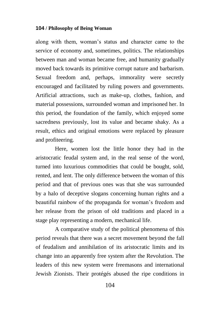along with them, woman"s status and character came to the service of economy and, sometimes, politics. The relationships between man and woman became free, and humanity gradually moved back towards its primitive corrupt nature and barbarism. Sexual freedom and, perhaps, immorality were secretly encouraged and facilitated by ruling powers and governments. Artificial attractions, such as make-up, clothes, fashion, and material possessions, surrounded woman and imprisoned her. In this period, the foundation of the family, which enjoyed some sacredness previously, lost its value and became shaky. As a result, ethics and original emotions were replaced by pleasure and profiteering.

Here, women lost the little honor they had in the aristocratic feudal system and, in the real sense of the word, turned into luxurious commodities that could be bought, sold, rented, and lent. The only difference between the woman of this period and that of previous ones was that she was surrounded by a halo of deceptive slogans concerning human rights and a beautiful rainbow of the propaganda for woman's freedom and her release from the prison of old traditions and placed in a stage play representing a modern, mechanical life.

A comparative study of the political phenomena of this period reveals that there was a secret movement beyond the fall of feudalism and annihilation of its aristocratic limits and its change into an apparently free system after the Revolution. The leaders of this new system were freemasons and international Jewish Zionists. Their protégés abused the ripe conditions in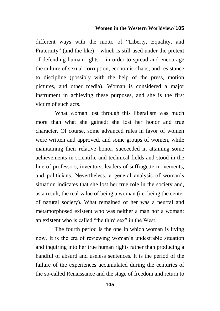### **Women in the Western Worldview/ 105**

different ways with the motto of "Liberty, Equality, and Fraternity" (and the like) – which is still used under the pretext of defending human rights – in order to spread and encourage the culture of sexual corruption, economic chaos, and resistance to discipline (possibly with the help of the press, motion pictures, and other media). Woman is considered a major instrument in achieving these purposes, and she is the first victim of such acts.

What woman lost through this liberalism was much more than what she gained: she lost her honor and true character. Of course, some advanced rules in favor of women were written and approved, and some groups of women, while maintaining their relative honor, succeeded in attaining some achievements in scientific and technical fields and stood in the line of professors, inventors, leaders of suffragette movements, and politicians. Nevertheless, a general analysis of woman"s situation indicates that she lost her true role in the society and, as a result, the real value of being a woman (i.e. being the center of natural society). What remained of her was a neutral and metamorphosed existent who was neither a man nor a woman; an existent who is called "the third sex" in the West.

The fourth period is the one in which woman is living now. It is the era of reviewing woman's undesirable situation and inquiring into her true human rights rather than producing a handful of absurd and useless sentences. It is the period of the failure of the experiences accumulated during the centuries of the so-called Renaissance and the stage of freedom and return to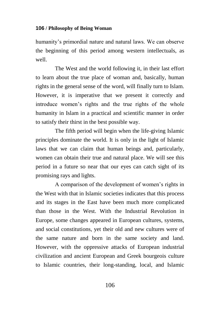humanity's primordial nature and natural laws. We can observe the beginning of this period among western intellectuals, as well.

The West and the world following it, in their last effort to learn about the true place of woman and, basically, human rights in the general sense of the word, will finally turn to Islam. However, it is imperative that we present it correctly and introduce women"s rights and the true rights of the whole humanity in Islam in a practical and scientific manner in order to satisfy their thirst in the best possible way.

The fifth period will begin when the life-giving Islamic principles dominate the world. It is only in the light of Islamic laws that we can claim that human beings and, particularly, women can obtain their true and natural place. We will see this period in a future so near that our eyes can catch sight of its promising rays and lights.

A comparison of the development of women"s rights in the West with that in Islamic societies indicates that this process and its stages in the East have been much more complicated than those in the West. With the Industrial Revolution in Europe, some changes appeared in European cultures, systems, and social constitutions, yet their old and new cultures were of the same nature and born in the same society and land. However, with the oppressive attacks of European industrial civilization and ancient European and Greek bourgeois culture to Islamic countries, their long-standing, local, and Islamic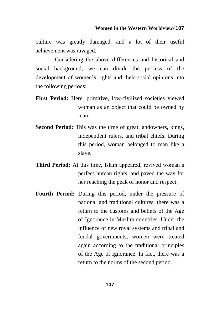culture was greatly damaged, and a lot of their useful achievement was ravaged.

Considering the above differences and historical and social background, we can divide the process of the development of women"s rights and their social opinions into the following periods:

- **First Period:** Here, primitive, low-civilized societies viewed woman as an object that could be owned by man.
- **Second Period:** This was the time of great landowners, kings, independent rulers, and tribal chiefs. During this period, woman belonged to man like a slave.
- **Third Period:** At this time, Islam appeared, revived woman's perfect human rights, and paved the way for her reaching the peak of honor and respect.
- **Fourth Period:** During this period, under the pressure of national and traditional cultures, there was a return to the customs and beliefs of the Age of Ignorance in Muslim countries. Under the influence of new royal systems and tribal and feudal governments, women were treated again according to the traditional principles of the Age of Ignorance. In fact, there was a return to the norms of the second period.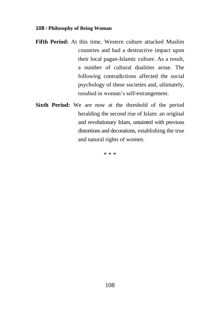- **Fifth Period:** At this time, Western culture attacked Muslim countries and had a destructive impact upon their local pagan-Islamic culture. As a result, a number of cultural dualities arose. The following contradictions affected the social psychology of these societies and, ultimately, resulted in woman"s self-estrangement.
- **Sixth Period:** We are now at the threshold of the period heralding the second rise of Islam: an original and revolutionary Islam, untainted with previous distortions and decorations, establishing the true and natural rights of women.

\* \* \*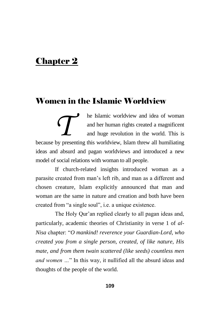# Chapter 2

## Women in the Islamic Worldview

he Islamic worldview and idea of woman and her human rights created a magnificent and huge revolution in the world. This is **be Islamic worldview and idea of woman** and her human rights created a magnificent and huge revolution in the world. This is because by presenting this worldview, Islam threw all humiliating ideas and absurd and pagan worldviews and introduced a new model of social relations with woman to all people.

If church-related insights introduced woman as a parasite created from man"s left rib, and man as a different and chosen creature, Islam explicitly announced that man and woman are the same in nature and creation and both have been created from "a single soul", i.e. a unique existence.

The Holy Qur'an replied clearly to all pagan ideas and, particularly, academic theories of Christianity in verse 1 of *al-Nisa* chapter: "*O mankind! reverence your Guardian-Lord, who created you from a single person, created, of like nature, His mate, and from them twain scattered (like seeds) countless men and women …*" In this way, it nullified all the absurd ideas and thoughts of the people of the world.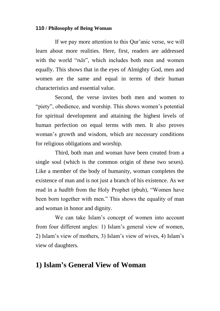If we pay more attention to this Qur'anic verse, we will learn about more realities. Here, first, readers are addressed with the world "*nās*", which includes both men and women equally. This shows that in the eyes of Almighty God, men and women are the same and equal in terms of their human characteristics and essential value.

Second, the verse invites both men and women to "piety", obedience, and worship. This shows women's potential for spiritual development and attaining the highest levels of human perfection on equal terms with men. It also proves woman"s growth and wisdom, which are necessary conditions for religious obligations and worship.

Third, both man and woman have been created from a single soul (which is the common origin of these two sexes). Like a member of the body of humanity, woman completes the existence of man and is not just a branch of his existence. As we read in a *hadīth* from the Holy Prophet (pbuh), "Women have been born together with men." This shows the equality of man and woman in honor and dignity.

We can take Islam"s concept of women into account from four different angles: 1) Islam"s general view of women, 2) Islam"s view of mothers, 3) Islam"s view of wives, 4) Islam"s view of daughters.

## **1) Islam's General View of Woman**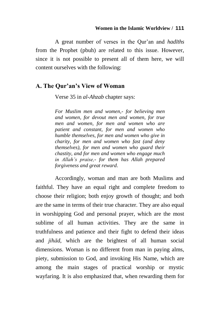A great number of verses in the Qur"an and *hadīths* from the Prophet (pbuh) are related to this issue. However, since it is not possible to present all of them here, we will content ourselves with the following:

### **A. The Qur'an's View of Woman**

Verse 35 in *al-Ahzab* chapter says:

*For Muslim men and women,- for believing men and women, for devout men and women, for true men and women, for men and women who are patient and constant, for men and women who humble themselves, for men and women who give in charity, for men and women who fast (and deny themselves), for men and women who guard their chastity, and for men and women who engage much in Allah"s praise,- for them has Allah prepared forgiveness and great reward*.

Accordingly, woman and man are both Muslims and faithful. They have an equal right and complete freedom to choose their religion; both enjoy growth of thought; and both are the same in terms of their true character. They are also equal in worshipping God and personal prayer, which are the most sublime of all human activities. They are the same in truthfulness and patience and their fight to defend their ideas and *jihād*, which are the brightest of all human social dimensions. Woman is no different from man in paying alms, piety, submission to God, and invoking His Name, which are among the main stages of practical worship or mystic wayfaring. It is also emphasized that, when rewarding them for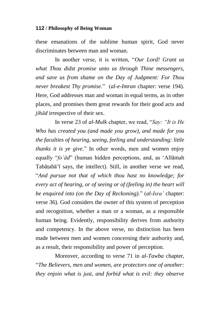these emanations of the sublime human spirit, God never discriminates between man and woman.

In another verse, it is written, "*Our Lord! Grant us what Thou didst promise unto us through Thine messengers, and save us from shame on the Day of Judgment: For Thou never breakest Thy promise.*" (*al-e-Imran* chapter: verse 194). Here, God addresses man and woman in equal terms, as in other places, and promises them great rewards for their good acts and *jihād* irrespective of their sex.

In verse 23 of *al-Mulk* chapter, we read, "*Say: "It is He Who has created you (and made you grow), and made for you the faculties of hearing, seeing, feeling and understanding: little thanks it is ye give.*" In other words, men and women enjoy equally "*fo"ād*" (human hidden perceptions, and, as "Allāmah Tabātabā'ī says, the intellect). Still, in another verse we read, "*And pursue not that of which thou hast no knowledge; for every act of hearing, or of seeing or of (feeling in) the heart will be enquired into (on the Day of Reckoning).*" (*al-Isra"* chapter: verse 36). God considers the owner of this system of perception and recognition, whether a man or a woman, as a responsible human being. Evidently, responsibility derives from authority and competency. In the above verse, no distinction has been made between men and women concerning their authority and, as a result, their responsibility and power of perception.

Moreover, according to verse 71 in *al-Tawba* chapter, "*The Believers, men and women, are protectors one of another: they enjoin what is just, and forbid what is evil: they observe*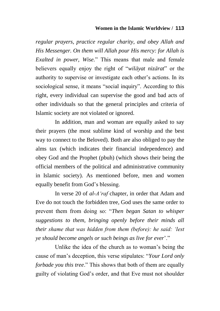### **Women in the Islamic Worldview / 113**

*regular prayers, practice regular charity, and obey Allah and His Messenger. On them will Allah pour His mercy: for Allah is Exalted in power, Wise.*" This means that male and female believers equally enjoy the right of "*wilāyat nizārat*" or the authority to supervise or investigate each other"s actions. In its sociological sense, it means "social inquiry". According to this right, every individual can supervise the good and bad acts of other individuals so that the general principles and criteria of Islamic society are not violated or ignored.

In addition, man and woman are equally asked to say their prayers (the most sublime kind of worship and the best way to connect to the Beloved). Both are also obliged to pay the alms tax (which indicates their financial independence) and obey God and the Prophet (pbuh) (which shows their being the official members of the political and administrative community in Islamic society). As mentioned before, men and women equally benefit from God"s blessing.

In verse 20 of *al-A"raf* chapter, in order that Adam and Eve do not touch the forbidden tree, God uses the same order to prevent them from doing so: "*Then began Satan to whisper suggestions to them, bringing openly before their minds all their shame that was hidden from them (before): he said: "lest ye should become angels or such beings as live for ever*"."

Unlike the idea of the church as to woman"s being the cause of man"s deception, this verse stipulates: "*Your Lord only forbade you this tree*." This shows that both of them are equally guilty of violating God"s order, and that Eve must not shoulder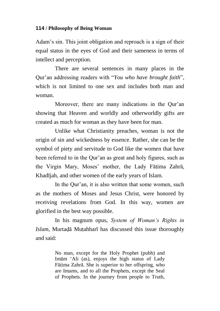Adam's sin. This joint obligation and reproach is a sign of their equal status in the eyes of God and their sameness in terms of intellect and perception.

There are several sentences in many places in the Qur"an addressing readers with "*You who have brought faith*", which is not limited to one sex and includes both man and woman.

Moreover, there are many indications in the Our'an showing that Heaven and worldly and otherworldly gifts are created as much for woman as they have been for man.

Unlike what Christianity preaches, woman is not the origin of sin and wickedness by essence. Rather, she can be the symbol of piety and servitude to God like the women that have been referred to in the Our'an as great and holy figures, such as the Virgin Mary, Moses' mother, the Lady Fātima Zahrā, Khadījah, and other women of the early years of Islam.

In the Our'an, it is also written that some women, such as the mothers of Moses and Jesus Christ, were honored by receiving revelations from God. In this way, women are glorified in the best way possible.

In his magnum opus, *System of Woman"s Rights in Islam*, Murtadā Mutahharī has discussed this issue thoroughly and said:

> No man, except for the Holy Prophet (pubh) and Imām "Ali (as), enjoys the high status of Lady Fāțima Zahrā. She is superior to her offspring, who are Imams, and to all the Prophets, except the Seal of Prophets. In the journey from people to Truth,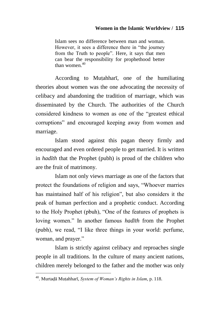Islam sees no difference between man and woman. However, it sees a difference there in "the journey from the Truth to people". Here, it says that men can bear the responsibility for prophethood better than women $140$ 

According to Mutahhari, one of the humiliating theories about women was the one advocating the necessity of celibacy and abandoning the tradition of marriage, which was disseminated by the Church. The authorities of the Church considered kindness to women as one of the "greatest ethical corruptions" and encouraged keeping away from women and marriage.

Islam stood against this pagan theory firmly and encouraged and even ordered people to get married. It is written in *hadīth* that the Prophet (pubh) is proud of the children who are the fruit of matrimony.

Islam not only views marriage as one of the factors that protect the foundations of religion and says, "Whoever marries has maintained half of his religion", but also considers it the peak of human perfection and a prophetic conduct. According to the Holy Prophet (pbuh), "One of the features of prophets is loving women." In another famous *hadīth* from the Prophet (pubh), we read, "I like three things in your world: perfume, woman, and prayer."

Islam is strictly against celibacy and reproaches single people in all traditions. In the culture of many ancient nations, children merely belonged to the father and the mother was only

 $\overline{a}$ 

<sup>&</sup>lt;sup>40</sup>. Murtadā Mutahharī, *System of Woman's Rights in Islam*, p. 118.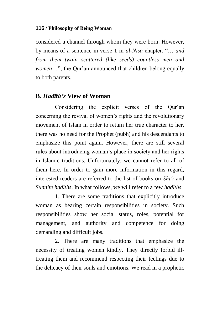considered a channel through whom they were born. However, by means of a sentence in verse 1 in *al-Nisa* chapter, "… *and from them twain scattered (like seeds) countless men and women*...", the Qur'an announced that children belong equally to both parents.

### **B.** *Hadīth's* **View of Woman**

Considering the explicit verses of the Our'an concerning the revival of women"s rights and the revolutionary movement of Islam in order to return her true character to her, there was no need for the Prophet (pubh) and his descendants to emphasize this point again. However, there are still several rules about introducing woman"s place in society and her rights in Islamic traditions. Unfortunately, we cannot refer to all of them here. In order to gain more information in this regard, interested readers are referred to the list of books on *Shi"i* and *Sunnite hadīths*. In what follows, we will refer to a few *hadīths*:

1. There are some traditions that explicitly introduce woman as bearing certain responsibilities in society. Such responsibilities show her social status, roles, potential for management, and authority and competence for doing demanding and difficult jobs.

2. There are many traditions that emphasize the necessity of treating women kindly. They directly forbid illtreating them and recommend respecting their feelings due to the delicacy of their souls and emotions. We read in a prophetic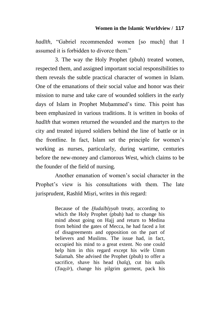*hadīth*, "Gabriel recommended women [so much] that I assumed it is forbidden to divorce them."

3. The way the Holy Prophet (pbuh) treated women, respected them, and assigned important social responsibilities to them reveals the subtle practical character of women in Islam. One of the emanations of their social value and honor was their mission to nurse and take care of wounded soldiers in the early days of Islam in Prophet Muhammed's time. This point has been emphasized in various traditions. It is written in books of *hadīth* that women returned the wounded and the martyrs to the city and treated injured soldiers behind the line of battle or in the frontline. In fact, Islam set the principle for women"s working as nurses, particularly, during wartime, centuries before the new-money and clamorous West, which claims to be the founder of the field of nursing.

Another emanation of women"s social character in the Prophet's view is his consultations with them. The late jurisprudent, Rashīd Miæri, writes in this regard:

> Because of the *Åudaībīyyah* treaty, according to which the Holy Prophet (pbuh) had to change his mind about going on Hajj and return to Medina from behind the gates of Mecca, he had faced a lot of disagreements and opposition on the part of believers and Muslims. The issue had, in fact, occupied his mind to a great extent. No one could help him in this regard except his wife Umm Salamah. She advised the Prophet (pbuh) to offer a sacrifice, shave his head (*halq*), cut his nails (*Taqæīr*), change his pilgrim garment, pack his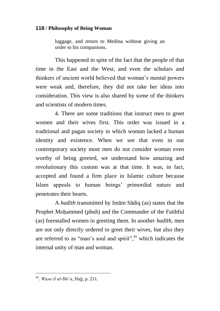luggage, and return to Medina without giving an order to his companions.

This happened in spite of the fact that the people of that time in the East and the West, and even the scholars and thinkers of ancient world believed that woman"s mental powers were weak and, therefore, they did not take her ideas into consideration. This view is also shared by some of the thinkers and scientists of modern times.

4. There are some traditions that instruct men to greet women and their wives first. This order was issued in a traditional and pagan society in which woman lacked a human identity and existence. When we see that even in our contemporary society most men do not consider woman even worthy of being greeted, we understand how amazing and revolutionary this custom was at that time. It was, in fact, accepted and found a firm place in Islamic culture because Islam appeals to human beings" primordial nature and penetrates their hearts.

A *hadīth* transmitted by Imām Sādiq (as) states that the Prophet Moåammed (pbuh) and the Commander of the Faithful (as) forestalled women in greeting them. In another *hadīth*, men are not only directly ordered to greet their wives, but also they are referred to as "man's soul and spirit", $41$  which indicates the internal unity of man and woman.

 $\overline{a}$ 

<sup>41</sup> . *Wasa"il al-Shi"a*, Hajj, p. 211.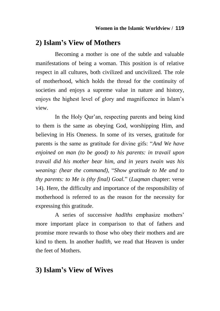### **2) Islam's View of Mothers**

Becoming a mother is one of the subtle and valuable manifestations of being a woman. This position is of relative respect in all cultures, both civilized and uncivilized. The role of motherhood, which holds the thread for the continuity of societies and enjoys a supreme value in nature and history, enjoys the highest level of glory and magnificence in Islam"s view.

In the Holy Qur'an, respecting parents and being kind to them is the same as obeying God, worshipping Him, and believing in His Oneness. In some of its verses, gratitude for parents is the same as gratitude for divine gifs: "*And We have enjoined on man (to be good) to his parents: in travail upon travail did his mother bear him, and in years twain was his weaning: (hear the command),* "*Show gratitude to Me and to thy parents: to Me is (thy final) Goal.*" (*Luqman* chapter: verse 14). Here, the difficulty and importance of the responsibility of motherhood is referred to as the reason for the necessity for expressing this gratitude.

A series of successive *hadīths* emphasize mothers" more important place in comparison to that of fathers and promise more rewards to those who obey their mothers and are kind to them. In another *hadīth*, we read that Heaven is under the feet of Mothers.

### **3) Islam's View of Wives**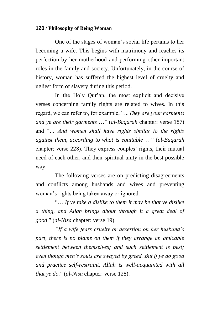One of the stages of woman"s social life pertains to her becoming a wife. This begins with matrimony and reaches its perfection by her motherhood and performing other important roles in the family and society. Unfortunately, in the course of history, woman has suffered the highest level of cruelty and ugliest form of slavery during this period.

In the Holy Qur'an, the most explicit and decisive verses concerning family rights are related to wives. In this regard, we can refer to, for example, "*…They are your garments and ye are their garments* …" (*al-Baqarah* chapter: verse 187) and "*… And women shall have rights similar to the rights against them, according to what is equitable* …" (*al-Baqarah* chapter: verse 228). They express couples' rights, their mutual need of each other, and their spiritual unity in the best possible way.

The following verses are on predicting disagreements and conflicts among husbands and wives and preventing woman"s rights being taken away or ignored:

"… *If ye take a dislike to them it may be that ye dislike a thing, and Allah brings about through it a great deal of good*." (*al-Nisa* chapter: verse 19).

*"If a wife fears cruelty or desertion on her husband"s part, there is no blame on them if they arrange an amicable settlement between themselves; and such settlement is best; even though men"s souls are swayed by greed. But if ye do good and practice self-restraint, Allah is well-acquainted with all that ye do*." (*al-Nisa* chapter: verse 128).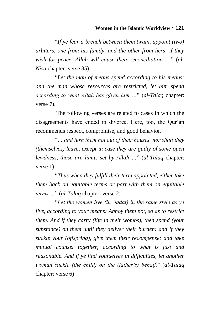#### **Women in the Islamic Worldview / 121**

"*If ye fear a breach between them twain, appoint (two) arbiters, one from his family, and the other from hers; if they wish for peace, Allah will cause their reconciliation* …" (*al-Nisa* chapter: verse 35).

"*Let the man of means spend according to his means: and the man whose resources are restricted, let him spend according to what Allah has given him …*" (*al-Talaq* chapter: verse 7).

The following verses are related to cases in which the disagreements have ended in divorce. Here, too, the Qur"an recommends respect, compromise, and good behavior.

"*… and turn them not out of their houses, nor shall they (themselves) leave, except in case they are guilty of some open lewdness, those are limits set by Allah …*" (*al-Talaq* chapter: verse 1)

"*Thus when they fulfill their term appointed, either take them back on equitable terms or part with them on equitable terms …*" (*al-Talaq* chapter: verse 2)

"*Let the women live (in "iddat) in the same style as ye live, according to your means: Annoy them not, so as to restrict them. And if they carry (life in their wombs), then spend (your substance) on them until they deliver their burden: and if they suckle your (offspring), give them their recompense: and take mutual counsel together, according to what is just and reasonable. And if ye find yourselves in difficulties, let another woman suckle (the child) on the (father"s) behalf.*" (*al-Talaq* chapter: verse 6)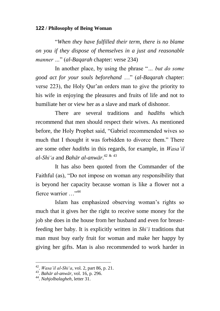"*When they have fulfilled their term, there is no blame on you if they dispose of themselves in a just and reasonable manner …*" (*al-Baqarah* chapter: verse 234)

In another place, by using the phrase "*… but do some good act for your souls beforehand* …" (*al-Baqarah* chapter: verse 223), the Holy Qur"an orders man to give the priority to his wife in enjoying the pleasures and fruits of life and not to humiliate her or view her as a slave and mark of dishonor.

There are several traditions and *hadīths* which recommend that men should respect their wives. As mentioned before, the Holy Prophet said, "Gabriel recommended wives so much that I thought it was forbidden to divorce them." There are some other *hadiths* in this regards, for example, in *Wasa"il al-Shi"a* and *Bahār al-anwār*. 42 & 43

It has also been quoted from the Commander of the Faithful (as), "Do not impose on woman any responsibility that is beyond her capacity because woman is like a flower not a fierce warrior …"<sup>44</sup>

Islam has emphasized observing woman"s rights so much that it gives her the right to receive some money for the job she does in the house from her husband and even for breastfeeding her baby. It is explicitly written in *Shi"i* traditions that man must buy early fruit for woman and make her happy by giving her gifts. Man is also recommended to work harder in

 42 . *Wasa"il al-Shi"a*, vol. 2, part 86, p. 21.

<sup>43</sup> . *Bahār al-anwār*, vol. 16, p. 296.

<sup>44</sup> . *Nahjolbalagheh*, letter 31.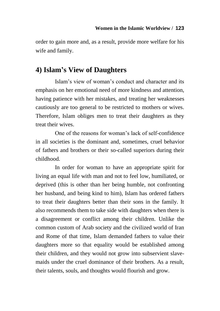order to gain more and, as a result, provide more welfare for his wife and family.

## **4) Islam's View of Daughters**

Islam"s view of woman"s conduct and character and its emphasis on her emotional need of more kindness and attention, having patience with her mistakes, and treating her weaknesses cautiously are too general to be restricted to mothers or wives. Therefore, Islam obliges men to treat their daughters as they treat their wives.

One of the reasons for woman"s lack of self-confidence in all societies is the dominant and, sometimes, cruel behavior of fathers and brothers or their so-called superiors during their childhood.

In order for woman to have an appropriate spirit for living an equal life with man and not to feel low, humiliated, or deprived (this is other than her being humble, not confronting her husband, and being kind to him), Islam has ordered fathers to treat their daughters better than their sons in the family. It also recommends them to take side with daughters when there is a disagreement or conflict among their children. Unlike the common custom of Arab society and the civilized world of Iran and Rome of that time, Islam demanded fathers to value their daughters more so that equality would be established among their children, and they would not grow into subservient slavemaids under the cruel dominance of their brothers. As a result, their talents, souls, and thoughts would flourish and grow.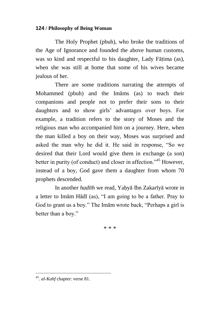The Holy Prophet (pbuh), who broke the traditions of the Age of Ignorance and founded the above human customs, was so kind and respectful to his daughter, Lady Fātima (as), when she was still at home that some of his wives became jealous of her.

There are some traditions narrating the attempts of Mohammed (pbuh) and the Imāms (as) to teach their companions and people not to prefer their sons to their daughters and to show girls' advantages over boys. For example, a tradition refers to the story of Moses and the religious man who accompanied him on a journey. Here, when the man killed a boy on their way, Moses was surprised and asked the man why he did it. He said in response, "So we desired that their Lord would give them in exchange (a son) better in purity (of conduct) and closer in affection.<sup>345</sup> However, instead of a boy, God gave them a daughter from whom 70 prophets descended.

In another *hadīth* we read, Yaåyā Ibn Zakarīyā wrote in a letter to Imām Hādī (as), "I am going to be a father. Pray to God to grant us a boy." The Imām wrote back, "Perhaps a girl is better than a boy."

\* \* \*

 $\overline{a}$ 

<sup>45</sup> . *al-Kahf* chapter: verse 81.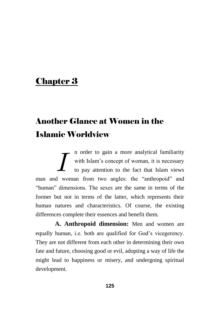# Chapter 3

# Another Glance at Women in the Islamic Worldview

n order to gain a more analytical familiarity with Islam"s concept of woman, it is necessary to pay attention to the fact that Islam views man and woman from two angles: the "anthropoid" and "human" dimensions. The sexes are the same in terms of the former but not in terms of the latter, which represents their human natures and characteristics. Of course, the existing differences complete their essences and benefit them. *I*

**A. Anthropoid dimension:** Men and women are equally human, i.e. both are qualified for God's vicegerency. They are not different from each other in determining their own fate and future, choosing good or evil, adopting a way of life the might lead to happiness or misery, and undergoing spiritual development.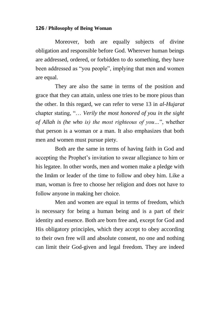Moreover, both are equally subjects of divine obligation and responsible before God. Wherever human beings are addressed, ordered, or forbidden to do something, they have been addressed as "you people", implying that men and women are equal.

They are also the same in terms of the position and grace that they can attain, unless one tries to be more pious than the other. In this regard, we can refer to verse 13 in *al-Hujarat* chapter stating, "… *Verily the most honored of you in the sight of Allah is (he who is) the most righteous of you…*", whether that person is a woman or a man. It also emphasizes that both men and women must pursue piety.

Both are the same in terms of having faith in God and accepting the Prophet's invitation to swear allegiance to him or his legatee. In other words, men and women make a pledge with the Imām or leader of the time to follow and obey him. Like a man, woman is free to choose her religion and does not have to follow anyone in making her choice.

Men and women are equal in terms of freedom, which is necessary for being a human being and is a part of their identity and essence. Both are born free and, except for God and His obligatory principles, which they accept to obey according to their own free will and absolute consent, no one and nothing can limit their God-given and legal freedom. They are indeed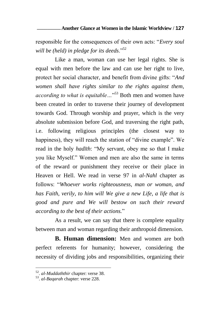### **Another Glance at Women in the Islamic Worldview / \_\_\_\_\_\_\_\_\_ 127**

responsible for the consequences of their own acts: "*Every soul will be (held) in pledge for its deeds*."<sup>52</sup>

Like a man, woman can use her legal rights. She is equal with men before the law and can use her right to live, protect her social character, and benefit from divine gifts: "*And women shall have rights similar to the rights against them, according to what is equitable…*" <sup>53</sup> Both men and women have been created in order to traverse their journey of development towards God. Through worship and prayer, which is the very absolute submission before God, and traversing the right path, i.e. following religious principles (the closest way to happiness), they will reach the station of "divine example". We read in the holy *hadīth*: "My servant, obey me so that I make you like Myself." Women and men are also the same in terms of the reward or punishment they receive or their place in Heaven or Hell. We read in verse 97 in *al-Nahl* chapter as follows: "*Whoever works righteousness, man or woman, and has Faith, verily, to him will We give a new Life, a life that is good and pure and We will bestow on such their reward according to the best of their actions.*"

As a result, we can say that there is complete equality between man and woman regarding their anthropoid dimension.

**B. Human dimension:** Men and women are both perfect referents for humanity; however, considering the necessity of dividing jobs and responsibilities, organizing their

 $\overline{a}$ 

<sup>52</sup> . *al*-*Muddaththir* chapter: verse 38.

<sup>53</sup> . *al*-*Baqarah* chapter: verse 228.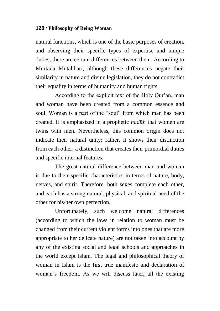natural functions, which is one of the basic purposes of creation, and observing their specific types of expertise and unique duties, there are certain differences between them. According to Murtadā Muṭahharī, although these differences negate their similarity in nature and divine legislation, they do not contradict their equality in terms of humanity and human rights.

According to the explicit text of the Holy Qur"an, man and woman have been created from a common essence and soul. Woman is a part of the "soul" from which man has been created. It is emphasized in a prophetic *hadīth* that women are twins with men. Nevertheless, this common origin does not indicate their natural unity; rather, it shows their distinction from each other; a distinction that creates their primordial duties and specific internal features.

The great natural difference between man and woman is due to their specific characteristics in terms of nature, body, nerves, and spirit. Therefore, both sexes complete each other, and each has a strong natural, physical, and spiritual need of the other for his/her own perfection.

Unfortunately, such welcome natural differences (according to which the laws in relation to woman must be changed from their current violent forms into ones that are more appropriate to her delicate nature) are not taken into account by any of the existing social and legal schools and approaches in the world except Islam. The legal and philosophical theory of woman in Islam is the first true manifesto and declaration of woman"s freedom. As we will discuss later, all the existing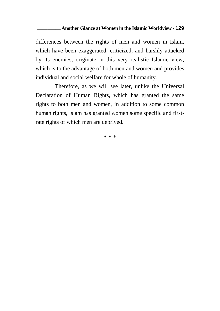### **Another Glance at Women in the Islamic Worldview / \_\_\_\_\_\_\_\_\_ 129**

differences between the rights of men and women in Islam, which have been exaggerated, criticized, and harshly attacked by its enemies, originate in this very realistic Islamic view, which is to the advantage of both men and women and provides individual and social welfare for whole of humanity.

Therefore, as we will see later, unlike the Universal Declaration of Human Rights, which has granted the same rights to both men and women, in addition to some common human rights, Islam has granted women some specific and firstrate rights of which men are deprived.

\* \* \*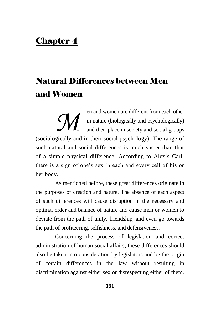# Chapter 4

# Natural Differences between Men and Women

en and women are different from each other in nature (biologically and psychologically) and their place in society and social groups (sociologically and in their social psychology). The range of such natural and social differences is much vaster than that of a simple physical difference. According to Alexis Carl, there is a sign of one"s sex in each and every cell of his or her body. *M*

As mentioned before, these great differences originate in the purposes of creation and nature. The absence of each aspect of such differences will cause disruption in the necessary and optimal order and balance of nature and cause men or women to deviate from the path of unity, friendship, and even go towards the path of profiteering, selfishness, and defensiveness.

Concerning the process of legislation and correct administration of human social affairs, these differences should also be taken into consideration by legislators and be the origin of certain differences in the law without resulting in discrimination against either sex or disrespecting either of them.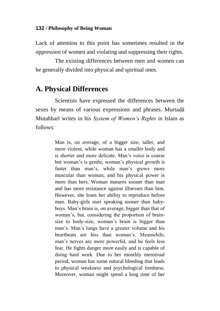Lack of attention to this point has sometimes resulted in the oppression of women and violating and suppressing their rights.

The existing differences between men and women can be generally divided into physical and spiritual ones.

### **A. Physical Differences**

Scientists have expressed the differences between the sexes by means of various expressions and phrases. Murtada Mutahharī writes in his *System of Women's Rights* in Islam as follows:

> Man is, on average, of a bigger size, taller, and more violent, while woman has a smaller body and is shorter and more delicate. Man"s voice is coarse but woman"s is gentle; woman"s physical growth is faster than man's, while man's grows more muscular than woman, and his physical power is more than hers. Woman matures sooner than man and has more resistance against illnesses than him. However, she loses her ability to reproduce before man. Baby-girls start speaking sooner than babyboys. Man"s brain is, on average, bigger than that of woman"s, but, considering the proportion of brainsize to body-size, woman"s brain is bigger than man"s. Man"s lungs have a greater volume and his heartbeats are less than woman's. Meanwhile, man"s nerves are more powerful, and he feels less fear. He fights danger more easily and is capable of doing hard work. Due to her monthly menstrual period, woman has some natural bleeding that leads to physical weakness and psychological tiredness. Moreover, woman might spend a long time of her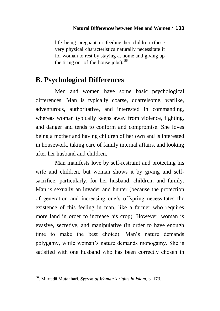### **Natural Differences between Men and Women / 133**

life being pregnant or feeding her children (these very physical characteristics naturally necessitate it for woman to rest by staying at home and giving up the tiring out-of-the-house jobs).  $56$ 

### **B. Psychological Differences**

Men and women have some basic psychological differences. Man is typically coarse, quarrelsome, warlike, adventurous, authoritative, and interested in commanding, whereas woman typically keeps away from violence, fighting, and danger and tends to conform and compromise. She loves being a mother and having children of her own and is interested in housework, taking care of family internal affairs, and looking after her husband and children.

Man manifests love by self-restraint and protecting his wife and children, but woman shows it by giving and selfsacrifice, particularly, for her husband, children, and family. Man is sexually an invader and hunter (because the protection of generation and increasing one"s offspring necessitates the existence of this feeling in man, like a farmer who requires more land in order to increase his crop). However, woman is evasive, secretive, and manipulative (in order to have enough time to make the best choice). Man"s nature demands polygamy, while woman"s nature demands monogamy. She is satisfied with one husband who has been correctly chosen in

 $\overline{a}$ 

<sup>56</sup> . Murtaèā Muìahharī, *System of Woman"s rights in Islam*, p. 173.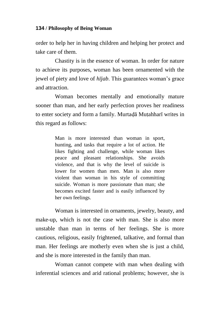order to help her in having children and helping her protect and take care of them.

Chastity is in the essence of woman. In order for nature to achieve its purposes, woman has been ornamented with the jewel of piety and love of *hījab*. This guarantees woman"s grace and attraction.

Woman becomes mentally and emotionally mature sooner than man, and her early perfection proves her readiness to enter society and form a family. Murtadā Muṭahharī writes in this regard as follows:

> Man is more interested than woman in sport, hunting, and tasks that require a lot of action. He likes fighting and challenge, while woman likes peace and pleasant relationships. She avoids violence, and that is why the level of suicide is lower for women than men. Man is also more violent than woman in his style of committing suicide. Woman is more passionate than man; she becomes excited faster and is easily influenced by her own feelings.

Woman is interested in ornaments, jewelry, beauty, and make-up, which is not the case with man. She is also more unstable than man in terms of her feelings. She is more cautious, religious, easily frightened, talkative, and formal than man. Her feelings are motherly even when she is just a child, and she is more interested in the family than man.

Woman cannot compete with man when dealing with inferential sciences and arid rational problems; however, she is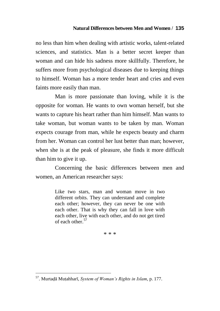### **Natural Differences between Men and Women / 135**

no less than him when dealing with artistic works, talent-related sciences, and statistics. Man is a better secret keeper than woman and can hide his sadness more skillfully. Therefore, he suffers more from psychological diseases due to keeping things to himself. Woman has a more tender heart and cries and even faints more easily than man.

Man is more passionate than loving, while it is the opposite for woman. He wants to own woman herself, but she wants to capture his heart rather than him himself. Man wants to take woman, but woman wants to be taken by man. Woman expects courage from man, while he expects beauty and charm from her. Woman can control her lust better than man; however, when she is at the peak of pleasure, she finds it more difficult than him to give it up.

Concerning the basic differences between men and women, an American researcher says:

> Like two stars, man and woman move in two different orbits. They can understand and complete each other; however, they can never be one with each other. That is why they can fall in love with each other, live with each other, and do not get tired of each other<sup>57</sup>

> > \* \* \*

 $\overline{a}$ 

<sup>57</sup> . Murtaèā Muìahharī, *System of Woman"s Rights in Islam*, p. 177.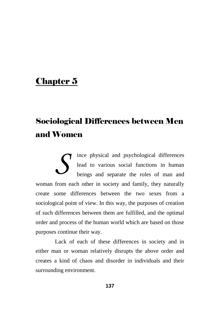# Chapter 5

# Sociological Differences between Men and Women

ince physical and psychological differences lead to various social functions in human beings and separate the roles of man and woman from each other in society and family, they naturally create some differences between the two sexes from a sociological point of view. In this way, the purposes of creation of such differences between them are fulfilled, and the optimal order and process of the human world which are based on those purposes continue their way. *S*

Lack of each of these differences in society and in either man or woman relatively disrupts the above order and creates a kind of chaos and disorder in individuals and their surrounding environment.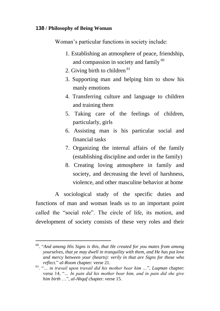Woman"s particular functions in society include:

- 1. Establishing an atmosphere of peace, friendship, and compassion in society and family <sup>60</sup>
- 2. Giving birth to children  $61$
- 3. Supporting man and helping him to show his manly emotions
- 4. Transferring culture and language to children and training them
- 5. Taking care of the feelings of children, particularly, girls
- 6. Assisting man is his particular social and financial tasks
- 7. Organizing the internal affairs of the family (establishing discipline and order in the family)
- 8. Creating loving atmosphere in family and society, and decreasing the level of harshness, violence, and other masculine behavior at home

A sociological study of the specific duties and functions of man and woman leads us to an important point called the "social role". The circle of life, its motion, and development of society consists of these very roles and their

 $\overline{a}$ <sup>60</sup>. "*And among His Signs is this, that He created for you mates from among yourselves, that ye may dwell in tranquility with them, and He has put love and mercy between your (hearts): verily in that are Signs for those who reflect.*" *al-Room* chapter: verse 21.

<sup>61</sup>. "*… in travail upon travail did his mother bear him …*", *Luqman* chapter: verse 14, "*… In pain did his mother bear him, and in pain did she give him birth* …", *al-Ahqaf* chapter: verse 15.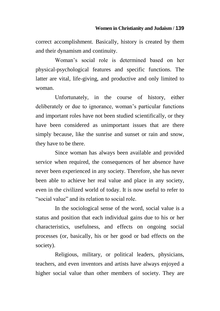correct accomplishment. Basically, history is created by them and their dynamism and continuity.

Woman"s social role is determined based on her physical-psychological features and specific functions. The latter are vital, life-giving, and productive and only limited to woman.

Unfortunately, in the course of history, either deliberately or due to ignorance, woman"s particular functions and important roles have not been studied scientifically, or they have been considered as unimportant issues that are there simply because, like the sunrise and sunset or rain and snow, they have to be there.

Since woman has always been available and provided service when required, the consequences of her absence have never been experienced in any society. Therefore, she has never been able to achieve her real value and place in any society, even in the civilized world of today. It is now useful to refer to "social value" and its relation to social role.

In the sociological sense of the word, social value is a status and position that each individual gains due to his or her characteristics, usefulness, and effects on ongoing social processes (or, basically, his or her good or bad effects on the society).

Religious, military, or political leaders, physicians, teachers, and even inventors and artists have always enjoyed a higher social value than other members of society. They are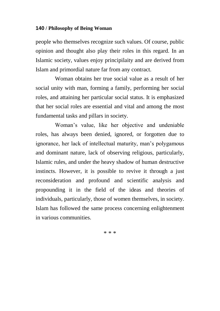people who themselves recognize such values. Of course, public opinion and thought also play their roles in this regard. In an Islamic society, values enjoy principilaity and are derived from Islam and primordial nature far from any contract.

Woman obtains her true social value as a result of her social unity with man, forming a family, performing her social roles, and attaining her particular social status. It is emphasized that her social roles are essential and vital and among the most fundamental tasks and pillars in society.

Woman"s value, like her objective and undeniable roles, has always been denied, ignored, or forgotten due to ignorance, her lack of intellectual maturity, man"s polygamous and dominant nature, lack of observing religious, particularly, Islamic rules, and under the heavy shadow of human destructive instincts. However, it is possible to revive it through a just reconsideration and profound and scientific analysis and propounding it in the field of the ideas and theories of individuals, particularly, those of women themselves, in society. Islam has followed the same process concerning enlightenment in various communities.

\* \* \*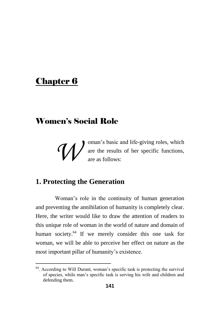# Chapter 6

 $\overline{a}$ 

# Women's Social Role

oman"s basic and life-giving roles, which are the results of her specific functions, are as follows: *W*

# **1. Protecting the Generation**

Woman"s role in the continuity of human generation and preventing the annihilation of humanity is completely clear. Here, the writer would like to draw the attention of readers to this unique role of woman in the world of nature and domain of human society.<sup>64</sup> If we merely consider this one task for woman, we will be able to perceive her effect on nature as the most important pillar of humanity's existence.

<sup>&</sup>lt;sup>64</sup>. According to Will Durant, woman's specific task is protecting the survival of species, while man"s specific task is serving his wife and children and defending them.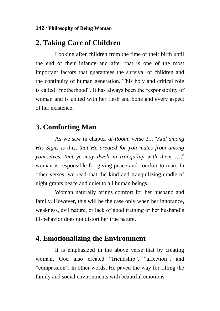### **2. Taking Care of Children**

Looking after children from the time of their birth until the end of their infancy and after that is one of the most important factors that guarantees the survival of children and the continuity of human generation. This holy and critical role is called "motherhood". It has always been the responsibility of woman and is united with her flesh and bone and every aspect of her existence.

### **3. Comforting Man**

As we saw in chapter *al-Room*: verse 21, "*And among His Signs is this, that He created for you mates from among yourselves, that ye may dwell in tranquility with them* …," woman is responsible for giving peace and comfort to man. In other verses, we read that the kind and tranquilizing cradle of night grants peace and quiet to all human beings.

Woman naturally brings comfort for her husband and family. However, this will be the case only when her ignorance, weakness, evil nature, or lack of good training or her husband"s ill-behavior does not distort her true nature.

### **4. Emotionalizing the Environment**

It is emphasized in the above verse that by creating woman, God also created "friendship", "affection", and "compassion". In other words, He paved the way for filling the family and social environments with beautiful emotions.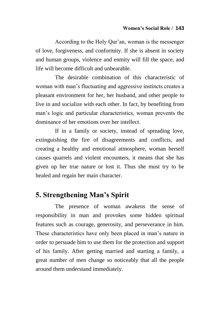According to the Holy Qur"an, woman is the messenger of love, forgiveness, and conformity. If she is absent in society and human groups, violence and enmity will fill the space, and life will become difficult and unbearable.

The desirable combination of this characteristic of woman with man"s fluctuating and aggressive instincts creates a pleasant environment for her, her husband, and other people to live in and socialize with each other. In fact, by benefiting from man"s logic and particular characteristics, woman prevents the dominance of her emotions over her intellect.

If in a family or society, instead of spreading love, extinguishing the fire of disagreements and conflicts, and creating a healthy and emotional atmosphere, woman herself causes quarrels and violent encounters, it means that she has given up her true nature or lost it. Thus she must try to be healed and regain her main character.

# **5. Strengthening Man's Spirit**

The presence of woman awakens the sense of responsibility in man and provokes some hidden spiritual features such as courage, generosity, and perseverance in him. These characteristics have only been placed in man"s nature in order to persuade him to use them for the protection and support of his family. After getting married and starting a family, a great number of men change so noticeably that all the people around them understand immediately.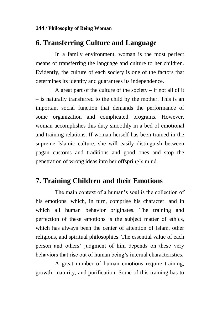### **6. Transferring Culture and Language**

In a family environment, woman is the most perfect means of transferring the language and culture to her children. Evidently, the culture of each society is one of the factors that determines its identity and guarantees its independence.

A great part of the culture of the society – if not all of it – is naturally transferred to the child by the mother. This is an important social function that demands the performance of some organization and complicated programs. However, woman accomplishes this duty smoothly in a bed of emotional and training relations. If woman herself has been trained in the supreme Islamic culture, she will easily distinguish between pagan customs and traditions and good ones and stop the penetration of wrong ideas into her offspring"s mind.

## **7. Training Children and their Emotions**

The main context of a human's soul is the collection of his emotions, which, in turn, comprise his character, and in which all human behavior originates. The training and perfection of these emotions is the subject matter of ethics, which has always been the center of attention of Islam, other religions, and spiritual philosophies. The essential value of each person and others" judgment of him depends on these very behaviors that rise out of human being"s internal characteristics.

A great number of human emotions require training, growth, maturity, and purification. Some of this training has to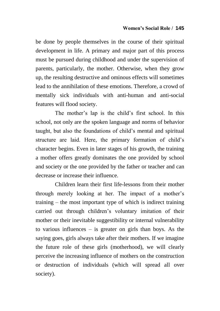be done by people themselves in the course of their spiritual development in life. A primary and major part of this process must be pursued during childhood and under the supervision of parents, particularly, the mother. Otherwise, when they grow up, the resulting destructive and ominous effects will sometimes lead to the annihilation of these emotions. Therefore, a crowd of mentally sick individuals with anti-human and anti-social features will flood society.

The mother"s lap is the child"s first school. In this school, not only are the spoken language and norms of behavior taught, but also the foundations of child"s mental and spiritual structure are laid. Here, the primary formation of child"s character begins. Even in later stages of his growth, the training a mother offers greatly dominates the one provided by school and society or the one provided by the father or teacher and can decrease or increase their influence.

Children learn their first life-lessons from their mother through merely looking at her. The impact of a mother"s training – the most important type of which is indirect training carried out through children"s voluntary imitation of their mother or their inevitable suggestibility or internal vulnerability to various influences – is greater on girls than boys. As the saying goes, girls always take after their mothers. If we imagine the future role of these girls (motherhood), we will clearly perceive the increasing influence of mothers on the construction or destruction of individuals (which will spread all over society).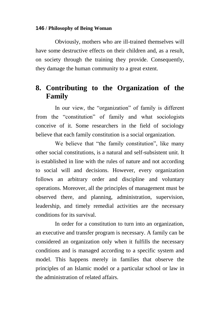Obviously, mothers who are ill-trained themselves will have some destructive effects on their children and, as a result, on society through the training they provide. Consequently, they damage the human community to a great extent.

# **8. Contributing to the Organization of the Family**

In our view, the "organization" of family is different from the "constitution" of family and what sociologists conceive of it. Some researchers in the field of sociology believe that each family constitution is a social organization.

We believe that "the family constitution", like many other social constitutions, is a natural and self-subsistent unit. It is established in line with the rules of nature and not according to social will and decisions. However, every organization follows an arbitrary order and discipline and voluntary operations. Moreover, all the principles of management must be observed there, and planning, administration, supervision, leadership, and timely remedial activities are the necessary conditions for its survival.

In order for a constitution to turn into an organization, an executive and transfer program is necessary. A family can be considered an organization only when it fulfills the necessary conditions and is managed according to a specific system and model. This happens merely in families that observe the principles of an Islamic model or a particular school or law in the administration of related affairs.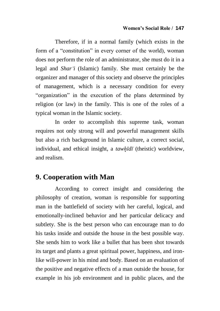Therefore, if in a normal family (which exists in the form of a "constitution" in every corner of the world), woman does not perform the role of an administrator, she must do it in a legal and *Shar"i* (Islamic) family. She must certainly be the organizer and manager of this society and observe the principles of management, which is a necessary condition for every "organization" in the execution of the plans determined by religion (or law) in the family. This is one of the roles of a typical woman in the Islamic society.

In order to accomplish this supreme task, woman requires not only strong will and powerful management skills but also a rich background in Islamic culture, a correct social, individual, and ethical insight, a *tawåīdī* (theistic) worldview, and realism.

### **9. Cooperation with Man**

According to correct insight and considering the philosophy of creation, woman is responsible for supporting man in the battlefield of society with her careful, logical, and emotionally-inclined behavior and her particular delicacy and subtlety. She is the best person who can encourage man to do his tasks inside and outside the house in the best possible way. She sends him to work like a bullet that has been shot towards its target and plants a great spiritual power, happiness, and ironlike will-power in his mind and body. Based on an evaluation of the positive and negative effects of a man outside the house, for example in his job environment and in public places, and the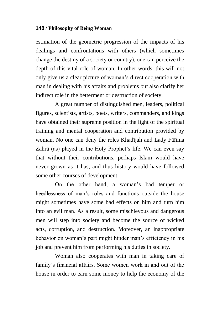estimation of the geometric progression of the impacts of his dealings and confrontations with others (which sometimes change the destiny of a society or country), one can perceive the depth of this vital role of woman. In other words, this will not only give us a clear picture of woman"s direct cooperation with man in dealing with his affairs and problems but also clarify her indirect role in the betterment or destruction of society.

A great number of distinguished men, leaders, political figures, scientists, artists, poets, writers, commanders, and kings have obtained their supreme position in the light of the spiritual training and mental cooperation and contribution provided by woman. No one can deny the roles Khadījah and Lady Fāīima Zahrā (as) played in the Holy Prophet's life. We can even say that without their contributions, perhaps Islam would have never grown as it has, and thus history would have followed some other courses of development.

On the other hand, a woman"s bad temper or heedlessness of man's roles and functions outside the house might sometimes have some bad effects on him and turn him into an evil man. As a result, some mischievous and dangerous men will step into society and become the source of wicked acts, corruption, and destruction. Moreover, an inappropriate behavior on woman"s part might hinder man"s efficiency in his job and prevent him from performing his duties in society.

Woman also cooperates with man in taking care of family's financial affairs. Some women work in and out of the house in order to earn some money to help the economy of the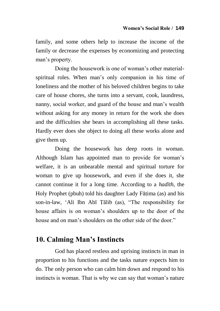family, and some others help to increase the income of the family or decrease the expenses by economizing and protecting man"s property.

Doing the housework is one of woman"s other materialspiritual roles. When man's only companion in his time of loneliness and the mother of his beloved children begins to take care of house chores, she turns into a servant, cook, laundress, nanny, social worker, and guard of the house and man"s wealth without asking for any money in return for the work she does and the difficulties she bears in accomplishing all these tasks. Hardly ever does she object to doing all these works alone and give them up.

Doing the housework has deep roots in woman. Although Islam has appointed man to provide for woman"s welfare, it is an unbearable mental and spiritual torture for woman to give up housework, and even if she does it, she cannot continue it for a long time. According to a *hadīth*, the Holy Prophet (pbuh) told his daughter Lady Fātima (as) and his son-in-law, 'Ali Ibn Abī Tālib (as), "The responsibility for house affairs is on woman"s shoulders up to the door of the house and on man's shoulders on the other side of the door."

## **10. Calming Man's Instincts**

God has placed restless and uprising instincts in man in proportion to his functions and the tasks nature expects him to do. The only person who can calm him down and respond to his instincts is woman. That is why we can say that woman's nature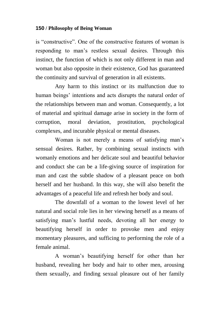is "constructive". One of the constructive features of woman is responding to man"s restless sexual desires. Through this instinct, the function of which is not only different in man and woman but also opposite in their existence, God has guaranteed the continuity and survival of generation in all existents.

Any harm to this instinct or its malfunction due to human beings' intentions and acts disrupts the natural order of the relationships between man and woman. Consequently, a lot of material and spiritual damage arise in society in the form of corruption, moral deviation, prostitution, psychological complexes, and incurable physical or mental diseases.

Woman is not merely a means of satisfying man"s sensual desires. Rather, by combining sexual instincts with womanly emotions and her delicate soul and beautiful behavior and conduct she can be a life-giving source of inspiration for man and cast the subtle shadow of a pleasant peace on both herself and her husband. In this way, she will also benefit the advantages of a peaceful life and refresh her body and soul.

The downfall of a woman to the lowest level of her natural and social role lies in her viewing herself as a means of satisfying man"s lustful needs, devoting all her energy to beautifying herself in order to provoke men and enjoy momentary pleasures, and sufficing to performing the role of a female animal.

A woman"s beautifying herself for other than her husband, revealing her body and hair to other men, arousing them sexually, and finding sexual pleasure out of her family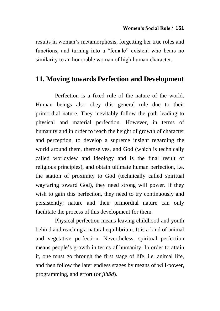results in woman"s metamorphosis, forgetting her true roles and functions, and turning into a "female" existent who bears no similarity to an honorable woman of high human character.

### **11. Moving towards Perfection and Development**

Perfection is a fixed rule of the nature of the world. Human beings also obey this general rule due to their primordial nature. They inevitably follow the path leading to physical and material perfection. However, in terms of humanity and in order to reach the height of growth of character and perception, to develop a supreme insight regarding the world around them, themselves, and God (which is technically called worldview and ideology and is the final result of religious principles), and obtain ultimate human perfection, i.e. the station of proximity to God (technically called spiritual wayfaring toward God), they need strong will power. If they wish to gain this perfection, they need to try continuously and persistently; nature and their primordial nature can only facilitate the process of this development for them.

Physical perfection means leaving childhood and youth behind and reaching a natural equilibrium. It is a kind of animal and vegetative perfection. Nevertheless, spiritual perfection means people"s growth in terms of humanity. In order to attain it, one must go through the first stage of life, i.e. animal life, and then follow the later endless stages by means of will-power, programming, and effort (or *jihād*).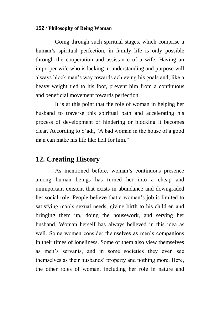Going through such spiritual stages, which comprise a human's spiritual perfection, in family life is only possible through the cooperation and assistance of a wife. Having an improper wife who is lacking in understanding and purpose will always block man"s way towards achieving his goals and, like a heavy weight tied to his foot, prevent him from a continuous and beneficial movement towards perfection.

It is at this point that the role of woman in helping her husband to traverse this spiritual path and accelerating his process of development or hindering or blocking it becomes clear. According to S"adi, "A bad woman in the house of a good man can make his life like hell for him."

## **12. Creating History**

As mentioned before, woman"s continuous presence among human beings has turned her into a cheap and unimportant existent that exists in abundance and downgraded her social role. People believe that a woman"s job is limited to satisfying man"s sexual needs, giving birth to his children and bringing them up, doing the housework, and serving her husband. Woman herself has always believed in this idea as well. Some women consider themselves as men's companions in their times of loneliness. Some of them also view themselves as men"s servants, and in some societies they even see themselves as their husbands" property and nothing more. Here, the other roles of woman, including her role in nature and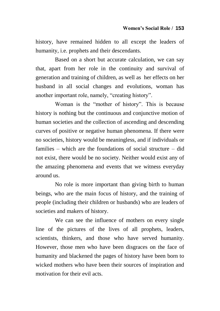history, have remained hidden to all except the leaders of humanity, i.e. prophets and their descendants.

Based on a short but accurate calculation, we can say that, apart from her role in the continuity and survival of generation and training of children, as well as her effects on her husband in all social changes and evolutions, woman has another important role, namely, "creating history".

Woman is the "mother of history". This is because history is nothing but the continuous and conjunctive motion of human societies and the collection of ascending and descending curves of positive or negative human phenomena. If there were no societies, history would be meaningless, and if individuals or families – which are the foundations of social structure – did not exist, there would be no society. Neither would exist any of the amazing phenomena and events that we witness everyday around us.

No role is more important than giving birth to human beings, who are the main focus of history, and the training of people (including their children or husbands) who are leaders of societies and makers of history.

We can see the influence of mothers on every single line of the pictures of the lives of all prophets, leaders, scientists, thinkers, and those who have served humanity. However, those men who have been disgraces on the face of humanity and blackened the pages of history have been born to wicked mothers who have been their sources of inspiration and motivation for their evil acts.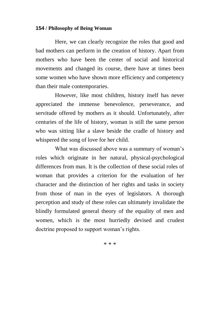Here, we can clearly recognize the roles that good and bad mothers can perform in the creation of history. Apart from mothers who have been the center of social and historical movements and changed its course, there have at times been some women who have shown more efficiency and competency than their male contemporaries.

However, like most children, history itself has never appreciated the immense benevolence, perseverance, and servitude offered by mothers as it should. Unfortunately, after centuries of the life of history, woman is still the same person who was sitting like a slave beside the cradle of history and whispered the song of love for her child.

What was discussed above was a summary of woman"s roles which originate in her natural, physical-psychological differences from man. It is the collection of these social roles of woman that provides a criterion for the evaluation of her character and the distinction of her rights and tasks in society from those of man in the eyes of legislators. A thorough perception and study of these roles can ultimately invalidate the blindly formulated general theory of the equality of men and women, which is the most hurriedly devised and crudest doctrine proposed to support woman's rights.

\* \* \*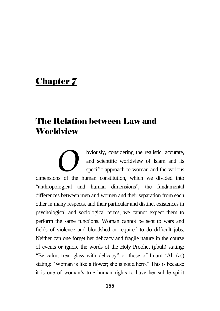# Chapter 7

# The Relation between Law and **Worldview**

bviously, considering the realistic, accurate, and scientific worldview of Islam and its specific approach to woman and the various bviously, considering the realistic, accurate, and scientific worldview of Islam and its specific approach to woman and the various dimensions of the human constitution, which we divided into "anthropological and human dimensions", the fundamental differences between men and women and their separation from each other in many respects, and their particular and distinct existences in psychological and sociological terms, we cannot expect them to perform the same functions. Woman cannot be sent to wars and fields of violence and bloodshed or required to do difficult jobs. Neither can one forget her delicacy and fragile nature in the course of events or ignore the words of the Holy Prophet (pbuh) stating: "Be calm; treat glass with delicacy" or those of Imām "Ali (as) stating: "Woman is like a flower; she is not a hero." This is because it is one of woman"s true human rights to have her subtle spirit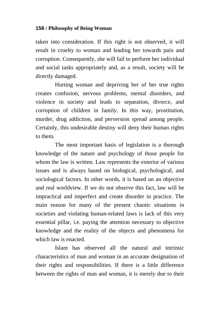taken into consideration. If this right is not observed, it will result in cruelty to woman and leading her towards pain and corruption. Consequently, she will fail to perform her individual and social tasks appropriately and, as a result, society will be directly damaged.

Hurting woman and depriving her of her true rights creates confusion, nervous problems, mental disorders, and violence in society and leads to separation, divorce, and corruption of children in family. In this way, prostitution, murder, drug addiction, and perversion spread among people. Certainly, this undesirable destiny will deny their human rights to them.

The most important basis of legislation is a thorough knowledge of the nature and psychology of those people for whom the law is written. Law represents the exterior of various issues and is always based on biological, psychological, and sociological factors. In other words, it is based on an objective and real worldview. If we do not observe this fact, law will be impractical and imperfect and create disorder in practice. The main reason for many of the present chaotic situations in societies and violating human-related laws is lack of this very essential pillar, i.e. paying the attention necessary to objective knowledge and the reality of the objects and phenomena for which law is enacted.

Islam has observed all the natural and intrinsic characteristics of man and woman in an accurate designation of their rights and responsibilities. If there is a little difference between the rights of man and woman, it is merely due to their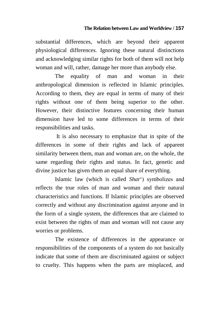substantial differences, which are beyond their apparent physiological differences. Ignoring these natural distinctions and acknowledging similar rights for both of them will not help woman and will, rather, damage her more than anybody else.

The equality of man and woman in their anthropological dimension is reflected in Islamic principles. According to them, they are equal in terms of many of their rights without one of them being superior to the other. However, their distinctive features concerning their human dimension have led to some differences in terms of their responsibilities and tasks.

It is also necessary to emphasize that in spite of the differences in some of their rights and lack of apparent similarity between them, man and woman are, on the whole, the same regarding their rights and status. In fact, genetic and divine justice has given them an equal share of everything.

Islamic law (which is called *Shar*") symbolizes and reflects the true roles of man and woman and their natural characteristics and functions. If Islamic principles are observed correctly and without any discrimination against anyone and in the form of a single system, the differences that are claimed to exist between the rights of man and woman will not cause any worries or problems.

The existence of differences in the appearance or responsibilities of the components of a system do not basically indicate that some of them are discriminated against or subject to cruelty. This happens when the parts are misplaced, and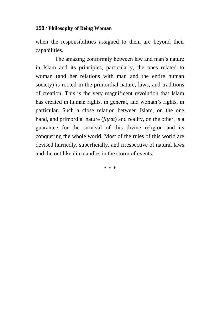when the responsibilities assigned to them are beyond their capabilities.

The amazing conformity between law and man"s nature in Islam and its principles, particularly, the ones related to woman (and her relations with man and the entire human society) is rooted in the primordial nature, laws, and traditions of creation. This is the very magnificent revolution that Islam has created in human rights, in general, and woman's rights, in particular. Such a close relation between Islam, on the one hand, and primordial nature (*fiìrat*) and reality, on the other, is a guarantee for the survival of this divine religion and its conquering the whole world. Most of the rules of this world are devised hurriedly, superficially, and irrespective of natural laws and die out like dim candles in the storm of events.

\* \* \*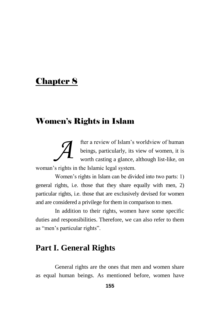# Chapter 8

# Women's Rights in Islam

fter a review of Islam"s worldview of human beings, particularly, its view of women, it is worth casting a glance, although list-like, on woman"s rights in the Islamic legal system. *A*

Women's rights in Islam can be divided into two parts: 1) general rights, i.e. those that they share equally with men, 2) particular rights, i.e. those that are exclusively devised for women and are considered a privilege for them in comparison to men.

In addition to their rights, women have some specific duties and responsibilities. Therefore, we can also refer to them as "men"s particular rights".

# **Part I. General Rights**

General rights are the ones that men and women share as equal human beings. As mentioned before, women have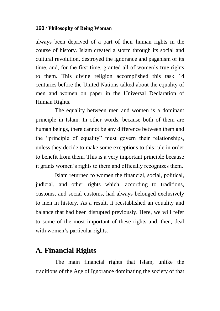always been deprived of a part of their human rights in the course of history. Islam created a storm through its social and cultural revolution, destroyed the ignorance and paganism of its time, and, for the first time, granted all of women"s true rights to them. This divine religion accomplished this task 14 centuries before the United Nations talked about the equality of men and women on paper in the Universal Declaration of Human Rights.

The equality between men and women is a dominant principle in Islam. In other words, because both of them are human beings, there cannot be any difference between them and the "principle of equality" must govern their relationships, unless they decide to make some exceptions to this rule in order to benefit from them. This is a very important principle because it grants women"s rights to them and officially recognizes them.

Islam returned to women the financial, social, political, judicial, and other rights which, according to traditions, customs, and social customs, had always belonged exclusively to men in history. As a result, it reestablished an equality and balance that had been disrupted previously. Here, we will refer to some of the most important of these rights and, then, deal with women's particular rights.

## **A. Financial Rights**

The main financial rights that Islam, unlike the traditions of the Age of Ignorance dominating the society of that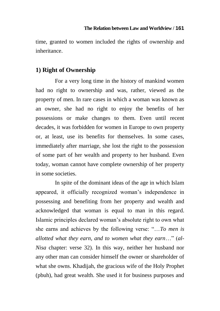### **The Relation between Law and Worldview / 161**

time, granted to women included the rights of ownership and inheritance.

### **1) Right of Ownership**

For a very long time in the history of mankind women had no right to ownership and was, rather, viewed as the property of men. In rare cases in which a woman was known as an owner, she had no right to enjoy the benefits of her possessions or make changes to them. Even until recent decades, it was forbidden for women in Europe to own property or, at least, use its benefits for themselves. In some cases, immediately after marriage, she lost the right to the possession of some part of her wealth and property to her husband. Even today, woman cannot have complete ownership of her property in some societies.

In spite of the dominant ideas of the age in which Islam appeared, it officially recognized woman"s independence in possessing and benefiting from her property and wealth and acknowledged that woman is equal to man in this regard. Islamic principles declared woman"s absolute right to own what she earns and achieves by the following verse: "…*To men is allotted what they earn, and to women what they earn*…" (*al-Nisa* chapter: verse 32). In this way, neither her husband nor any other man can consider himself the owner or shareholder of what she owns. Khadijah, the gracious wife of the Holy Prophet (pbuh), had great wealth. She used it for business purposes and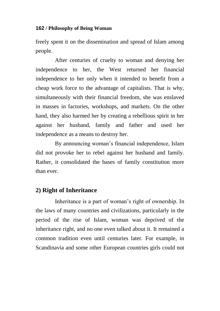freely spent it on the dissemination and spread of Islam among people.

After centuries of cruelty to woman and denying her independence to her, the West returned her financial independence to her only when it intended to benefit from a cheap work force to the advantage of capitalists. That is why, simultaneously with their financial freedom, she was enslaved in masses in factories, workshops, and markets. On the other hand, they also harmed her by creating a rebellious spirit in her against her husband, family and father and used her independence as a means to destroy her.

By announcing woman"s financial independence, Islam did not provoke her to rebel against her husband and family. Rather, it consolidated the bases of family constitution more than ever.

### **2) Right of Inheritance**

Inheritance is a part of woman"s right of ownership. In the laws of many countries and civilizations, particularly in the period of the rise of Islam, woman was deprived of the inheritance right, and no one even talked about it. It remained a common tradition even until centuries later. For example, in Scandinavia and some other European countries girls could not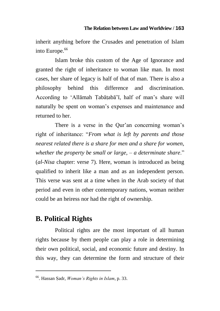inherit anything before the Crusades and penetration of Islam into Europe.<sup>66</sup>

Islam broke this custom of the Age of Ignorance and granted the right of inheritance to woman like man. In most cases, her share of legacy is half of that of man. There is also a philosophy behind this difference and discrimination. According to 'Allāmah Tabātabā'ī, half of man's share will naturally be spent on woman"s expenses and maintenance and returned to her.

There is a verse in the Qur'an concerning woman's right of inheritance: "*From what is left by parents and those nearest related there is a share for men and a share for women, whether the property be small or large, – a determinate share.*" (*al-Nisa* chapter: verse 7). Here, woman is introduced as being qualified to inherit like a man and as an independent person. This verse was sent at a time when in the Arab society of that period and even in other contemporary nations, woman neither could be an heiress nor had the right of ownership.

## **B. Political Rights**

 $\overline{a}$ 

Political rights are the most important of all human rights because by them people can play a role in determining their own political, social, and economic future and destiny. In this way, they can determine the form and structure of their

<sup>66</sup>. Hassan Æadr, *Woman"s Rights in Islam*, p. 33.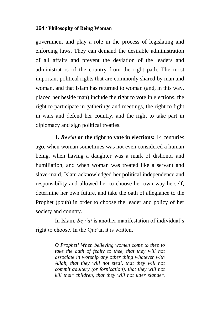government and play a role in the process of legislating and enforcing laws. They can demand the desirable administration of all affairs and prevent the deviation of the leaders and administrators of the country from the right path. The most important political rights that are commonly shared by man and woman, and that Islam has returned to woman (and, in this way, placed her beside man) include the right to vote in elections, the right to participate in gatherings and meetings, the right to fight in wars and defend her country, and the right to take part in diplomacy and sign political treaties.

**1.** *Bey'at* **or the right to vote in elections:** 14 centuries ago, when woman sometimes was not even considered a human being, when having a daughter was a mark of dishonor and humiliation, and when woman was treated like a servant and slave-maid, Islam acknowledged her political independence and responsibility and allowed her to choose her own way herself, determine her own future, and take the oath of allegiance to the Prophet (pbuh) in order to choose the leader and policy of her society and country.

In Islam, *Bey"at* is another manifestation of individual"s right to choose. In the Qur'an it is written,

> *O Prophet! When believing women come to thee to take the oath of fealty to thee, that they will not associate in worship any other thing whatever with Allah, that they will not steal, that they will not commit adultery (or fornication), that they will not kill their children, that they will not utter slander,*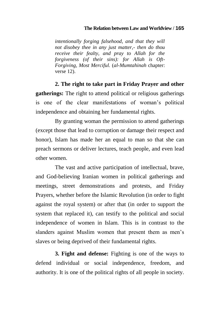#### **The Relation between Law and Worldview / 165**

*intentionally forging falsehood, and that they will not disobey thee in any just matter,- then do thou receive their fealty, and pray to Allah for the forgiveness (of their sins): for Allah is Oft-Forgiving, Most Merciful.* (*al-Mumtahinah* chapter: verse 12).

**2. The right to take part in Friday Prayer and other gatherings:** The right to attend political or religious gatherings is one of the clear manifestations of woman's political independence and obtaining her fundamental rights.

By granting woman the permission to attend gatherings (except those that lead to corruption or damage their respect and honor), Islam has made her an equal to man so that she can preach sermons or deliver lectures, teach people, and even lead other women.

The vast and active participation of intellectual, brave, and God-believing Iranian women in political gatherings and meetings, street demonstrations and protests, and Friday Prayers, whether before the Islamic Revolution (in order to fight against the royal system) or after that (in order to support the system that replaced it), can testify to the political and social independence of women in Islam. This is in contrast to the slanders against Muslim women that present them as men's slaves or being deprived of their fundamental rights.

**3. Fight and defense:** Fighting is one of the ways to defend individual or social independence, freedom, and authority. It is one of the political rights of all people in society.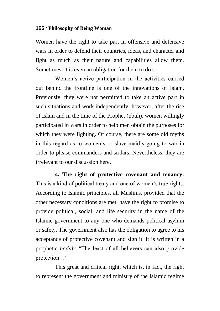Women have the right to take part in offensive and defensive wars in order to defend their countries, ideas, and character and fight as much as their nature and capabilities allow them. Sometimes, it is even an obligation for them to do so.

Women"s active participation in the activities carried out behind the frontline is one of the innovations of Islam. Previously, they were not permitted to take an active part in such situations and work independently; however, after the rise of Islam and in the time of the Prophet (pbuh), women willingly participated in wars in order to help men obtain the purposes for which they were fighting. Of course, there are some old myths in this regard as to women"s or slave-maid"s going to war in order to please commanders and sirdars. Nevertheless, they are irrelevant to our discussion here.

**4. The right of protective covenant and tenancy:**  This is a kind of political treaty and one of women"s true rights. According to Islamic principles, all Muslims, provided that the other necessary conditions are met, have the right to promise to provide political, social, and life security in the name of the Islamic government to any one who demands political asylum or safety. The government also has the obligation to agree to his acceptance of protective covenant and sign it. It is written in a prophetic *hadīth*: "The least of all believers can also provide protection…"

This great and critical right, which is, in fact, the right to represent the government and ministry of the Islamic regime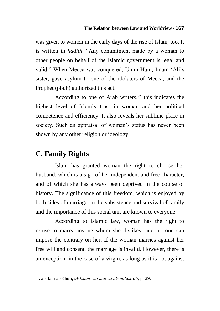### **The Relation between Law and Worldview / 167**

was given to women in the early days of the rise of Islam, too. It is written in *hadīth*, "Any commitment made by a woman to other people on behalf of the Islamic government is legal and valid." When Mecca was conquered, Umm Hānī, Imām "Ali"s sister, gave asylum to one of the idolaters of Mecca, and the Prophet (pbuh) authorized this act.

According to one of Arab writers, $67$  this indicates the highest level of Islam"s trust in woman and her political competence and efficiency. It also reveals her sublime place in society. Such an appraisal of woman's status has never been shown by any other religion or ideology.

### **C. Family Rights**

 $\overline{a}$ 

Islam has granted woman the right to choose her husband, which is a sign of her independent and free character, and of which she has always been deprived in the course of history. The significance of this freedom, which is enjoyed by both sides of marriage, in the subsistence and survival of family and the importance of this social unit are known to everyone.

According to Islamic law, woman has the right to refuse to marry anyone whom she dislikes, and no one can impose the contrary on her. If the woman marries against her free will and consent, the marriage is invalid. However, there is an exception: in the case of a virgin, as long as it is not against

<sup>67</sup>. al-Bahi al-Khulī, *al-Islam wal mar"at al-mu"aæirah*, p. 29.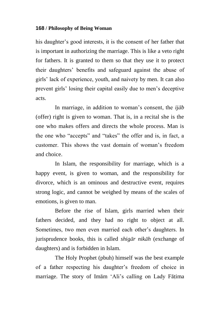his daughter's good interests, it is the consent of her father that is important in authorizing the marriage. This is like a veto right for fathers. It is granted to them so that they use it to protect their daughters" benefits and safeguard against the abuse of girls" lack of experience, youth, and naivety by men. It can also prevent girls" losing their capital easily due to men"s deceptive acts.

In marriage, in addition to woman"s consent, the *ijāb* (offer) right is given to woman. That is, in a recital she is the one who makes offers and directs the whole process. Man is the one who "accepts" and "takes" the offer and is, in fact, a customer. This shows the vast domain of woman"s freedom and choice.

In Islam, the responsibility for marriage, which is a happy event, is given to woman, and the responsibility for divorce, which is an ominous and destructive event, requires strong logic, and cannot be weighed by means of the scales of emotions, is given to man.

Before the rise of Islam, girls married when their fathers decided, and they had no right to object at all. Sometimes, two men even married each other"s daughters. In jurisprudence books, this is called *shigār nikāh* (exchange of daughters) and is forbidden in Islam.

The Holy Prophet (pbuh) himself was the best example of a father respecting his daughter"s freedom of choice in marriage. The story of Imām 'Ali's calling on Lady Fāțima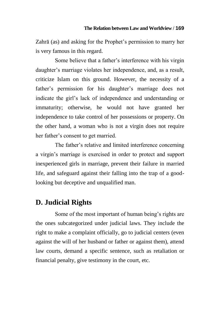Zahrā (as) and asking for the Prophet"s permission to marry her is very famous in this regard.

Some believe that a father"s interference with his virgin daughter"s marriage violates her independence, and, as a result, criticize Islam on this ground. However, the necessity of a father's permission for his daughter's marriage does not indicate the girl"s lack of independence and understanding or immaturity; otherwise, he would not have granted her independence to take control of her possessions or property. On the other hand, a woman who is not a virgin does not require her father"s consent to get married.

The father"s relative and limited interference concerning a virgin"s marriage is exercised in order to protect and support inexperienced girls in marriage, prevent their failure in married life, and safeguard against their falling into the trap of a goodlooking but deceptive and unqualified man.

## **D. Judicial Rights**

Some of the most important of human being"s rights are the ones subcategorized under judicial laws. They include the right to make a complaint officially, go to judicial centers (even against the will of her husband or father or against them), attend law courts, demand a specific sentence, such as retaliation or financial penalty, give testimony in the court, etc.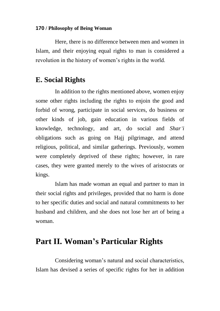Here, there is no difference between men and women in Islam, and their enjoying equal rights to man is considered a revolution in the history of women"s rights in the world.

### **E. Social Rights**

In addition to the rights mentioned above, women enjoy some other rights including the rights to enjoin the good and forbid of wrong, participate in social services, do business or other kinds of job, gain education in various fields of knowledge, technology, and art, do social and *Shar"i*  obligations such as going on Hajj pilgrimage, and attend religious, political, and similar gatherings. Previously, women were completely deprived of these rights; however, in rare cases, they were granted merely to the wives of aristocrats or kings.

Islam has made woman an equal and partner to man in their social rights and privileges, provided that no harm is done to her specific duties and social and natural commitments to her husband and children, and she does not lose her art of being a woman.

# **Part II. Woman's Particular Rights**

Considering woman"s natural and social characteristics, Islam has devised a series of specific rights for her in addition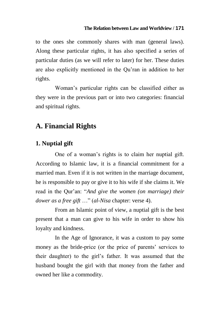### **The Relation between Law and Worldview / 171**

to the ones she commonly shares with man (general laws). Along these particular rights, it has also specified a series of particular duties (as we will refer to later) for her. These duties are also explicitly mentioned in the Qu"ran in addition to her rights.

Woman"s particular rights can be classified either as they were in the previous part or into two categories: financial and spiritual rights.

### **A. Financial Rights**

### **1. Nuptial gift**

One of a woman"s rights is to claim her nuptial gift. According to Islamic law, it is a financial commitment for a married man. Even if it is not written in the marriage document, he is responsible to pay or give it to his wife if she claims it. We read in the Qur"an: "*And give the women (on marriage) their dower as a free gift* …" (*al-Nisa* chapter: verse 4).

From an Islamic point of view, a nuptial gift is the best present that a man can give to his wife in order to show his loyalty and kindness.

In the Age of Ignorance, it was a custom to pay some money as the bride-price (or the price of parents" services to their daughter) to the girl"s father. It was assumed that the husband bought the girl with that money from the father and owned her like a commodity.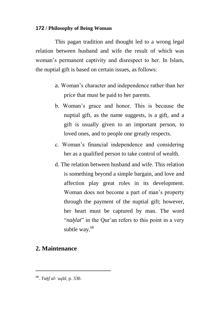This pagan tradition and thought led to a wrong legal relation between husband and wife the result of which was woman"s permanent captivity and disrespect to her. In Islam, the nuptial gift is based on certain issues, as follows:

- a. Woman"s character and independence rather than her price that must be paid to her parents.
- b. Woman"s grace and honor. This is because the nuptial gift, as the name suggests, is a gift, and a gift is usually given to an important person, to loved ones, and to people one greatly respects.
- c. Woman"s financial independence and considering her as a qualified person to take control of wealth.
- d. The relation between husband and wife. This relation is something beyond a simple bargain, and love and affection play great roles in its development. Woman does not become a part of man"s property through the payment of the nuptial gift; however, her heart must be captured by man. The word "*nahlat*" in the Our'an refers to this point in a very subtle way.<sup>68</sup>

### **2. Maintenance**

 $\overline{a}$ 

<sup>68</sup> . *Tuåf al-"uqêl*, p. 330.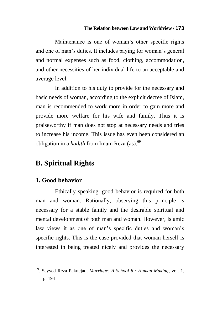### **The Relation between Law and Worldview / 173**

Maintenance is one of woman's other specific rights and one of man"s duties. It includes paying for woman"s general and normal expenses such as food, clothing, accommodation, and other necessities of her individual life to an acceptable and average level.

In addition to his duty to provide for the necessary and basic needs of woman, according to the explicit decree of Islam, man is recommended to work more in order to gain more and provide more welfare for his wife and family. Thus it is praiseworthy if man does not stop at necessary needs and tries to increase his income. This issue has even been considered an obligation in a *hadīth* from Imām Rezā (as).<sup>69</sup>

## **B. Spiritual Rights**

### **1. Good behavior**

 $\overline{a}$ 

Ethically speaking, good behavior is required for both man and woman. Rationally, observing this principle is necessary for a stable family and the desirable spiritual and mental development of both man and woman. However, Islamic law views it as one of man's specific duties and woman's specific rights. This is the case provided that woman herself is interested in being treated nicely and provides the necessary

<sup>69</sup>. Seyyed Reza Paknejad, *Marriage: A School for Human Making*, vol. 1, p. 194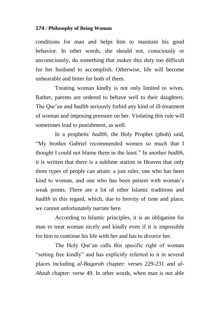conditions for man and helps him to maintain his good behavior. In other words, she should not, consciously or unconsciously, do something that makes this duty too difficult for her husband to accomplish. Otherwise, life will become unbearable and bitter for both of them.

Treating woman kindly is not only limited to wives. Rather, parents are ordered to behave well to their daughters. The Qur"an and *hadīth* seriously forbid any kind of ill-treatment of woman and imposing pressure on her. Violating this rule will sometimes lead to punishment, as well.

In a prophetic *hadīth*, the Holy Prophet (pbuh) said, "My brother Gabriel recommended women so much that I thought I could not blame them in the least." In another *hadīth*, it is written that there is a sublime station in Heaven that only three types of people can attain: a just ruler, one who has been kind to woman, and one who has been patient with woman's weak points. There are a lot of other Islamic traditions and *hadīth* in this regard, which, due to brevity of time and place, we cannot unfortunately narrate here.

According to Islamic principles, it is an obligation for man to treat woman nicely and kindly even if it is impossible for him to continue his life with her and has to divorce her.

The Holy Our'an calls this specific right of woman "setting free kindly" and has explicitly referred to it in several places including *al-Baqarah* chapter: verses 229-231 and *al-Ahzab* chapter: verse 49. In other words, when man is not able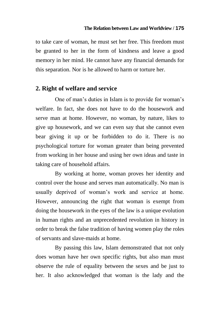to take care of woman, he must set her free. This freedom must be granted to her in the form of kindness and leave a good memory in her mind. He cannot have any financial demands for this separation. Nor is he allowed to harm or torture her.

## **2. Right of welfare and service**

One of man's duties in Islam is to provide for woman's welfare. In fact, she does not have to do the housework and serve man at home. However, no woman, by nature, likes to give up housework, and we can even say that she cannot even bear giving it up or be forbidden to do it. There is no psychological torture for woman greater than being prevented from working in her house and using her own ideas and taste in taking care of household affairs.

By working at home, woman proves her identity and control over the house and serves man automatically. No man is usually deprived of woman"s work and service at home. However, announcing the right that woman is exempt from doing the housework in the eyes of the law is a unique evolution in human rights and an unprecedented revolution in history in order to break the false tradition of having women play the roles of servants and slave-maids at home.

By passing this law, Islam demonstrated that not only does woman have her own specific rights, but also man must observe the rule of equality between the sexes and be just to her. It also acknowledged that woman is the lady and the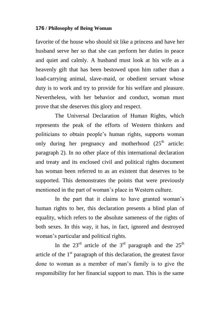favorite of the house who should sit like a princess and have her husband serve her so that she can perform her duties in peace and quiet and calmly. A husband must look at his wife as a heavenly gift that has been bestowed upon him rather than a load-carrying animal, slave-maid, or obedient servant whose duty is to work and try to provide for his welfare and pleasure. Nevertheless, with her behavior and conduct, woman must prove that she deserves this glory and respect.

The Universal Declaration of Human Rights, which represents the peak of the efforts of Western thinkers and politicians to obtain people"s human rights, supports woman only during her pregnancy and motherhood  $(25<sup>th</sup>$  article: paragraph 2). In no other place of this international declaration and treaty and its enclosed civil and political rights document has woman been referred to as an existent that deserves to be supported. This demonstrates the points that were previously mentioned in the part of woman"s place in Western culture.

In the part that it claims to have granted woman's human rights to her, this declaration presents a blind plan of equality, which refers to the absolute sameness of the rights of both sexes. In this way, it has, in fact, ignored and destroyed woman"s particular and political rights.

In the  $23<sup>rd</sup>$  article of the  $3<sup>rd</sup>$  paragraph and the  $25<sup>th</sup>$ article of the  $1<sup>st</sup>$  paragraph of this declaration, the greatest favor done to woman as a member of man"s family is to give the responsibility for her financial support to man. This is the same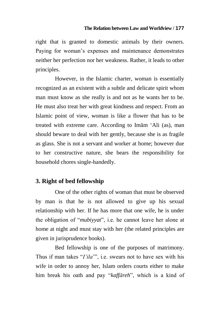right that is granted to domestic animals by their owners. Paying for woman"s expenses and maintenance demonstrates neither her perfection nor her weakness. Rather, it leads to other principles.

However, in the Islamic charter, woman is essentially recognized as an existent with a subtle and delicate spirit whom man must know as she really is and not as he wants her to be. He must also treat her with great kindness and respect. From an Islamic point of view, woman is like a flower that has to be treated with extreme care. According to Imām "Ali (as), man should beware to deal with her gently, because she is as fragile as glass. She is not a servant and worker at home; however due to her constructive nature, she bears the responsibility for household chores single-handedly.

## **3. Right of bed fellowship**

One of the other rights of woman that must be observed by man is that he is not allowed to give up his sexual relationship with her. If he has more that one wife, he is under the obligation of "*mubiyyat*", i.e. he cannot leave her alone at home at night and must stay with her (the related principles are given in jurisprudence books).

Bed fellowship is one of the purposes of matrimony. Thus if man takes "*I"ila*"", i.e. swears not to have sex with his wife in order to annoy her, Islam orders courts either to make him break his oath and pay "*kaffāreh*", which is a kind of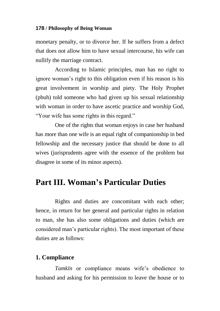monetary penalty, or to divorce her. If he suffers from a defect that does not allow him to have sexual intercourse, his wife can nullify the marriage contract.

According to Islamic principles, man has no right to ignore woman"s right to this obligation even if his reason is his great involvement in worship and piety. The Holy Prophet (pbuh) told someone who had given up his sexual relationship with woman in order to have ascetic practice and worship God, "Your wife has some rights in this regard."

One of the rights that woman enjoys in case her husband has more than one wife is an equal right of companionship in bed fellowship and the necessary justice that should be done to all wives (jurisprudents agree with the essence of the problem but disagree in some of its minor aspects).

# **Part III. Woman's Particular Duties**

Rights and duties are concomitant with each other; hence, in return for her general and particular rights in relation to man, she has also some obligations and duties (which are considered man"s particular rights). The most important of these duties are as follows:

## **1. Compliance**

Tamkīn or compliance means wife's obedience to husband and asking for his permission to leave the house or to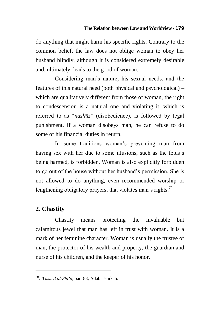do anything that might harm his specific rights. Contrary to the common belief, the law does not oblige woman to obey her husband blindly, although it is considered extremely desirable and, ultimately, leads to the good of woman.

Considering man"s nature, his sexual needs, and the features of this natural need (both physical and psychological) – which are qualitatively different from those of woman, the right to condescension is a natural one and violating it, which is referred to as "*nashūz*" (disobedience), is followed by legal punishment. If a woman disobeys man, he can refuse to do some of his financial duties in return.

In some traditions woman"s preventing man from having sex with her due to some illusions, such as the fetus's being harmed, is forbidden. Woman is also explicitly forbidden to go out of the house without her husband"s permission. She is not allowed to do anything, even recommended worship or lengthening obligatory prayers, that violates man's rights.<sup>70</sup>

## **2. Chastity**

 $\overline{a}$ 

Chastity means protecting the invaluable but calamitous jewel that man has left in trust with woman. It is a mark of her feminine character. Woman is usually the trustee of man, the protector of his wealth and property, the guardian and nurse of his children, and the keeper of his honor.

<sup>70</sup> . *Wasa"il al-Shi"a*, part 83, Adab al-nikah.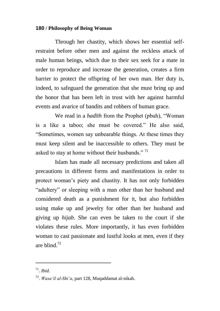Through her chastity, which shows her essential selfrestraint before other men and against the reckless attack of male human beings, which due to their sex seek for a mate in order to reproduce and increase the generation, creates a firm barrier to protect the offspring of her own man. Her duty is, indeed, to safeguard the generation that she must bring up and the honor that has been left in trust with her against harmful events and avarice of bandits and robbers of human grace.

We read in a *hadīth* from the Prophet (pbuh), "Woman is a like a taboo; she must be covered." He also said, "Sometimes, women say unbearable things. At these times they must keep silent and be inaccessible to others. They must be asked to stay at home without their husbands."<sup>71</sup>

Islam has made all necessary predictions and taken all precautions in different forms and manifestations in order to protect woman"s piety and chastity. It has not only forbidden "adultery" or sleeping with a man other than her husband and considered death as a punishment for it, but also forbidden using make up and jewelry for other than her husband and giving up *hijab*. She can even be taken to the court if she violates these rules. More importantly, it has even forbidden woman to cast passionate and lustful looks at men, even if they are blind $^{72}$ 

 $\overline{a}$ 

<sup>71</sup> . *Ibid*.

<sup>72</sup> . *Wasa"il al-Shi"a*, part 128, Muqaddamat al-nikah.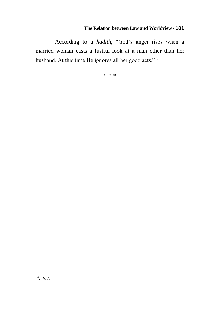According to a *hadīth*, "God"s anger rises when a married woman casts a lustful look at a man other than her husband. At this time He ignores all her good acts."<sup>73</sup>

\* \* \*

 $\overline{a}$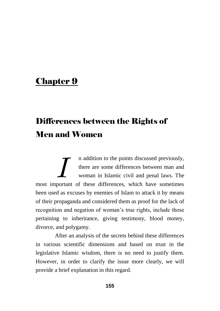# Chapter 9

# Differences between the Rights of Men and Women

n addition to the points discussed previously, there are some differences between man and woman in Islamic civil and penal laws. The maddition to the points discussed previously, there are some differences between man and woman in Islamic civil and penal laws. The most important of these differences, which have sometimes been used as excuses by enemies of Islam to attack it by means of their propaganda and considered them as proof for the lack of recognition and negation of woman"s true rights, include those pertaining to inheritance, giving testimony, blood money, divorce, and polygamy.

After an analysis of the secrets behind these differences in various scientific dimensions and based on trust in the legislative Islamic wisdom, there is no need to justify them. However, in order to clarify the issue more clearly, we will provide a brief explanation in this regard.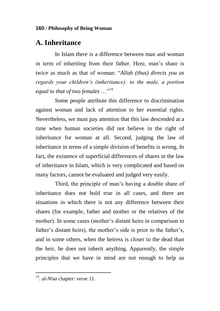# **A. Inheritance**

In Islam there is a difference between man and woman in term of inheriting from their father. Here, man"s share is twice as much as that of woman: "*Allah (thus) directs you as regards your children"s (inheritance): to the male, a portion equal to that of two females* …"<sup>74</sup>

Some people attribute this difference to discrimination against woman and lack of attention to her essential rights. Nevertheless, we must pay attention that this law descended at a time when human societies did not believe in the right of inheritance for woman at all. Second, judging the law of inheritance in terms of a simple division of benefits is wrong. In fact, the existence of superficial differences of shares in the law of inheritance in Islam, which is very complicated and based on many factors, cannot be evaluated and judged very easily.

Third, the principle of man"s having a double share of inheritance does not hold true in all cases, and there are situations in which there is not any difference between their shares (for example, father and mother or the relatives of the mother). In some cases (mother's distant heirs in comparison to father's distant heirs), the mother's side is prior to the father's, and in some others, when the heiress is closer to the dead than the heir, he does not inherit anything. Apparently, the simple principles that we have in mind are not enough to help us

 $\overline{a}$ 

<sup>74</sup> . *al-Nisa* chapter: verse 11.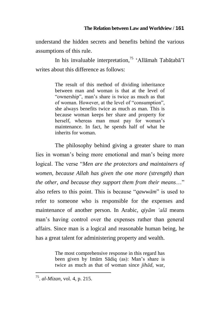understand the hidden secrets and benefits behind the various assumptions of this rule.

In his invaluable interpretation,<sup>75</sup> 'Allāmah Tabātabā'ī writes about this difference as follows:

> The result of this method of dividing inheritance between man and woman is that at the level of "ownership", man"s share is twice as much as that of woman. However, at the level of "consumption", she always benefits twice as much as man. This is because woman keeps her share and property for herself, whereas man must pay for woman's maintenance. In fact, he spends half of what he inherits for woman.

The philosophy behind giving a greater share to man lies in woman's being more emotional and man's being more logical. The verse "*Men are the protectors and maintainers of women, because Allah has given the one more (strength) than the other, and because they support them from their means*…" also refers to this point. This is because "*qawwām*" is used to refer to someone who is responsible for the expenses and maintenance of another person. In Arabic, *qiyām "alā* means man"s having control over the expenses rather than general affairs. Since man is a logical and reasonable human being, he has a great talent for administering property and wealth.

> The most comprehensive response in this regard has been given by Imām Sādiq (as): Man"s share is twice as much as that of woman since *jihād*, war,

 $\overline{a}$ 

<sup>75</sup> . *al-Mizan*, vol. 4, p. 215.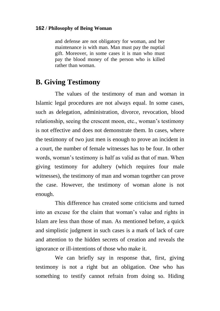and defense are not obligatory for woman, and her maintenance is with man. Man must pay the nuptial gift. Moreover, in some cases it is man who must pay the blood money of the person who is killed rather than woman.

# **B. Giving Testimony**

The values of the testimony of man and woman in Islamic legal procedures are not always equal. In some cases, such as delegation, administration, divorce, revocation, blood relationship, seeing the crescent moon, etc., woman"s testimony is not effective and does not demonstrate them. In cases, where the testimony of two just men is enough to prove an incident in a court, the number of female witnesses has to be four. In other words, woman"s testimony is half as valid as that of man. When giving testimony for adultery (which requires four male witnesses), the testimony of man and woman together can prove the case. However, the testimony of woman alone is not enough.

This difference has created some criticisms and turned into an excuse for the claim that woman"s value and rights in Islam are less than those of man. As mentioned before, a quick and simplistic judgment in such cases is a mark of lack of care and attention to the hidden secrets of creation and reveals the ignorance or ill-intentions of those who make it.

We can briefly say in response that, first, giving testimony is not a right but an obligation. One who has something to testify cannot refrain from doing so. Hiding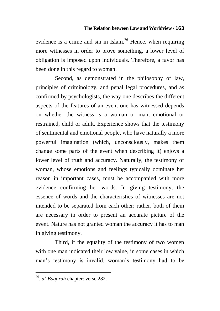evidence is a crime and sin in Islam.<sup>76</sup> Hence, when requiring more witnesses in order to prove something, a lower level of obligation is imposed upon individuals. Therefore, a favor has been done in this regard to woman.

Second, as demonstrated in the philosophy of law, principles of criminology, and penal legal procedures, and as confirmed by psychologists, the way one describes the different aspects of the features of an event one has witnessed depends on whether the witness is a woman or man, emotional or restrained, child or adult. Experience shows that the testimony of sentimental and emotional people, who have naturally a more powerful imagination (which, unconsciously, makes them change some parts of the event when describing it) enjoys a lower level of truth and accuracy. Naturally, the testimony of woman, whose emotions and feelings typically dominate her reason in important cases, must be accompanied with more evidence confirming her words. In giving testimony, the essence of words and the characteristics of witnesses are not intended to be separated from each other; rather, both of them are necessary in order to present an accurate picture of the event. Nature has not granted woman the accuracy it has to man in giving testimony.

Third, if the equality of the testimony of two women with one man indicated their low value, in some cases in which man"s testimony is invalid, woman"s testimony had to be

 $\overline{a}$ 

<sup>76</sup> . *al-Baqarah* chapter: verse 282.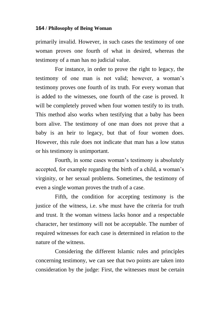primarily invalid. However, in such cases the testimony of one woman proves one fourth of what in desired, whereas the testimony of a man has no judicial value.

For instance, in order to prove the right to legacy, the testimony of one man is not valid; however, a woman"s testimony proves one fourth of its truth. For every woman that is added to the witnesses, one fourth of the case is proved. It will be completely proved when four women testify to its truth. This method also works when testifying that a baby has been born alive. The testimony of one man does not prove that a baby is an heir to legacy, but that of four women does. However, this rule does not indicate that man has a low status or his testimony is unimportant.

Fourth, in some cases woman"s testimony is absolutely accepted, for example regarding the birth of a child, a woman"s virginity, or her sexual problems. Sometimes, the testimony of even a single woman proves the truth of a case.

Fifth, the condition for accepting testimony is the justice of the witness, i.e. s/he must have the criteria for truth and trust. It the woman witness lacks honor and a respectable character, her testimony will not be acceptable. The number of required witnesses for each case is determined in relation to the nature of the witness.

Considering the different Islamic rules and principles concerning testimony, we can see that two points are taken into consideration by the judge: First, the witnesses must be certain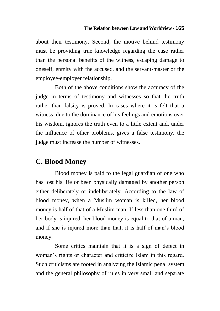about their testimony. Second, the motive behind testimony must be providing true knowledge regarding the case rather than the personal benefits of the witness, escaping damage to oneself, enmity with the accused, and the servant-master or the employee-employer relationship.

Both of the above conditions show the accuracy of the judge in terms of testimony and witnesses so that the truth rather than falsity is proved. In cases where it is felt that a witness, due to the dominance of his feelings and emotions over his wisdom, ignores the truth even to a little extent and, under the influence of other problems, gives a false testimony, the judge must increase the number of witnesses.

# **C. Blood Money**

Blood money is paid to the legal guardian of one who has lost his life or been physically damaged by another person either deliberately or indeliberately. According to the law of blood money, when a Muslim woman is killed, her blood money is half of that of a Muslim man. If less than one third of her body is injured, her blood money is equal to that of a man, and if she is injured more than that, it is half of man"s blood money.

Some critics maintain that it is a sign of defect in woman"s rights or character and criticize Islam in this regard. Such criticisms are rooted in analyzing the Islamic penal system and the general philosophy of rules in very small and separate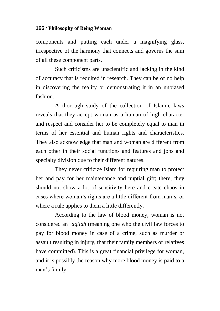components and putting each under a magnifying glass, irrespective of the harmony that connects and governs the sum of all these component parts.

Such criticisms are unscientific and lacking in the kind of accuracy that is required in research. They can be of no help in discovering the reality or demonstrating it in an unbiased fashion.

A thorough study of the collection of Islamic laws reveals that they accept woman as a human of high character and respect and consider her to be completely equal to man in terms of her essential and human rights and characteristics. They also acknowledge that man and woman are different from each other in their social functions and features and jobs and specialty division due to their different natures.

They never criticize Islam for requiring man to protect her and pay for her maintenance and nuptial gift; there, they should not show a lot of sensitivity here and create chaos in cases where woman"s rights are a little different from man"s, or where a rule applies to them a little differently.

According to the law of blood money, woman is not considered an *"aqilah* (meaning one who the civil law forces to pay for blood money in case of a crime, such as murder or assault resulting in injury, that their family members or relatives have committed). This is a great financial privilege for woman, and it is possibly the reason why more blood money is paid to a man"s family.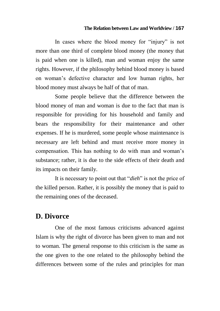In cases where the blood money for "injury" is not more than one third of complete blood money (the money that is paid when one is killed), man and woman enjoy the same rights. However, if the philosophy behind blood money is based on woman"s defective character and low human rights, her blood money must always be half of that of man.

Some people believe that the difference between the blood money of man and woman is due to the fact that man is responsible for providing for his household and family and bears the responsibility for their maintenance and other expenses. If he is murdered, some people whose maintenance is necessary are left behind and must receive more money in compensation. This has nothing to do with man and woman"s substance; rather, it is due to the side effects of their death and its impacts on their family.

It is necessary to point out that "*dieh*" is not the price of the killed person. Rather, it is possibly the money that is paid to the remaining ones of the deceased.

# **D. Divorce**

One of the most famous criticisms advanced against Islam is why the right of divorce has been given to man and not to woman. The general response to this criticism is the same as the one given to the one related to the philosophy behind the differences between some of the rules and principles for man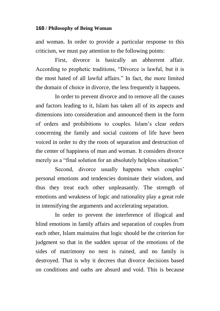and woman. In order to provide a particular response to this criticism, we must pay attention to the following points:

First, divorce is basically an abhorrent affair. According to prophetic traditions, "Divorce is lawful, but it is the most hated of all lawful affairs." In fact, the more limited the domain of choice in divorce, the less frequently it happens.

In order to prevent divorce and to remove all the causes and factors leading to it, Islam has taken all of its aspects and dimensions into consideration and announced them in the form of orders and prohibitions to couples. Islam"s clear orders concerning the family and social customs of life have been voiced in order to dry the roots of separation and destruction of the center of happiness of man and woman. It considers divorce merely as a "final solution for an absolutely helpless situation."

Second, divorce usually happens when couples' personal emotions and tendencies dominate their wisdom, and thus they treat each other unpleasantly. The strength of emotions and weakness of logic and rationality play a great role in intensifying the arguments and accelerating separation.

In order to prevent the interference of illogical and blind emotions in family affairs and separation of couples from each other, Islam maintains that logic should be the criterion for judgment so that in the sudden uproar of the emotions of the sides of matrimony no nest is ruined, and no family is destroyed. That is why it decrees that divorce decisions based on conditions and oaths are absurd and void. This is because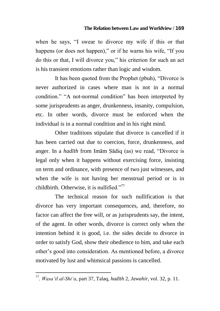when he says, "I swear to divorce my wife if this or that happens (or does not happen)," or if he warns his wife, "If you do this or that, I will divorce you," his criterion for such an act is his transient emotions rather than logic and wisdom.

It has been quoted from the Prophet (pbuh), "Divorce is never authorized in cases where man is not in a normal condition." "A not-normal condition" has been interpreted by some jurisprudents as anger, drunkenness, insanity, compulsion, etc. In other words, divorce must be enforced when the individual is in a normal condition and in his right mind.

Other traditions stipulate that divorce is cancelled if it has been carried out due to coercion, force, drunkenness, and anger. In a *hadīth* from Imām Sādiq (as) we read, "Divorce is legal only when it happens without exercising force, insisting on term and ordinance, with presence of two just witnesses, and when the wife is not having her menstrual period or is in childbirth. Otherwise, it is nullified." $77$ 

The technical reason for such nullification is that divorce has very important consequences, and, therefore, no factor can affect the free will, or as jurisprudents say, the intent, of the agent. In other words, divorce is correct only when the intention behind it is good, i.e. the sides decide to divorce in order to satisfy God, show their obedience to him, and take each other"s good into consideration. As mentioned before, a divorce motivated by lust and whimsical passions is cancelled.

 $\overline{a}$ 

<sup>77</sup> . *Wasa"il al-Shi"a*, part 37, Talaq, *hadīth* 2, *Jawahir*, vol. 32, p. 11.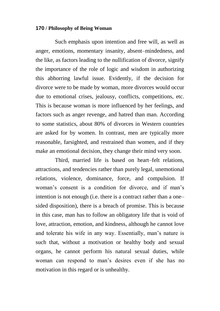Such emphasis upon intention and free will, as well as anger, emotions, momentary insanity, absent–mindedness, and the like, as factors leading to the nullification of divorce, signify the importance of the role of logic and wisdom in authorizing this abhorring lawful issue. Evidently, if the decision for divorce were to be made by woman, more divorces would occur due to emotional crises, jealousy, conflicts, competitions, etc. This is because woman is more influenced by her feelings, and factors such as anger revenge, and hatred than man. According to some statistics, about 80% of divorces in Western countries are asked for by women. In contrast, men are typically more reasonable, farsighted, and restrained than women, and if they make an emotional decision, they change their mind very soon.

Third, married life is based on heart–felt relations, attractions, and tendencies rather than purely legal, unemotional relations, violence, dominance, force, and compulsion. If woman"s consent is a condition for divorce, and if man"s intention is not enough (i.e. there is a contract rather than a one– sided disposition), there is a breach of promise. This is because in this case, man has to follow an obligatory life that is void of love, attraction, emotion, and kindness, although he cannot love and tolerate his wife in any way. Essentially, man"s nature is such that, without a motivation or healthy body and sexual organs, he cannot perform his natural sexual duties, while woman can respond to man"s desires even if she has no motivation in this regard or is unhealthy.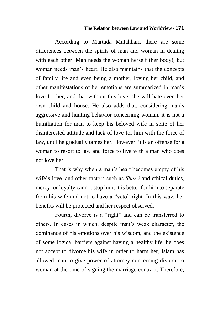According to Murtada Mutahharī, there are some differences between the spirits of man and woman in dealing with each other. Man needs the woman herself (her body), but woman needs man"s heart. He also maintains that the concepts of family life and even being a mother, loving her child, and other manifestations of her emotions are summarized in man"s love for her, and that without this love, she will hate even her own child and house. He also adds that, considering man"s aggressive and hunting behavior concerning woman, it is not a humiliation for man to keep his beloved wife in spite of her disinterested attitude and lack of love for him with the force of law, until he gradually tames her. However, it is an offense for a woman to resort to law and force to live with a man who does not love her.

That is why when a man"s heart becomes empty of his wife's love, and other factors such as *Shar'i* and ethical duties, mercy, or loyalty cannot stop him, it is better for him to separate from his wife and not to have a "veto" right. In this way, her benefits will be protected and her respect observed.

Fourth, divorce is a "right" and can be transferred to others. In cases in which, despite man"s weak character, the dominance of his emotions over his wisdom, and the existence of some logical barriers against having a healthy life, he does not accept to divorce his wife in order to harm her, Islam has allowed man to give power of attorney concerning divorce to woman at the time of signing the marriage contract. Therefore,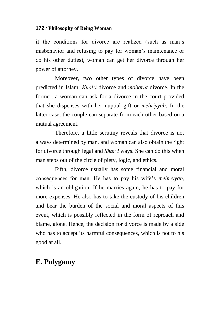if the conditions for divorce are realized (such as man"s misbehavior and refusing to pay for woman"s maintenance or do his other duties), woman can get her divorce through her power of attorney.

Moreover, two other types of divorce have been predicted in Islam: *Khol"ī* divorce and *mobarāt* divorce. In the former, a woman can ask for a divorce in the court provided that she dispenses with her nuptial gift or *mehriyyah*. In the latter case, the couple can separate from each other based on a mutual agreement.

Therefore, a little scrutiny reveals that divorce is not always determined by man, and woman can also obtain the right for divorce through legal and *Shar"i* ways. She can do this when man steps out of the circle of piety, logic, and ethics.

Fifth, divorce usually has some financial and moral consequences for man. He has to pay his wife"s *mehrīyyah*, which is an obligation. If he marries again, he has to pay for more expenses. He also has to take the custody of his children and bear the burden of the social and moral aspects of this event, which is possibly reflected in the form of reproach and blame, alone. Hence, the decision for divorce is made by a side who has to accept its harmful consequences, which is not to his good at all.

# **E. Polygamy**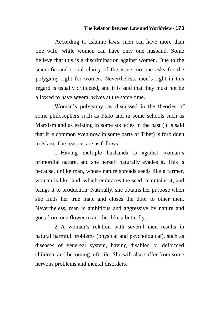According to Islamic laws, men can have more than one wife, while women can have only one husband. Some believe that this is a discrimination against women. Due to the scientific and social clarity of the issue, no one asks for the polygamy right for women. Nevertheless, men"s right in this regard is usually criticized, and it is said that they must not be allowed to have several wives at the same time.

Woman"s polygamy, as discussed in the theories of some philosophers such as Plato and in some schools such as Marxism and as existing in some societies in the past (it is said that it is common even now in some parts of Tibet) is forbidden in Islam. The reasons are as follows:

1. Having multiple husbands is against woman"s primordial nature, and she herself naturally evades it. This is because, unlike man, whose nature spreads seeds like a farmer, woman is like land, which embraces the seed, maintains it, and brings it to production. Naturally, she obtains her purpose when she finds her true mate and closes the door to other men. Nevertheless, man is ambitious and aggressive by nature and goes from one flower to another like a butterfly.

2. A woman"s relation with several men results in natural harmful problems (physical and psychological), such as diseases of venereal system, having disabled or deformed children, and becoming infertile. She will also suffer from some nervous problems and mental disorders.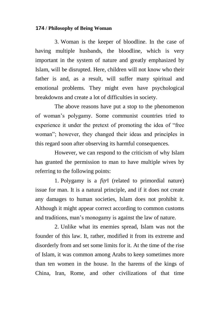3. Woman is the keeper of bloodline. In the case of having multiple husbands, the bloodline, which is very important in the system of nature and greatly emphasized by Islam, will be disrupted. Here, children will not know who their father is and, as a result, will suffer many spiritual and emotional problems. They might even have psychological breakdowns and create a lot of difficulties in society.

The above reasons have put a stop to the phenomenon of woman"s polygamy. Some communist countries tried to experience it under the pretext of promoting the idea of "free woman"; however, they changed their ideas and principles in this regard soon after observing its harmful consequences.

However, we can respond to the criticism of why Islam has granted the permission to man to have multiple wives by referring to the following points:

1. Polygamy is a *fiìr*ī (related to primordial nature) issue for man. It is a natural principle, and if it does not create any damages to human societies, Islam does not prohibit it. Although it might appear correct according to common customs and traditions, man"s monogamy is against the law of nature.

2. Unlike what its enemies spread, Islam was not the founder of this law. It, rather, modified it from its extreme and disorderly from and set some limits for it. At the time of the rise of Islam, it was common among Arabs to keep sometimes more than ten women in the house. In the harems of the kings of China, Iran, Rome, and other civilizations of that time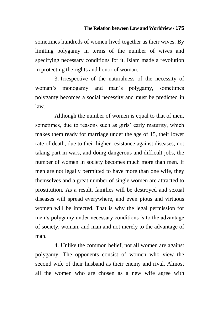sometimes hundreds of women lived together as their wives. By limiting polygamy in terms of the number of wives and specifying necessary conditions for it, Islam made a revolution in protecting the rights and honor of woman.

3. Irrespective of the naturalness of the necessity of woman"s monogamy and man"s polygamy, sometimes polygamy becomes a social necessity and must be predicted in law.

Although the number of women is equal to that of men, sometimes, due to reasons such as girls' early maturity, which makes them ready for marriage under the age of 15, their lower rate of death, due to their higher resistance against diseases, not taking part in wars, and doing dangerous and difficult jobs, the number of women in society becomes much more than men. If men are not legally permitted to have more than one wife, they themselves and a great number of single women are attracted to prostitution. As a result, families will be destroyed and sexual diseases will spread everywhere, and even pious and virtuous women will be infected. That is why the legal permission for men"s polygamy under necessary conditions is to the advantage of society, woman, and man and not merely to the advantage of man.

4. Unlike the common belief, not all women are against polygamy. The opponents consist of women who view the second wife of their husband as their enemy and rival. Almost all the women who are chosen as a new wife agree with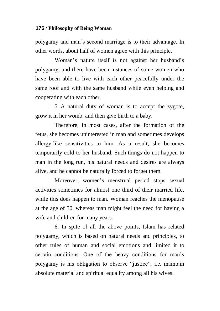polygamy and man"s second marriage is to their advantage. In other words, about half of women agree with this principle.

Woman"s nature itself is not against her husband"s polygamy, and there have been instances of some women who have been able to live with each other peacefully under the same roof and with the same husband while even helping and cooperating with each other.

5. A natural duty of woman is to accept the zygote, grow it in her womb, and then give birth to a baby.

Therefore, in most cases, after the formation of the fetus, she becomes uninterested in man and sometimes develops allergy-like sensitivities to him. As a result, she becomes temporarily cold to her husband. Such things do not happen to man in the long run, his natural needs and desires are always alive, and he cannot be naturally forced to forget them.

Moreover, women"s menstrual period stops sexual activities sometimes for almost one third of their married life, while this does happen to man. Woman reaches the menopause at the age of 50, whereas man might feel the need for having a wife and children for many years.

6. In spite of all the above points, Islam has related polygamy, which is based on natural needs and principles, to other rules of human and social emotions and limited it to certain conditions. One of the heavy conditions for man"s polygamy is his obligation to observe "justice", i.e. maintain absolute material and spiritual equality among all his wives.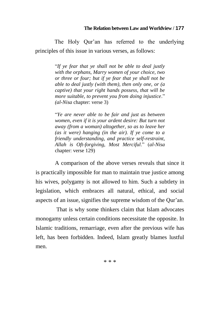The Holy Our'an has referred to the underlying principles of this issue in various verses, as follows:

> "*If ye fear that ye shall not be able to deal justly with the orphans, Marry women of your choice, two or three or four; but if ye fear that ye shall not be able to deal justly (with them), then only one, or (a captive) that your right hands possess, that will be more suitable, to prevent you from doing injustice*." *(al-Nisa* chapter: verse 3)

> "*Ye are never able to be fair and just as between women, even if it is your ardent desire: But turn not away (from a woman) altogether, so as to leave her (as it were) hanging (in the air). If ye come to a friendly understanding, and practice self-restraint, Allah is Oft-forgiving, Most Merciful*." (*al-Nisa* chapter: verse 129)

A comparison of the above verses reveals that since it is practically impossible for man to maintain true justice among his wives, polygamy is not allowed to him. Such a subtlety in legislation, which embraces all natural, ethical, and social aspects of an issue, signifies the supreme wisdom of the Qur'an.

That is why some thinkers claim that Islam advocates monogamy unless certain conditions necessitate the opposite. In Islamic traditions, remarriage, even after the previous wife has left, has been forbidden. Indeed, Islam greatly blames lustful men.

\* \* \*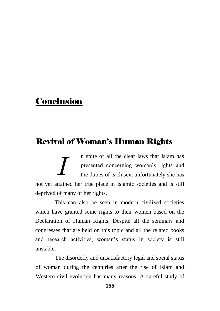# **Conclusion**

# Revival of Woman's Human Rights

n spite of all the clear laws that Islam has presented concerning woman"s rights and the duties of each sex, unfortunately she has not yet attained her true place in Islamic societies and is still deprived of many of her rights. *I*

This can also be seen in modern civilized societies which have granted some rights to their women based on the Declaration of Human Rights. Despite all the seminars and congresses that are held on this topic and all the related books and research activities, woman"s status in society is still unstable.

The disorderly and unsatisfactory legal and social status of woman during the centuries after the rise of Islam and Western civil evolution has many reasons. A careful study of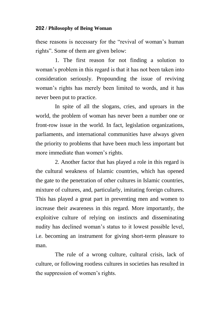these reasons is necessary for the "revival of woman"s human rights". Some of them are given below:

1. The first reason for not finding a solution to woman"s problem in this regard is that it has not been taken into consideration seriously. Propounding the issue of reviving woman"s rights has merely been limited to words, and it has never been put to practice.

In spite of all the slogans, cries, and uproars in the world, the problem of woman has never been a number one or front-row issue in the world. In fact, legislation organizations, parliaments, and international communities have always given the priority to problems that have been much less important but more immediate than women"s rights.

2. Another factor that has played a role in this regard is the cultural weakness of Islamic countries, which has opened the gate to the penetration of other cultures in Islamic countries, mixture of cultures, and, particularly, imitating foreign cultures. This has played a great part in preventing men and women to increase their awareness in this regard. More importantly, the exploitive culture of relying on instincts and disseminating nudity has declined woman"s status to it lowest possible level, i.e. becoming an instrument for giving short-term pleasure to man.

The rule of a wrong culture, cultural crisis, lack of culture, or following rootless cultures in societies has resulted in the suppression of women"s rights.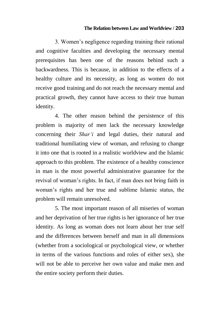3. Women"s negligence regarding training their rational and cognitive faculties and developing the necessary mental prerequisites has been one of the reasons behind such a backwardness. This is because, in addition to the effects of a healthy culture and its necessity, as long as women do not receive good training and do not reach the necessary mental and practical growth, they cannot have access to their true human identity.

4. The other reason behind the persistence of this problem is majority of men lack the necessary knowledge concerning their *Shar"i* and legal duties, their natural and traditional humiliating view of woman, and refusing to change it into one that is rooted in a realistic worldview and the Islamic approach to this problem. The existence of a healthy conscience in man is the most powerful administrative guarantee for the revival of woman"s rights. In fact, if man does not bring faith in woman"s rights and her true and sublime Islamic status, the problem will remain unresolved.

5. The most important reason of all miseries of woman and her deprivation of her true rights is her ignorance of her true identity. As long as woman does not learn about her true self and the differences between herself and man in all dimensions (whether from a sociological or psychological view, or whether in terms of the various functions and roles of either sex), she will not be able to perceive her own value and make men and the entire society perform their duties.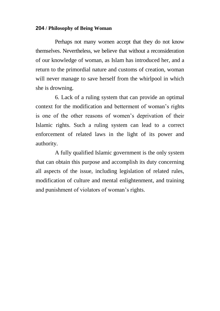Perhaps not many women accept that they do not know themselves. Nevertheless, we believe that without a reconsideration of our knowledge of woman, as Islam has introduced her, and a return to the primordial nature and customs of creation, woman will never manage to save herself from the whirlpool in which she is drowning.

6. Lack of a ruling system that can provide an optimal context for the modification and betterment of woman"s rights is one of the other reasons of women"s deprivation of their Islamic rights. Such a ruling system can lead to a correct enforcement of related laws in the light of its power and authority.

A fully qualified Islamic government is the only system that can obtain this purpose and accomplish its duty concerning all aspects of the issue, including legislation of related rules, modification of culture and mental enlightenment, and training and punishment of violators of woman"s rights.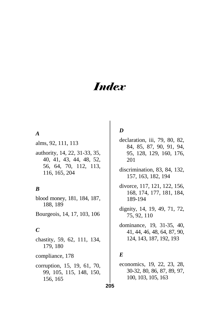# *Index*

### *A*

alms, 92, 111, 113

authority, 14, 22, 31-33, 35, 40, 41, 43, 44, 48, 52, 56, 64, 70, 112, 113, 116, 165, 204

## *B*

blood money, 181, 184, 187, 188, 189

Bourgeois, 14, 17, 103, 106

## *C*

chastity, 59, 62, 111, 134, 179, 180 compliance, 178 corruption, 15, 19, 61, 70, 99, 105, 115, 148, 150, 156, 165

## *D*

declaration, iii, 79, 80, 82, 84, 85, 87, 90, 91, 94, 95, 128, 129, 160, 176, 201

- discrimination, 83, 84, 132, 157, 163, 182, 194
- divorce, 117, 121, 122, 156, 168, 174, 177, 181, 184, 189-194
- dignity, 14, 19, 49, 71, 72, 75, 92, 110
- dominance, 19, 31-35, 40, 41, 44, 46, 48, 64, 87, 90, 124, 143, 187, 192, 193

## *E*

economics, 19, 22, 23, 28, 30-32, 80, 86, 87, 89, 97, 100, 103, 105, 163

**205**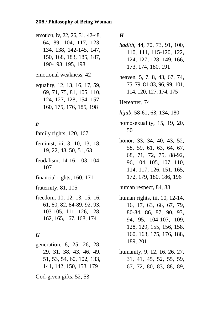emotion, iv, 22, 26, 31, 42-48, 64, 89, 104, 117, 123, 134, 138, 142-145, 147, 150, 168, 183, 185, 187, 190-193, 195, 198

emotional weakness, 42

equality, 12, 13, 16, 17, 59, 69, 71, 75, 81, 105, 110, 124, 127, 128, 154, 157, 160, 175, 176, 185, 198

## *F*

- family rights, 120, 167
- feminist, iii, 3, 10, 13, 18, 19, 22, 48, 50, 51, 63
- feudalism, 14-16, 103, 104, 107
- financial rights, 160, 171

fraternity, 81, 105

freedom, 10, 12, 13, 15, 16, 61, 80, 82, 84-89, 92, 93, 103-105, 111, 126, 128, 162, 165, 167, 168, 174

## *G*

generation, 8, 25, 26, 28, 29, 31, 38, 43, 46, 49, 51, 53, 54, 60, 102, 133, 141, 142, 150, 153, 179

God-given gifts, 52, 53

## *H*

- *hadith*, 44, 70, 73, 91, 100, 110, 111, 115-120, 122, 124, 127, 128, 149, 166, 173, 174, 180, 191
- heaven, 5, 7, 8, 43, 67, 74, 75, 79, 81-83, 96, 99, 101, 114, 120, 127, 174, 175

Hereafter, 74

- *hijāb*, 58-61, 63, 134, 180
- homosexuality, 15, 19, 20, 50
- honor, 33, 34, 40, 43, 52, 58, 59, 61, 63, 64, 67, 68, 71, 72, 75, 88-92, 96, 104, 105, 107, 110, 114, 117, 126, 151, 165, 172, 179, 180, 186, 196

human respect, 84, 88

- human rights, iii, 10, 12-14, 16, 17, 63, 66, 67, 79, 80-84, 86, 87, 90, 93, 94, 95, 104-107, 109, 128, 129, 155, 156, 158, 160, 163, 175, 176, 188, 189, 201
- humanity, 9, 12, 16, 26, 27, 31, 41, 45, 52, 55, 59, 67, 72, 80, 83, 88, 89,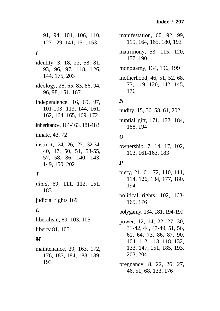91, 94, 104, 106, 110, 127-129, 141, 151, 153

## *I*

- identity, 3, 18, 23, 58, 81, 93, 96, 97, 118, 126, 144, 175, 203
- ideology, 28, 65, 83, 86, 94, 96, 98, 151, 167
- independence, 16, 69, 97, 101-103, 113, 144, 161, 162, 164, 165, 169, 172
- inheritance, 161-163, 181-183
- innate, 43, 72
- instinct, 24, 26, 27, 32-34, 40, 47, 50, 51, 53-55, 57, 58, 86, 140, 143, 149, 150, 202

## *J*

- *jihad*, 69, 111, 112, 151, 183
- judicial rights 169

## *L*

- liberalism, 89, 103, 105
- liberty 81, 105

## *M*

maintenance, 29, 163, 172, 176, 183, 184, 188, 189, 193

manifestation, 60, 92, 99, 119, 164, 165, 180, 193

- matrimony, 53, 115, 120, 177, 190
- monogamy, 134, 196, 199
- motherhood, 46, 51, 52, 68, 73, 119, 120, 142, 145, 176

## *N*

nudity, 15, 56, 58, 61, 202

nuptial gift, 171, 172, 184, 188, 194

## *O*

ownership, 7, 14, 17, 102, 103, 161-163, 183

## *P*

piety, 21, 61, 72, 110, 111, 114, 126, 134, 177, 180, 194

political rights, 102, 163- 165, 176

polygamy, 134, 181, 194-199

- power, 12, 14, 22, 27, 30, 31-42, 44, 47-49, 51, 56, 61, 64, 73, 86, 87, 90, 104, 112, 113, 118, 132, 133, 147, 151, 185, 193, 203, 204
- pregnancy, 8, 22, 26, 27, 46, 51, 68, 133, 176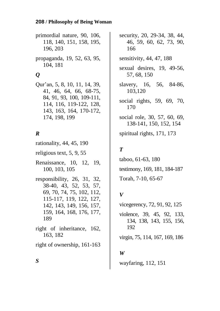primordial nature, 90, 106, 118, 140, 151, 158, 195, 196, 203

propaganda, 19, 52, 63, 95, 104, 181

# *Q*

Qur"an, 5, 8, 10, 11, 14, 39, 41, 46, 64, 66, 68-75, 84, 91, 93, 100, 109-111, 114, 116, 119-122, 128, 143, 163, 164, 170-172, 174, 198, 199

## *R*

rationality, 44, 45, 190 religious text, 5, 9, 55 Renaissance, 10, 12, 19, 100, 103, 105 responsibility, 26, 31, 32, 38-40, 43, 52, 53, 57, 69, 70, 74, 75, 102, 112, 115-117, 119, 122, 127, 142, 143, 149, 156, 157, 159, 164, 168, 176, 177, 189 right of inheritance, 162, 163, 182 right of ownership, 161-163

security, 20, 29-34, 38, 44, 46, 59, 60, 62, 73, 90, 166 sensitivity, 44, 47, 188 sexual desires, 19, 49-56, 57, 68, 150 slavery, 16, 56, 84-86, 103,120 social rights, 59, 69, 70, 170 social role, 30, 57, 60, 69, 138-141, 150, 152, 154 spiritual rights, 171, 173

## *T*

taboo, 61-63, 180 testimony, 169, 181, 184-187 Torah, 7-10, 65-67

## *V*

vicegerency, 72, 91, 92, 125 violence, 39, 45, 92, 133, 134, 138, 143, 155, 156, 192 virgin, 75, 114, 167, 169, 186

## *W*

wayfaring, 112, 151

*S*